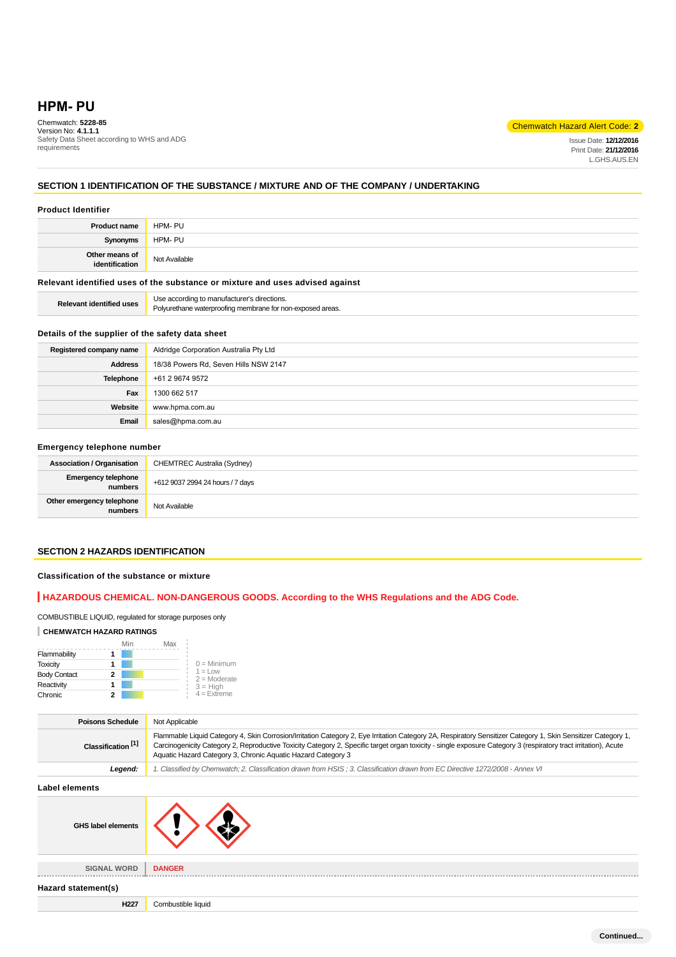# **HPM- PU**

Chemwatch: **5228-85** Version No: **4.1.1.1** Safety Data Sheet according to WHS and ADG requirements

#### Chemwatch Hazard Alert Code: **2**

Issue Date: **12/12/2016** Print Date: **21/12/2016** L.GHS.AUS.EN

## **SECTION 1 IDENTIFICATION OF THE SUBSTANCE / MIXTURE AND OF THE COMPANY / UNDERTAKING**

#### **Product Identifier**

| <b>Product name</b>              | HPM-PU        |
|----------------------------------|---------------|
| <b>Synonyms</b>                  | HPM-PU        |
| Other means of<br>identification | Not Available |

#### **Relevant identified uses of the substance or mixture and uses advised against**

| <b>Relevant identified uses</b> | Use according to manufacturer's directions.<br>Polyurethane waterproofing membrane for non-exposed areas. |
|---------------------------------|-----------------------------------------------------------------------------------------------------------|
|---------------------------------|-----------------------------------------------------------------------------------------------------------|

#### **Details of the supplier of the safety data sheet**

| Registered company name | Aldridge Corporation Australia Pty Ltd |
|-------------------------|----------------------------------------|
| <b>Address</b>          | 18/38 Powers Rd, Seven Hills NSW 2147  |
| <b>Telephone</b>        | +61 2 9674 9572                        |
| Fax                     | 1300 662 517                           |
| Website                 | www.hpma.com.au                        |
| Email                   | sales@hpma.com.au                      |

#### **Emergency telephone number**

| <b>Association / Organisation</b>    | CHEMTREC Australia (Sydney)      |
|--------------------------------------|----------------------------------|
| Emergency telephone<br>numbers       | +612 9037 2994 24 hours / 7 days |
| Other emergency telephone<br>numbers | Not Available                    |

#### **SECTION 2 HAZARDS IDENTIFICATION**

#### **Classification of the substance or mixture**

# **HAZARDOUS CHEMICAL. NON-DANGEROUS GOODS. According to the WHS Regulations and the ADG Code.**

# COMBUSTIBLE LIQUID, regulated for storage purposes only

#### **CHEMWATCH HAZARD RATINGS**

|                     | Min | Max |                                           |
|---------------------|-----|-----|-------------------------------------------|
| Flammability        |     |     |                                           |
| <b>Toxicity</b>     |     |     | $0 =$ Minimum                             |
| <b>Body Contact</b> | 2   |     | $1 = Low$<br>$2 =$ Moderate<br>$3 = High$ |
| Reactivity          |     |     |                                           |
| Chronic             |     |     | $4 =$ Extreme                             |

| Label elements                |                                                                                                                                                                                                                                                                                                                                                                                                  |  |
|-------------------------------|--------------------------------------------------------------------------------------------------------------------------------------------------------------------------------------------------------------------------------------------------------------------------------------------------------------------------------------------------------------------------------------------------|--|
| Legend:                       | 1. Classified by Chemwatch; 2. Classification drawn from HSIS; 3. Classification drawn from EC Directive 1272/2008 - Annex VI                                                                                                                                                                                                                                                                    |  |
| Classification <sup>[1]</sup> | Flammable Liquid Category 4, Skin Corrosion/Irritation Category 2, Eye Irritation Category 2A, Respiratory Sensitizer Category 1, Skin Sensitizer Category 1,<br>Carcinogenicity Category 2, Reproductive Toxicity Category 2, Specific target organ toxicity - single exposure Category 3 (respiratory tract irritation), Acute<br>Aquatic Hazard Category 3, Chronic Aquatic Hazard Category 3 |  |
| <b>Poisons Schedule</b>       | Not Applicable                                                                                                                                                                                                                                                                                                                                                                                   |  |



**SIGNAL WORD DANGER** . . . . . . . . **Hazard statement(s) H227** Combustible liquid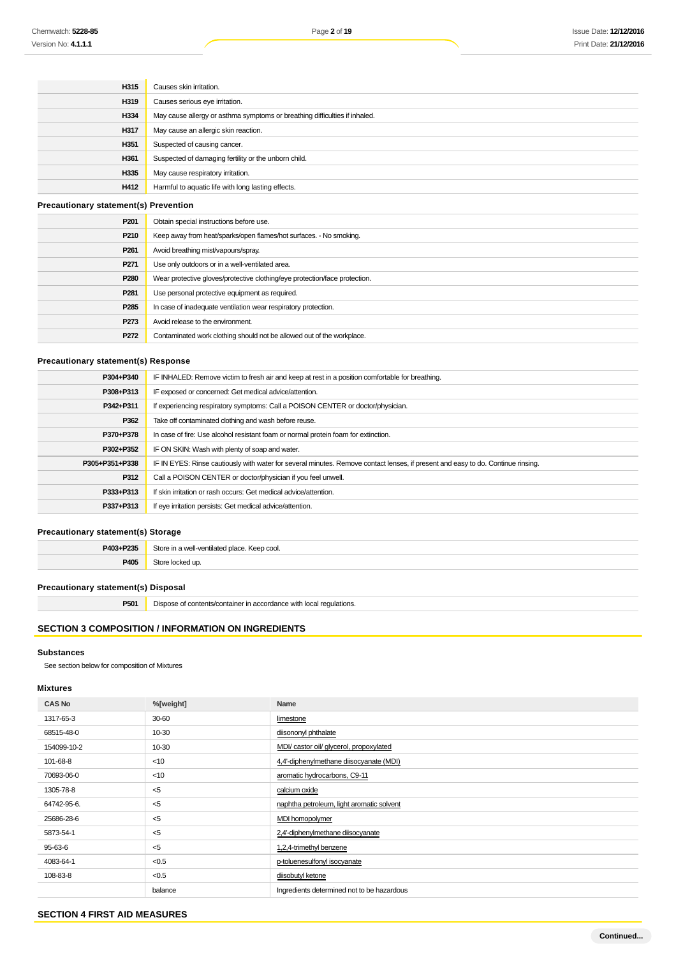| H315 | Causes skin irritation.                                                    |
|------|----------------------------------------------------------------------------|
| H319 | Causes serious eye irritation.                                             |
| H334 | May cause allergy or asthma symptoms or breathing difficulties if inhaled. |
| H317 | May cause an allergic skin reaction.                                       |
| H351 | Suspected of causing cancer.                                               |
| H361 | Suspected of damaging fertility or the unborn child.                       |
| H335 | May cause respiratory irritation.                                          |
| H412 | Harmful to aquatic life with long lasting effects.                         |

## **Precautionary statement(s) Prevention**

| P <sub>201</sub> | Obtain special instructions before use.                                    |  |
|------------------|----------------------------------------------------------------------------|--|
| P210             | Keep away from heat/sparks/open flames/hot surfaces. - No smoking.         |  |
| P <sub>261</sub> | Avoid breathing mist/vapours/spray.                                        |  |
| P <sub>271</sub> | Use only outdoors or in a well-ventilated area.                            |  |
| P280             | Wear protective gloves/protective clothing/eye protection/face protection. |  |
| P <sub>281</sub> | Use personal protective equipment as required.                             |  |
| P <sub>285</sub> | In case of inadequate ventilation wear respiratory protection.             |  |
| P273             | Avoid release to the environment.                                          |  |
| P272             | Contaminated work clothing should not be allowed out of the workplace.     |  |
|                  |                                                                            |  |

## **Precautionary statement(s) Response**

| P304+P340      | IF INHALED: Remove victim to fresh air and keep at rest in a position comfortable for breathing.                                 |  |
|----------------|----------------------------------------------------------------------------------------------------------------------------------|--|
| P308+P313      | IF exposed or concerned: Get medical advice/attention.                                                                           |  |
| P342+P311      | If experiencing respiratory symptoms: Call a POISON CENTER or doctor/physician.                                                  |  |
| P362           | Take off contaminated clothing and wash before reuse.                                                                            |  |
| P370+P378      | In case of fire: Use alcohol resistant foam or normal protein foam for extinction.                                               |  |
| P302+P352      | IF ON SKIN: Wash with plenty of soap and water.                                                                                  |  |
| P305+P351+P338 | IF IN EYES: Rinse cautiously with water for several minutes. Remove contact lenses, if present and easy to do. Continue rinsing. |  |
| P312           | Call a POISON CENTER or doctor/physician if you feel unwell.                                                                     |  |
| P333+P313      | If skin irritation or rash occurs: Get medical advice/attention.                                                                 |  |
| P337+P313      | If eye irritation persists: Get medical advice/attention.                                                                        |  |

## **Precautionary statement(s) Storage**

| P403+P235 | Store in a well-ventilated place. Keep cool. |
|-----------|----------------------------------------------|
| P405      | Store<br>locked up.                          |

## **Precautionary statement(s) Disposal**

## **SECTION 3 COMPOSITION / INFORMATION ON INGREDIENTS**

#### **Substances**

#### **Mixtures**

| Chemwatch: <b>5228-85</b>                     |                                                                                                                                  | Page 2 of 19                                                                                     | <b>Issue Date: 12/12/20</b> |  |
|-----------------------------------------------|----------------------------------------------------------------------------------------------------------------------------------|--------------------------------------------------------------------------------------------------|-----------------------------|--|
| Version No: <b>4.1.1.1</b>                    |                                                                                                                                  |                                                                                                  | Print Date: 21/12/20        |  |
|                                               |                                                                                                                                  |                                                                                                  |                             |  |
|                                               |                                                                                                                                  |                                                                                                  |                             |  |
| H315                                          | Causes skin irritation.                                                                                                          |                                                                                                  |                             |  |
| H319                                          | Causes serious eye irritation.                                                                                                   |                                                                                                  |                             |  |
| H334                                          | May cause allergy or asthma symptoms or breathing difficulties if inhaled.                                                       |                                                                                                  |                             |  |
| H317                                          | May cause an allergic skin reaction.                                                                                             |                                                                                                  |                             |  |
| H351                                          | Suspected of causing cancer.                                                                                                     |                                                                                                  |                             |  |
| H361                                          | Suspected of damaging fertility or the unborn child.                                                                             |                                                                                                  |                             |  |
| H335                                          | May cause respiratory irritation.                                                                                                |                                                                                                  |                             |  |
| H412                                          | Harmful to aquatic life with long lasting effects.                                                                               |                                                                                                  |                             |  |
| <b>Precautionary statement(s) Prevention</b>  |                                                                                                                                  |                                                                                                  |                             |  |
| P <sub>201</sub>                              | Obtain special instructions before use.                                                                                          |                                                                                                  |                             |  |
| P <sub>210</sub>                              | Keep away from heat/sparks/open flames/hot surfaces. - No smoking.                                                               |                                                                                                  |                             |  |
| P <sub>261</sub>                              | Avoid breathing mist/vapours/spray.                                                                                              |                                                                                                  |                             |  |
| P271                                          | Use only outdoors or in a well-ventilated area.                                                                                  |                                                                                                  |                             |  |
| P <sub>280</sub>                              | Wear protective gloves/protective clothing/eye protection/face protection.                                                       |                                                                                                  |                             |  |
| P <sub>281</sub>                              | Use personal protective equipment as required.                                                                                   |                                                                                                  |                             |  |
| P <sub>285</sub>                              | In case of inadequate ventilation wear respiratory protection.                                                                   |                                                                                                  |                             |  |
| P273                                          | Avoid release to the environment.                                                                                                |                                                                                                  |                             |  |
| P272                                          | Contaminated work clothing should not be allowed out of the workplace.                                                           |                                                                                                  |                             |  |
|                                               |                                                                                                                                  |                                                                                                  |                             |  |
| Precautionary statement(s) Response           |                                                                                                                                  |                                                                                                  |                             |  |
| P304+P340                                     |                                                                                                                                  | IF INHALED: Remove victim to fresh air and keep at rest in a position comfortable for breathing. |                             |  |
| P308+P313                                     | IF exposed or concerned: Get medical advice/attention.                                                                           |                                                                                                  |                             |  |
| P342+P311                                     |                                                                                                                                  | If experiencing respiratory symptoms: Call a POISON CENTER or doctor/physician.                  |                             |  |
| P362                                          | Take off contaminated clothing and wash before reuse.                                                                            |                                                                                                  |                             |  |
| P370+P378                                     | In case of fire: Use alcohol resistant foam or normal protein foam for extinction.                                               |                                                                                                  |                             |  |
| P302+P352                                     |                                                                                                                                  | IF ON SKIN: Wash with plenty of soap and water.                                                  |                             |  |
| P305+P351+P338                                | IF IN EYES: Rinse cautiously with water for several minutes. Remove contact lenses, if present and easy to do. Continue rinsing. |                                                                                                  |                             |  |
| P312                                          | Call a POISON CENTER or doctor/physician if you feel unwell.                                                                     |                                                                                                  |                             |  |
| P333+P313                                     | If skin irritation or rash occurs: Get medical advice/attention.                                                                 |                                                                                                  |                             |  |
| P337+P313                                     | If eye irritation persists: Get medical advice/attention.                                                                        |                                                                                                  |                             |  |
| <b>Precautionary statement(s) Storage</b>     |                                                                                                                                  |                                                                                                  |                             |  |
| P403+P235                                     | Store in a well-ventilated place. Keep cool.                                                                                     |                                                                                                  |                             |  |
| P405                                          | Store locked up.                                                                                                                 |                                                                                                  |                             |  |
|                                               |                                                                                                                                  |                                                                                                  |                             |  |
| <b>Precautionary statement(s) Disposal</b>    |                                                                                                                                  |                                                                                                  |                             |  |
| P501                                          | Dispose of contents/container in accordance with local regulations.                                                              |                                                                                                  |                             |  |
|                                               | <b>SECTION 3 COMPOSITION / INFORMATION ON INGREDIENTS</b>                                                                        |                                                                                                  |                             |  |
|                                               |                                                                                                                                  |                                                                                                  |                             |  |
| <b>Substances</b>                             |                                                                                                                                  |                                                                                                  |                             |  |
| See section below for composition of Mixtures |                                                                                                                                  |                                                                                                  |                             |  |
|                                               |                                                                                                                                  |                                                                                                  |                             |  |
| <b>Mixtures</b>                               |                                                                                                                                  |                                                                                                  |                             |  |
| <b>CAS No</b>                                 | %[weight]                                                                                                                        | Name                                                                                             |                             |  |
| 1317-65-3                                     | 30-60                                                                                                                            | limestone                                                                                        |                             |  |
| 68515-48-0                                    | 10-30                                                                                                                            | diisononyl phthalate                                                                             |                             |  |
| 154099-10-2                                   | 10-30                                                                                                                            | MDI/ castor oil/ glycerol, propoxylated                                                          |                             |  |
| 101-68-8                                      | <10                                                                                                                              | 4,4'-diphenylmethane diisocyanate (MDI)                                                          |                             |  |
| 70693-06-0                                    | <10                                                                                                                              | aromatic hydrocarbons, C9-11                                                                     |                             |  |
| 1305-78-8                                     | $<$ 5                                                                                                                            | calcium oxide                                                                                    |                             |  |
| 64742-95-6.                                   | <5                                                                                                                               | naphtha petroleum, light aromatic solvent                                                        |                             |  |
| 25686-28-6                                    | $<$ 5                                                                                                                            | <b>MDI</b> homopolymer                                                                           |                             |  |
| 5873-54-1                                     | $<$ 5                                                                                                                            | 2,4'-diphenylmethane diisocyanate                                                                |                             |  |
| 95-63-6                                       | $<$ 5                                                                                                                            | 1,2,4-trimethyl benzene                                                                          |                             |  |
| 4083-64-1                                     | < 0.5                                                                                                                            | p-toluenesulfonyl isocyanate                                                                     |                             |  |
| 108-83-8                                      | < 0.5                                                                                                                            | disobutyl ketone                                                                                 |                             |  |
|                                               | balance                                                                                                                          | Ingredients determined not to be hazardous                                                       |                             |  |

# **SECTION 4 FIRST AID MEASURES**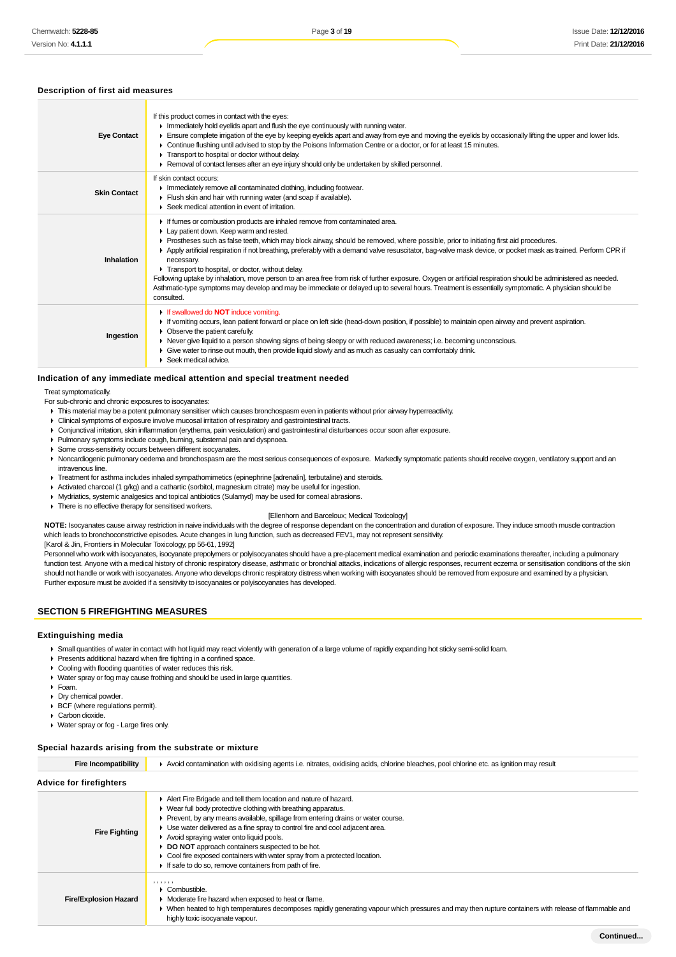#### **Description of first aid measures**

| <b>Eye Contact</b>  | If this product comes in contact with the eyes:<br>Inmediately hold eyelids apart and flush the eye continuously with running water.<br>Ensure complete irrigation of the eye by keeping eyelids apart and away from eye and moving the eyelids by occasionally lifting the upper and lower lids.<br>► Continue flushing until advised to stop by the Poisons Information Centre or a doctor, or for at least 15 minutes.<br>Transport to hospital or doctor without delay.<br>▶ Removal of contact lenses after an eye injury should only be undertaken by skilled personnel.                                                                                                                                                                                                                                                             |
|---------------------|--------------------------------------------------------------------------------------------------------------------------------------------------------------------------------------------------------------------------------------------------------------------------------------------------------------------------------------------------------------------------------------------------------------------------------------------------------------------------------------------------------------------------------------------------------------------------------------------------------------------------------------------------------------------------------------------------------------------------------------------------------------------------------------------------------------------------------------------|
| <b>Skin Contact</b> | If skin contact occurs:<br>Inmediately remove all contaminated clothing, including footwear.<br>Flush skin and hair with running water (and soap if available).<br>$\blacktriangleright$ Seek medical attention in event of irritation.                                                                                                                                                                                                                                                                                                                                                                                                                                                                                                                                                                                                    |
| Inhalation          | If fumes or combustion products are inhaled remove from contaminated area.<br>Lay patient down. Keep warm and rested.<br>► Prostheses such as false teeth, which may block airway, should be removed, where possible, prior to initiating first aid procedures.<br>▶ Apply artificial respiration if not breathing, preferably with a demand valve resuscitator, bag-valve mask device, or pocket mask as trained. Perform CPR if<br>necessary.<br>Transport to hospital, or doctor, without delay.<br>Following uptake by inhalation, move person to an area free from risk of further exposure. Oxygen or artificial respiration should be administered as needed.<br>Asthmatic-type symptoms may develop and may be immediate or delayed up to several hours. Treatment is essentially symptomatic. A physician should be<br>consulted. |
| Ingestion           | If swallowed do <b>NOT</b> induce vomiting.<br>If vomiting occurs, lean patient forward or place on left side (head-down position, if possible) to maintain open airway and prevent aspiration.<br>$\triangleright$ Observe the patient carefully.<br>▶ Never give liquid to a person showing signs of being sleepy or with reduced awareness; i.e. becoming unconscious.<br>• Give water to rinse out mouth, then provide liquid slowly and as much as casualty can comfortably drink.<br>$\blacktriangleright$ Seek medical advice.                                                                                                                                                                                                                                                                                                      |

#### **Indication of any immediate medical attention and special treatment needed**

Treat symptomatically.

For sub-chronic and chronic exposures to isocyanates:

- This material may be a potent pulmonary sensitiser which causes bronchospasm even in patients without prior airway hyperreactivity.
- Clinical symptoms of exposure involve mucosal irritation of respiratory and gastrointestinal tracts.

Conjunctival irritation, skin inflammation (erythema, pain vesiculation) and gastrointestinal disturbances occur soon after exposure.

- Pulmonary symptoms include cough, burning, substernal pain and dyspnoea.
- Some cross-sensitivity occurs between different isocyanates.
- ▶ Noncardiogenic pulmonary oedema and bronchospasm are the most serious consequences of exposure. Markedly symptomatic patients should receive oxygen, ventilatory support and an intravenous line.
- Treatment for asthma includes inhaled sympathomimetics (epinephrine [adrenalin], terbutaline) and steroids.
- Activated charcoal (1 g/kg) and a cathartic (sorbitol, magnesium citrate) may be useful for ingestion.
- Mydriatics, systemic analgesics and topical antibiotics (Sulamyd) may be used for corneal abrasions.
- **There is no effective therapy for sensitised workers.**

#### [Ellenhorn and Barceloux; Medical Toxicology]

**NOTE:** Isocyanates cause airway restriction in naive individuals with the degree of response dependant on the concentration and duration of exposure. They induce smooth muscle contraction which leads to bronchoconstrictive episodes. Acute changes in lung function, such as decreased FEV1, may not represent sensitivity.

[Karol & Jin, Frontiers in Molecular Toxicology, pp 56-61, 1992]

Personnel who work with isocyanates, isocyanate prepolymers or polyisocyanates should have a pre-placement medical examination and periodic examinations thereafter, including a pulmonary function test. Anyone with a medical history of chronic respiratory disease, asthmatic or bronchial attacks, indications of allergic responses, recurrent eczema or sensitisation conditions of the skin should not handle or work with isocyanates. Anyone who develops chronic respiratory distress when working with isocyanates should be removed from exposure and examined by a physician. Further exposure must be avoided if a sensitivity to isocyanates or polyisocyanates has developed.

#### **SECTION 5 FIREFIGHTING MEASURES**

#### **Extinguishing media**

- Small quantities of water in contact with hot liquid may react violently with generation of a large volume of rapidly expanding hot sticky semi-solid foam.
- Presents additional hazard when fire fighting in a confined space.
- ▶ Cooling with flooding quantities of water reduces this risk.
- Water spray or fog may cause frothing and should be used in large quantities.
- Foam.
- Drv chemical powder.
- BCF (where regulations permit).
- Carbon dioxide.
- Water spray or fog Large fires only.

#### **Special hazards arising from the substrate or mixture**

| <b>Fire Incompatibility</b>    | Avoid contamination with oxidising agents i.e. nitrates, oxidising acids, chlorine bleaches, pool chlorine etc. as ignition may result                                                                                                                                                                                                                                                                                                                                                                                                               |
|--------------------------------|------------------------------------------------------------------------------------------------------------------------------------------------------------------------------------------------------------------------------------------------------------------------------------------------------------------------------------------------------------------------------------------------------------------------------------------------------------------------------------------------------------------------------------------------------|
| <b>Advice for firefighters</b> |                                                                                                                                                                                                                                                                                                                                                                                                                                                                                                                                                      |
| <b>Fire Fighting</b>           | Alert Fire Brigade and tell them location and nature of hazard.<br>▶ Wear full body protective clothing with breathing apparatus.<br>• Prevent, by any means available, spillage from entering drains or water course.<br>• Use water delivered as a fine spray to control fire and cool adjacent area.<br>Avoid spraying water onto liquid pools.<br><b>DO NOT</b> approach containers suspected to be hot.<br>• Cool fire exposed containers with water spray from a protected location.<br>If safe to do so, remove containers from path of fire. |
| <b>Fire/Explosion Hazard</b>   | ,,,,,,<br>Combustible.<br>• Moderate fire hazard when exposed to heat or flame.<br>• When heated to high temperatures decomposes rapidly generating vapour which pressures and may then rupture containers with release of flammable and<br>highly toxic isocyanate vapour.                                                                                                                                                                                                                                                                          |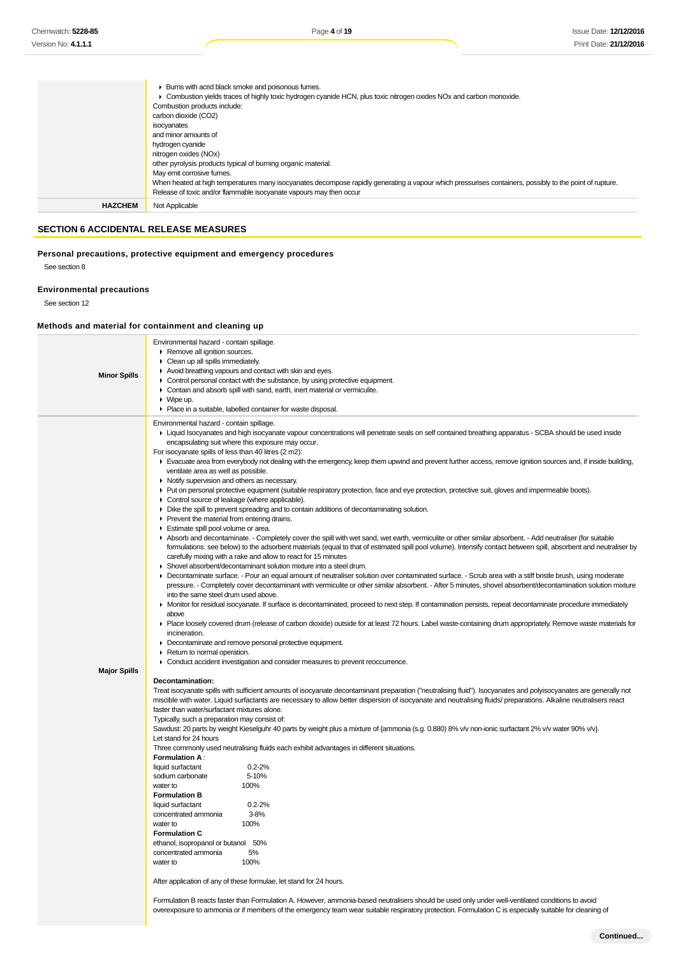|                | Externs with acrid black smoke and poisonous fumes.<br>► Combustion yields traces of highly toxic hydrogen cyanide HCN, plus toxic nitrogen oxides NOx and carbon monoxide.<br>Combustion products include:<br>carbon dioxide (CO2)<br>isocyanates<br>and minor amounts of<br>hydrogen cyanide<br>nitrogen oxides (NOx)<br>other pyrolysis products typical of burning organic material.<br>May emit corrosive fumes.<br>When heated at high temperatures many isocyanates decompose rapidly generating a vapour which pressurises containers, possibly to the point of rupture.<br>Release of toxic and/or flammable isocyanate vapours may then occur |
|----------------|---------------------------------------------------------------------------------------------------------------------------------------------------------------------------------------------------------------------------------------------------------------------------------------------------------------------------------------------------------------------------------------------------------------------------------------------------------------------------------------------------------------------------------------------------------------------------------------------------------------------------------------------------------|
| <b>HAZCHEM</b> | Not Applicable                                                                                                                                                                                                                                                                                                                                                                                                                                                                                                                                                                                                                                          |

## **SECTION 6 ACCIDENTAL RELEASE MEASURES**

# **Personal precautions, protective equipment and emergency procedures**

See section 8

#### **Environmental precautions**

See section 12

## **Methods and material for containment and cleaning up**

| <b>Minor Spills</b> | Environmental hazard - contain spillage.<br>Remove all ignition sources.<br>$\triangleright$ Clean up all spills immediately.<br>Avoid breathing vapours and contact with skin and eyes.<br>• Control personal contact with the substance, by using protective equipment.<br>• Contain and absorb spill with sand, earth, inert material or vermiculite.<br>$\triangleright$ Wipe up.<br>Place in a suitable, labelled container for waste disposal.                                                                                                                                                                                                                                                                                                                                                                                                                                                                                                                                                                                                                                                                                                                                                                                                                                                                                                                                                                                                                                                                                                                                                                                                                                                                                                                                                                                                                                                                                                                                                                                                                                                                                                                                                                                                                                                                                                                                                                                                                                                                                                                                                                                                                                                                                                                                                                                                                                                                                                                                                                                                                                                                                                                                                                                                                                                                                                                                                                                                                                                                              |
|---------------------|-----------------------------------------------------------------------------------------------------------------------------------------------------------------------------------------------------------------------------------------------------------------------------------------------------------------------------------------------------------------------------------------------------------------------------------------------------------------------------------------------------------------------------------------------------------------------------------------------------------------------------------------------------------------------------------------------------------------------------------------------------------------------------------------------------------------------------------------------------------------------------------------------------------------------------------------------------------------------------------------------------------------------------------------------------------------------------------------------------------------------------------------------------------------------------------------------------------------------------------------------------------------------------------------------------------------------------------------------------------------------------------------------------------------------------------------------------------------------------------------------------------------------------------------------------------------------------------------------------------------------------------------------------------------------------------------------------------------------------------------------------------------------------------------------------------------------------------------------------------------------------------------------------------------------------------------------------------------------------------------------------------------------------------------------------------------------------------------------------------------------------------------------------------------------------------------------------------------------------------------------------------------------------------------------------------------------------------------------------------------------------------------------------------------------------------------------------------------------------------------------------------------------------------------------------------------------------------------------------------------------------------------------------------------------------------------------------------------------------------------------------------------------------------------------------------------------------------------------------------------------------------------------------------------------------------------------------------------------------------------------------------------------------------------------------------------------------------------------------------------------------------------------------------------------------------------------------------------------------------------------------------------------------------------------------------------------------------------------------------------------------------------------------------------------------------------------------------------------------------------------------------------------------------|
| <b>Major Spills</b> | Environmental hazard - contain spillage.<br>► Liquid Isocyanates and high isocyanate vapour concentrations will penetrate seals on self contained breathing apparatus - SCBA should be used inside<br>encapsulating suit where this exposure may occur.<br>For isocyanate spills of less than 40 litres (2 m2):<br>Evacuate area from everybody not dealing with the emergency, keep them upwind and prevent further access, remove ignition sources and, if inside building,<br>ventilate area as well as possible.<br>• Notify supervision and others as necessary.<br>• Put on personal protective equipment (suitable respiratory protection, face and eye protection, protective suit, gloves and impermeable boots).<br>• Control source of leakage (where applicable).<br>• Dike the spill to prevent spreading and to contain additions of decontaminating solution.<br>Prevent the material from entering drains.<br>Estimate spill pool volume or area.<br>Absorb and decontaminate. - Completely cover the spill with wet sand, wet earth, vermiculite or other similar absorbent. - Add neutraliser (for suitable<br>formulations: see below) to the adsorbent materials (equal to that of estimated spill pool volume). Intensify contact between spill, absorbent and neutraliser by<br>carefully mixing with a rake and allow to react for 15 minutes<br>• Shovel absorbent/decontaminant solution mixture into a steel drum.<br>• Decontaminate surface. - Pour an equal amount of neutraliser solution over contaminated surface. - Scrub area with a stiff bristle brush, using moderate<br>pressure. - Completely cover decontaminant with vermiculite or other similar absorbent. - After 5 minutes, shovel absorbent/decontamination solution mixture<br>into the same steel drum used above.<br>> Monitor for residual isocyanate. If surface is decontaminated, proceed to next step. If contamination persists, repeat decontaminate procedure immediately<br>above<br>▶ Place loosely covered drum (release of carbon dioxide) outside for at least 72 hours. Label waste-containing drum appropriately. Remove waste materials for<br>incineration.<br>• Decontaminate and remove personal protective equipment.<br>Return to normal operation.<br>• Conduct accident investigation and consider measures to prevent reoccurrence.<br>Decontamination:<br>Treat isocyanate spills with sufficient amounts of isocyanate decontaminant preparation ("neutralising fluid"). Isocyanates and polyisocyanates are generally not<br>miscible with water. Liquid surfactants are necessary to allow better dispersion of isocyanate and neutralising fluids/ preparations. Alkaline neutralisers react<br>faster than water/surfactant mixtures alone.<br>Typically, such a preparation may consist of:<br>Sawdust: 20 parts by weight Kieselguhr 40 parts by weight plus a mixture of {ammonia (s.g. 0.880) 8% v/v non-ionic surfactant 2% v/v water 90% v/v}.<br>Let stand for 24 hours<br>Three commonly used neutralising fluids each exhibit advantages in different situations.<br><b>Formulation A:</b><br>$0.2 - 2%$<br>liquid surfactant<br>5-10%<br>sodium carbonate<br>100%<br>water to<br><b>Formulation B</b><br>liquid surfactant<br>$0.2 - 2%$<br>concentrated ammonia<br>$3 - 8%$<br>100%<br>water to<br><b>Formulation C</b><br>ethanol, isopropanol or butanol 50%<br>concentrated ammonia<br>5%<br>100%<br>water to<br>After application of any of these formulae, let stand for 24 hours. |

Formulation B reacts faster than Formulation A. However, ammonia-based neutralisers should be used only under well-ventilated conditions to avoid overexposure to ammonia or if members of the emergency team wear suitable respiratory protection. Formulation C is especially suitable for cleaning of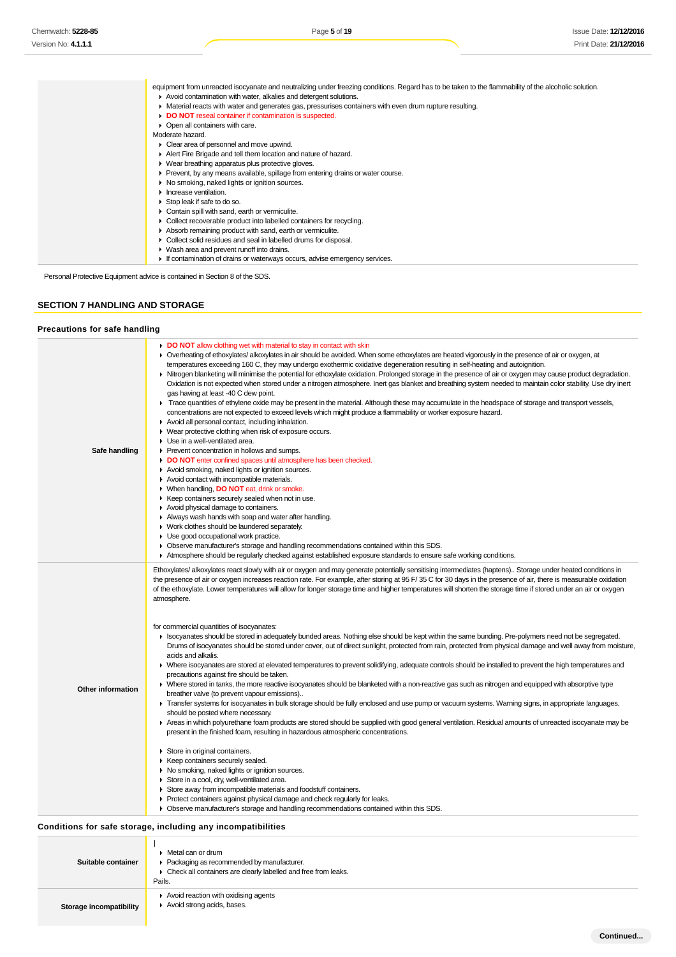**Storage incompatibility**

Avoid reaction with oxidising agents Avoid strong acids, bases.

Avoid contamination with water, alkalies and detergent solutions.

equipment from unreacted isocyanate and neutralizing under freezing conditions. Regard has to be taken to the flammability of the alcoholic solution.

|                                       | • Material reacts with water and generates gas, pressurises containers with even drum rupture resulting.                                                                                                                                                                                                                            |
|---------------------------------------|-------------------------------------------------------------------------------------------------------------------------------------------------------------------------------------------------------------------------------------------------------------------------------------------------------------------------------------|
|                                       | DO NOT reseal container if contamination is suspected.<br>• Open all containers with care.                                                                                                                                                                                                                                          |
|                                       | Moderate hazard.                                                                                                                                                                                                                                                                                                                    |
|                                       | Clear area of personnel and move upwind.                                                                                                                                                                                                                                                                                            |
|                                       | Alert Fire Brigade and tell them location and nature of hazard.                                                                                                                                                                                                                                                                     |
|                                       | • Wear breathing apparatus plus protective gloves.<br>Prevent, by any means available, spillage from entering drains or water course.                                                                                                                                                                                               |
|                                       | ▶ No smoking, naked lights or ignition sources.                                                                                                                                                                                                                                                                                     |
|                                       | Increase ventilation.                                                                                                                                                                                                                                                                                                               |
|                                       | Stop leak if safe to do so.                                                                                                                                                                                                                                                                                                         |
|                                       | ▶ Contain spill with sand, earth or vermiculite.                                                                                                                                                                                                                                                                                    |
|                                       | • Collect recoverable product into labelled containers for recycling.                                                                                                                                                                                                                                                               |
|                                       | Absorb remaining product with sand, earth or vermiculite.                                                                                                                                                                                                                                                                           |
|                                       | • Collect solid residues and seal in labelled drums for disposal.<br>• Wash area and prevent runoff into drains.                                                                                                                                                                                                                    |
|                                       | If contamination of drains or waterways occurs, advise emergency services.                                                                                                                                                                                                                                                          |
|                                       | Personal Protective Equipment advice is contained in Section 8 of the SDS.                                                                                                                                                                                                                                                          |
| <b>SECTION 7 HANDLING AND STORAGE</b> |                                                                                                                                                                                                                                                                                                                                     |
| Precautions for safe handling         |                                                                                                                                                                                                                                                                                                                                     |
|                                       | DO NOT allow clothing wet with material to stay in contact with skin                                                                                                                                                                                                                                                                |
|                                       | • Overheating of ethoxylates/ alkoxylates in air should be avoided. When some ethoxylates are heated vigorously in the presence of air or oxygen, at                                                                                                                                                                                |
|                                       | temperatures exceeding 160 C, they may undergo exothermic oxidative degeneration resulting in self-heating and autoignition.<br>▶ Nitrogen blanketing will minimise the potential for ethoxylate oxidation. Prolonged storage in the presence of air or oxygen may cause product degradation.                                       |
|                                       | Oxidation is not expected when stored under a nitrogen atmosphere. Inert gas blanket and breathing system needed to maintain color stability. Use dry inert                                                                                                                                                                         |
|                                       | gas having at least -40 C dew point.                                                                                                                                                                                                                                                                                                |
|                                       | ► Trace quantities of ethylene oxide may be present in the material. Although these may accumulate in the headspace of storage and transport vessels,                                                                                                                                                                               |
|                                       | concentrations are not expected to exceed levels which might produce a flammability or worker exposure hazard.                                                                                                                                                                                                                      |
|                                       | Avoid all personal contact, including inhalation.                                                                                                                                                                                                                                                                                   |
|                                       | • Wear protective clothing when risk of exposure occurs.<br>▶ Use in a well-ventilated area.                                                                                                                                                                                                                                        |
| Safe handling                         | Prevent concentration in hollows and sumps.                                                                                                                                                                                                                                                                                         |
|                                       | DO NOT enter confined spaces until atmosphere has been checked.                                                                                                                                                                                                                                                                     |
|                                       | Avoid smoking, naked lights or ignition sources.                                                                                                                                                                                                                                                                                    |
|                                       | Avoid contact with incompatible materials.                                                                                                                                                                                                                                                                                          |
|                                       | • When handling, <b>DO NOT</b> eat, drink or smoke.                                                                                                                                                                                                                                                                                 |
|                                       | ▶ Keep containers securely sealed when not in use.<br>Avoid physical damage to containers.                                                                                                                                                                                                                                          |
|                                       | Always wash hands with soap and water after handling.                                                                                                                                                                                                                                                                               |
|                                       | • Work clothes should be laundered separately.                                                                                                                                                                                                                                                                                      |
|                                       | • Use good occupational work practice.                                                                                                                                                                                                                                                                                              |
|                                       | • Observe manufacturer's storage and handling recommendations contained within this SDS.                                                                                                                                                                                                                                            |
|                                       | Atmosphere should be regularly checked against established exposure standards to ensure safe working conditions.                                                                                                                                                                                                                    |
|                                       | Ethoxylates/ alkoxylates react slowly with air or oxygen and may generate potentially sensitising intermediates (haptens) Storage under heated conditions in                                                                                                                                                                        |
|                                       | the presence of air or oxygen increases reaction rate. For example, after storing at 95 F/35 C for 30 days in the presence of air, there is measurable oxidation<br>of the ethoxylate. Lower temperatures will allow for longer storage time and higher temperatures will shorten the storage time if stored under an air or oxygen |
|                                       | atmosphere.                                                                                                                                                                                                                                                                                                                         |
|                                       |                                                                                                                                                                                                                                                                                                                                     |
|                                       |                                                                                                                                                                                                                                                                                                                                     |
|                                       | for commercial quantities of isocyanates:                                                                                                                                                                                                                                                                                           |
|                                       | ► Isocyanates should be stored in adequately bunded areas. Nothing else should be kept within the same bunding. Pre-polymers need not be segregated.<br>Drums of isocyanates should be stored under cover, out of direct sunlight, protected from rain, protected from physical damage and well away from moisture,                 |
|                                       | acids and alkalis.                                                                                                                                                                                                                                                                                                                  |
|                                       | ▶ Where isocyanates are stored at elevated temperatures to prevent solidifying, adequate controls should be installed to prevent the high temperatures and                                                                                                                                                                          |
|                                       | precautions against fire should be taken.                                                                                                                                                                                                                                                                                           |
| <b>Other information</b>              | ▶ Where stored in tanks, the more reactive isocyanates should be blanketed with a non-reactive gas such as nitrogen and equipped with absorptive type                                                                                                                                                                               |
|                                       | breather valve (to prevent vapour emissions)                                                                                                                                                                                                                                                                                        |
|                                       | F Transfer systems for isocyanates in bulk storage should be fully enclosed and use pump or vacuum systems. Warning signs, in appropriate languages,<br>should be posted where necessary.                                                                                                                                           |
|                                       | ▶ Areas in which polyurethane foam products are stored should be supplied with good general ventilation. Residual amounts of unreacted isocyanate may be                                                                                                                                                                            |
|                                       | present in the finished foam, resulting in hazardous atmospheric concentrations.                                                                                                                                                                                                                                                    |
|                                       |                                                                                                                                                                                                                                                                                                                                     |
|                                       | Store in original containers.<br>▶ Keep containers securely sealed.                                                                                                                                                                                                                                                                 |
|                                       | • No smoking, naked lights or ignition sources.                                                                                                                                                                                                                                                                                     |
|                                       | Store in a cool, dry, well-ventilated area.                                                                                                                                                                                                                                                                                         |
|                                       | Store away from incompatible materials and foodstuff containers.                                                                                                                                                                                                                                                                    |
|                                       | ► Protect containers against physical damage and check regularly for leaks.                                                                                                                                                                                                                                                         |
|                                       | ► Observe manufacturer's storage and handling recommendations contained within this SDS.                                                                                                                                                                                                                                            |
|                                       | Conditions for safe storage, including any incompatibilities                                                                                                                                                                                                                                                                        |
|                                       |                                                                                                                                                                                                                                                                                                                                     |
|                                       | ▶ Metal can or drum                                                                                                                                                                                                                                                                                                                 |
| Suitable container                    | • Packaging as recommended by manufacturer.<br>• Check all containers are clearly labelled and free from leaks.                                                                                                                                                                                                                     |
|                                       | Pails.                                                                                                                                                                                                                                                                                                                              |
|                                       |                                                                                                                                                                                                                                                                                                                                     |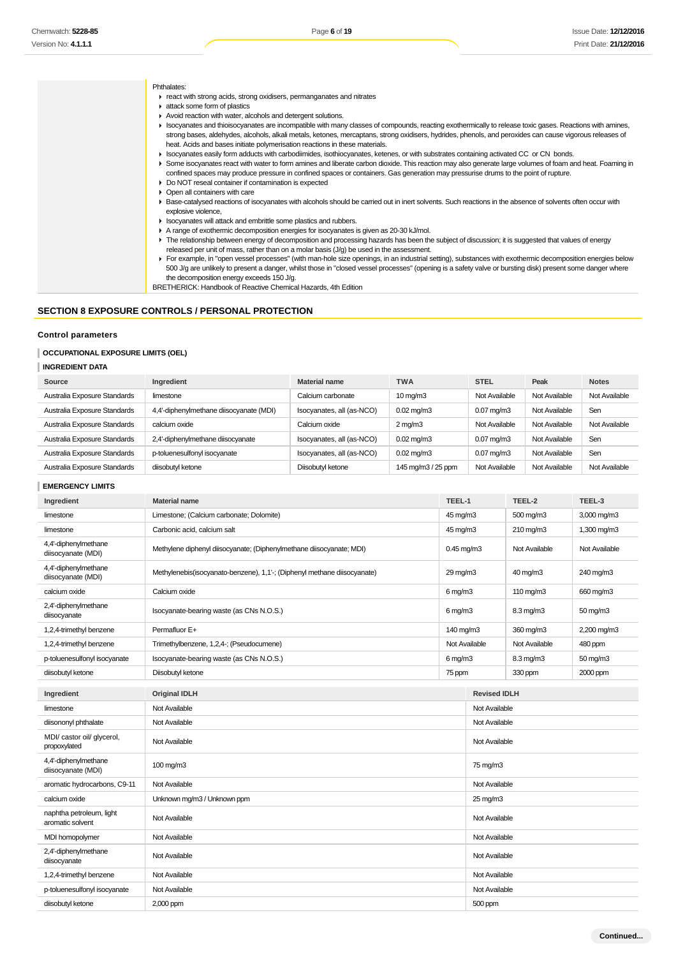| Phthalates:                                                                                                                                                 |
|-------------------------------------------------------------------------------------------------------------------------------------------------------------|
| react with strong acids, strong oxidisers, permanganates and nitrates                                                                                       |
| Lattack some form of plastics                                                                                                                               |
| Avoid reaction with water, alcohols and detergent solutions.                                                                                                |
| ► Isocyanates and thioisocyanates are incompatible with many classes of compounds, reacting exothermically to release toxic gases. Reactions with amines,   |
| strong bases, aldehydes, alcohols, alkali metals, ketones, mercaptans, strong oxidisers, hydrides, phenols, and peroxides can cause vigorous releases of    |
| heat. Acids and bases initiate polymerisation reactions in these materials.                                                                                 |
| ► Isocyanates easily form adducts with carbodiimides, isothiocyanates, ketenes, or with substrates containing activated CC or CN bonds.                     |
| ▶ Some isocyanates react with water to form amines and liberate carbon dioxide. This reaction may also generate large volumes of foam and heat. Foaming in  |
| confined spaces may produce pressure in confined spaces or containers. Gas generation may pressurise drums to the point of rupture.                         |
| • Do NOT reseal container if contamination is expected                                                                                                      |
| • Open all containers with care                                                                                                                             |
| ► Base-catalysed reactions of isocyanates with alcohols should be carried out in inert solvents. Such reactions in the absence of solvents often occur with |
| explosive violence,                                                                                                                                         |
| In Isocyanates will attack and embrittle some plastics and rubbers.                                                                                         |
| A range of exothermic decomposition energies for isocyanates is given as 20-30 kJ/mol.                                                                      |
| • The relationship between energy of decomposition and processing hazards has been the subject of discussion; it is suggested that values of energy         |
| released per unit of mass, rather than on a molar basis (J/g) be used in the assessment.                                                                    |
| For example, in "open vessel processes" (with man-hole size openings, in an industrial setting), substances with exothermic decomposition energies below    |
| 500 J/g are unlikely to present a danger, whilst those in "closed vessel processes" (opening is a safety valve or bursting disk) present some danger where  |
| the decomposition energy exceeds 150 J/g.                                                                                                                   |
| BRETHERICK: Handbook of Reactive Chemical Hazards, 4th Edition                                                                                              |

# **SECTION 8 EXPOSURE CONTROLS / PERSONAL PROTECTION**

## **Control parameters**

# **OCCUPATIONAL EXPOSURE LIMITS (OEL)**

## **INGREDIENT DATA**

| Source                       | Ingredient                              | <b>Material name</b>      | <b>TWA</b>         | <b>STEL</b>     | Peak          | <b>Notes</b>  |
|------------------------------|-----------------------------------------|---------------------------|--------------------|-----------------|---------------|---------------|
| Australia Exposure Standards | limestone                               | Calcium carbonate         | $10 \text{ mg/m}$  | Not Available   | Not Available | Not Available |
| Australia Exposure Standards | 4,4'-diphenylmethane diisocyanate (MDI) | Isocyanates, all (as-NCO) | $0.02$ mg/m $3$    | $0.07$ mg/m $3$ | Not Available | Sen           |
| Australia Exposure Standards | calcium oxide                           | Calcium oxide             | $2 \text{ mg/m}$   | Not Available   | Not Available | Not Available |
| Australia Exposure Standards | 2,4'-diphenylmethane diisocyanate       | Isocyanates, all (as-NCO) | $0.02$ mg/m $3$    | $0.07$ mg/m $3$ | Not Available | Sen           |
| Australia Exposure Standards | p-toluenesulfonyl isocyanate            | Isocyanates, all (as-NCO) | $0.02$ mg/m $3$    | $0.07$ mg/m $3$ | Not Available | Sen           |
| Australia Exposure Standards | diisobutvl ketone                       | Diisobutyl ketone         | 145 mg/m3 / 25 ppm | Not Available   | Not Available | Not Available |

# **EMERGENCY LIMITS**

| Ingredient                                   | <b>Material name</b>                                                     | TEEL-1               |                     | TEEL-2        | TEEL-3        |  |
|----------------------------------------------|--------------------------------------------------------------------------|----------------------|---------------------|---------------|---------------|--|
| limestone                                    | Limestone; (Calcium carbonate; Dolomite)                                 | 45 mg/m3             |                     | 500 mg/m3     | 3,000 mg/m3   |  |
| limestone                                    | Carbonic acid, calcium salt                                              | 45 mg/m3             |                     | 210 mg/m3     | 1,300 mg/m3   |  |
| 4,4'-diphenylmethane<br>diisocyanate (MDI)   | Methylene diphenyl diisocyanate; (Diphenylmethane diisocyanate; MDI)     | $0.45$ mg/m $3$      |                     | Not Available | Not Available |  |
| 4,4'-diphenylmethane<br>diisocyanate (MDI)   | Methylenebis(isocyanato-benzene), 1,1'-; (Diphenyl methane diisocyanate) | $29 \,\mathrm{mg/m}$ |                     | 40 mg/m3      | 240 mg/m3     |  |
| calcium oxide                                | Calcium oxide                                                            | $6$ mg/m $3$         |                     | 110 mg/m3     | 660 mg/m3     |  |
| 2,4'-diphenylmethane<br>diisocyanate         | Isocyanate-bearing waste (as CNs N.O.S.)                                 | $6$ mg/m $3$         |                     | 8.3 mg/m3     | 50 mg/m3      |  |
| 1,2,4-trimethyl benzene                      | Permafluor E+                                                            | 140 mg/m3            |                     | 360 mg/m3     | 2,200 mg/m3   |  |
| 1,2,4-trimethyl benzene                      | Trimethylbenzene, 1,2,4-; (Pseudocumene)                                 | Not Available        |                     | Not Available | 480 ppm       |  |
| p-toluenesulfonyl isocyanate                 | Isocyanate-bearing waste (as CNs N.O.S.)                                 | $6$ mg/m $3$         |                     | 8.3 mg/m3     | 50 mg/m3      |  |
| diisobutyl ketone                            | Diisobutyl ketone<br>75 ppm                                              |                      |                     | 330 ppm       | 2000 ppm      |  |
| Ingredient                                   | <b>Original IDLH</b>                                                     |                      | <b>Revised IDLH</b> |               |               |  |
| limestone                                    | Not Available                                                            |                      |                     | Not Available |               |  |
| diisononyl phthalate                         | Not Available                                                            |                      | Not Available       |               |               |  |
| MDI/ castor oil/ glycerol,<br>propoxylated   | Not Available                                                            |                      |                     | Not Available |               |  |
| 4,4'-diphenylmethane<br>diisocyanate (MDI)   | 100 mg/m3                                                                |                      | 75 mg/m3            |               |               |  |
| aromatic hydrocarbons, C9-11                 | Not Available                                                            |                      | Not Available       |               |               |  |
| calcium oxide                                | Unknown mg/m3 / Unknown ppm                                              |                      | $25 \text{ mg/m}$   |               |               |  |
| naphtha petroleum, light<br>aromatic solvent | Not Available                                                            |                      | Not Available       |               |               |  |
| MDI homopolymer                              | Not Available                                                            |                      | Not Available       |               |               |  |
| 2,4'-diphenylmethane<br>diisocyanate         | Not Available                                                            |                      | Not Available       |               |               |  |
| 1,2,4-trimethyl benzene                      | Not Available                                                            |                      | Not Available       |               |               |  |
| p-toluenesulfonyl isocyanate                 | Not Available                                                            |                      |                     | Not Available |               |  |
| diisobutyl ketone                            | 2,000 ppm                                                                |                      | 500 ppm             |               |               |  |

**Continued...**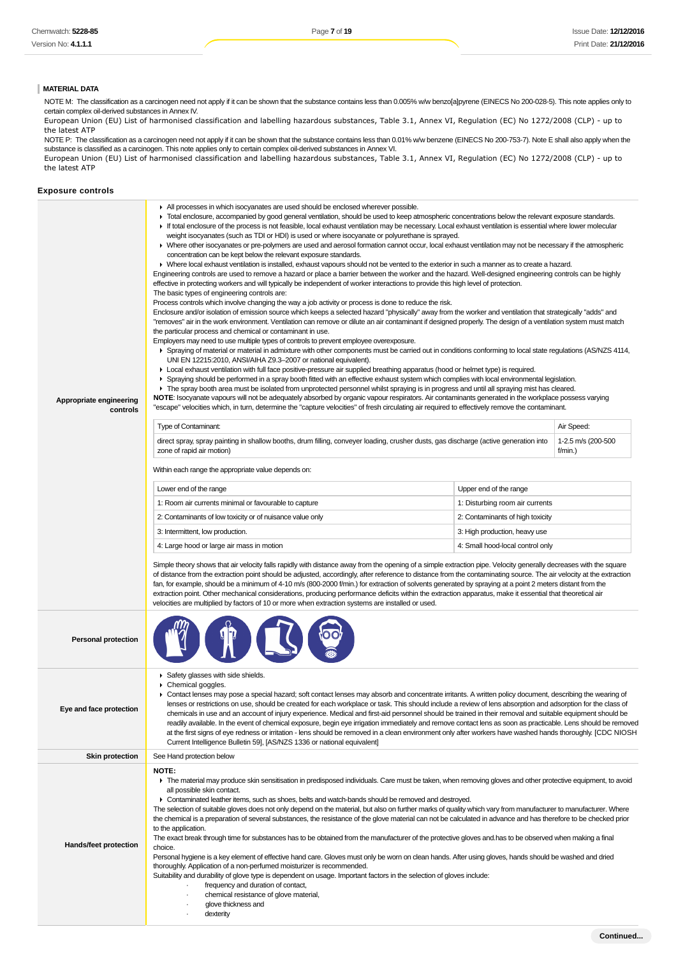#### **MATERIAL DATA**

NOTE M: The classification as a carcinogen need not apply if it can be shown that the substance contains less than 0.005% w/w benzo[a]pyrene (EINECS No 200-028-5). This note applies only to certain complex oil-derived substances in Annex IV.

European Union (EU) List of harmonised classification and labelling hazardous substances, Table 3.1, Annex VI, Regulation (EC) No 1272/2008 (CLP) - up to the latest ATP

NOTE P: The classification as a carcinogen need not apply if it can be shown that the substance contains less than 0.01% w/w benzene (EINECS No 200-753-7). Note E shall also apply when the substance is classified as a carcinogen. This note applies only to certain complex oil-derived substances in Annex VI.

European Union (EU) List of harmonised classification and labelling hazardous substances, Table 3.1, Annex VI, Regulation (EC) No 1272/2008 (CLP) - up to the latest ATP

#### **Exposure controls**

| Appropriate engineering<br>controls | All processes in which isocyanates are used should be enclosed wherever possible.<br>► Total enclosure, accompanied by good general ventilation, should be used to keep atmospheric concentrations below the relevant exposure standards.<br>If total enclosure of the process is not feasible, local exhaust ventilation may be necessary. Local exhaust ventilation is essential where lower molecular<br>weight isocyanates (such as TDI or HDI) is used or where isocyanate or polyurethane is sprayed.<br>• Where other isocyanates or pre-polymers are used and aerosol formation cannot occur, local exhaust ventilation may not be necessary if the atmospheric<br>concentration can be kept below the relevant exposure standards.<br>• Where local exhaust ventilation is installed, exhaust vapours should not be vented to the exterior in such a manner as to create a hazard.<br>Engineering controls are used to remove a hazard or place a barrier between the worker and the hazard. Well-designed engineering controls can be highly<br>effective in protecting workers and will typically be independent of worker interactions to provide this high level of protection.<br>The basic types of engineering controls are:<br>Process controls which involve changing the way a job activity or process is done to reduce the risk.<br>Enclosure and/or isolation of emission source which keeps a selected hazard "physically" away from the worker and ventilation that strategically "adds" and<br>"removes" air in the work environment. Ventilation can remove or dilute an air contaminant if designed properly. The design of a ventilation system must match<br>the particular process and chemical or contaminant in use.<br>Employers may need to use multiple types of controls to prevent employee overexposure.<br>▶ Spraying of material or material in admixture with other components must be carried out in conditions conforming to local state regulations (AS/NZS 4114,<br>UNI EN 12215:2010, ANSI/AIHA Z9.3-2007 or national equivalent).<br>► Local exhaust ventilation with full face positive-pressure air supplied breathing apparatus (hood or helmet type) is required.<br>▶ Spraying should be performed in a spray booth fitted with an effective exhaust system which complies with local environmental legislation.<br>► The spray booth area must be isolated from unprotected personnel whilst spraying is in progress and until all spraying mist has cleared.<br>NOTE: Isocyanate vapours will not be adequately absorbed by organic vapour respirators. Air contaminants generated in the workplace possess varying<br>"escape" velocities which, in turn, determine the "capture velocities" of fresh circulating air required to effectively remove the contaminant.<br>Type of Contaminant:<br>Air Speed:<br>direct spray, spray painting in shallow booths, drum filling, conveyer loading, crusher dusts, gas discharge (active generation into<br>1-2.5 m/s (200-500<br>zone of rapid air motion)<br>$f/min.$ )<br>Within each range the appropriate value depends on:<br>Lower end of the range<br>Upper end of the range<br>1: Room air currents minimal or favourable to capture<br>1: Disturbing room air currents<br>2: Contaminants of low toxicity or of nuisance value only<br>2: Contaminants of high toxicity<br>3: Intermittent, low production.<br>3: High production, heavy use<br>4: Large hood or large air mass in motion<br>4: Small hood-local control only<br>Simple theory shows that air velocity falls rapidly with distance away from the opening of a simple extraction pipe. Velocity generally decreases with the square<br>of distance from the extraction point should be adjusted, accordingly, after reference to distance from the contaminating source. The air velocity at the extraction |  |  |  |  |
|-------------------------------------|----------------------------------------------------------------------------------------------------------------------------------------------------------------------------------------------------------------------------------------------------------------------------------------------------------------------------------------------------------------------------------------------------------------------------------------------------------------------------------------------------------------------------------------------------------------------------------------------------------------------------------------------------------------------------------------------------------------------------------------------------------------------------------------------------------------------------------------------------------------------------------------------------------------------------------------------------------------------------------------------------------------------------------------------------------------------------------------------------------------------------------------------------------------------------------------------------------------------------------------------------------------------------------------------------------------------------------------------------------------------------------------------------------------------------------------------------------------------------------------------------------------------------------------------------------------------------------------------------------------------------------------------------------------------------------------------------------------------------------------------------------------------------------------------------------------------------------------------------------------------------------------------------------------------------------------------------------------------------------------------------------------------------------------------------------------------------------------------------------------------------------------------------------------------------------------------------------------------------------------------------------------------------------------------------------------------------------------------------------------------------------------------------------------------------------------------------------------------------------------------------------------------------------------------------------------------------------------------------------------------------------------------------------------------------------------------------------------------------------------------------------------------------------------------------------------------------------------------------------------------------------------------------------------------------------------------------------------------------------------------------------------------------------------------------------------------------------------------------------------------------------------------------------------------------------------------------------------------------------------------------------------------------------------------------------------------------------------------------------------------------------------------------------------------------------------------------------------------------------------------------------------------------------------------------------------------------------------------------------------------------------------------------------------------------------------------------------------------------------------------------------------------------------------------------------------------------------------------------------------------------------------|--|--|--|--|
| <b>Personal protection</b>          | extraction point. Other mechanical considerations, producing performance deficits within the extraction apparatus, make it essential that theoretical air<br>velocities are multiplied by factors of 10 or more when extraction systems are installed or used.                                                                                                                                                                                                                                                                                                                                                                                                                                                                                                                                                                                                                                                                                                                                                                                                                                                                                                                                                                                                                                                                                                                                                                                                                                                                                                                                                                                                                                                                                                                                                                                                                                                                                                                                                                                                                                                                                                                                                                                                                                                                                                                                                                                                                                                                                                                                                                                                                                                                                                                                                                                                                                                                                                                                                                                                                                                                                                                                                                                                                                                                                                                                                                                                                                                                                                                                                                                                                                                                                                                                                                                                                         |  |  |  |  |
| Eye and face protection             | Safety glasses with side shields.<br>Chemical goggles.<br>▶ Contact lenses may pose a special hazard; soft contact lenses may absorb and concentrate irritants. A written policy document, describing the wearing of<br>lenses or restrictions on use, should be created for each workplace or task. This should include a review of lens absorption and adsorption for the class of<br>chemicals in use and an account of injury experience. Medical and first-aid personnel should be trained in their removal and suitable equipment should be<br>readily available. In the event of chemical exposure, begin eye irrigation immediately and remove contact lens as soon as practicable. Lens should be removed<br>at the first signs of eye redness or irritation - lens should be removed in a clean environment only after workers have washed hands thoroughly. [CDC NIOSH<br>Current Intelligence Bulletin 59], [AS/NZS 1336 or national equivalent]                                                                                                                                                                                                                                                                                                                                                                                                                                                                                                                                                                                                                                                                                                                                                                                                                                                                                                                                                                                                                                                                                                                                                                                                                                                                                                                                                                                                                                                                                                                                                                                                                                                                                                                                                                                                                                                                                                                                                                                                                                                                                                                                                                                                                                                                                                                                                                                                                                                                                                                                                                                                                                                                                                                                                                                                                                                                                                                           |  |  |  |  |
| <b>Skin protection</b>              | See Hand protection below                                                                                                                                                                                                                                                                                                                                                                                                                                                                                                                                                                                                                                                                                                                                                                                                                                                                                                                                                                                                                                                                                                                                                                                                                                                                                                                                                                                                                                                                                                                                                                                                                                                                                                                                                                                                                                                                                                                                                                                                                                                                                                                                                                                                                                                                                                                                                                                                                                                                                                                                                                                                                                                                                                                                                                                                                                                                                                                                                                                                                                                                                                                                                                                                                                                                                                                                                                                                                                                                                                                                                                                                                                                                                                                                                                                                                                                              |  |  |  |  |
| Hands/feet protection               | NOTE:<br>The material may produce skin sensitisation in predisposed individuals. Care must be taken, when removing gloves and other protective equipment, to avoid<br>all possible skin contact.<br>► Contaminated leather items, such as shoes, belts and watch-bands should be removed and destroyed.<br>The selection of suitable gloves does not only depend on the material, but also on further marks of quality which vary from manufacturer to manufacturer. Where<br>the chemical is a preparation of several substances, the resistance of the glove material can not be calculated in advance and has therefore to be checked prior<br>to the application.<br>The exact break through time for substances has to be obtained from the manufacturer of the protective gloves and has to be observed when making a final<br>choice.<br>Personal hygiene is a key element of effective hand care. Gloves must only be worn on clean hands. After using gloves, hands should be washed and dried<br>thoroughly. Application of a non-perfumed moisturizer is recommended.<br>Suitability and durability of glove type is dependent on usage. Important factors in the selection of gloves include:<br>frequency and duration of contact,<br>chemical resistance of glove material,<br>glove thickness and<br>dexterity                                                                                                                                                                                                                                                                                                                                                                                                                                                                                                                                                                                                                                                                                                                                                                                                                                                                                                                                                                                                                                                                                                                                                                                                                                                                                                                                                                                                                                                                                                                                                                                                                                                                                                                                                                                                                                                                                                                                                                                                                                                                                                                                                                                                                                                                                                                                                                                                                                                                                                                                                          |  |  |  |  |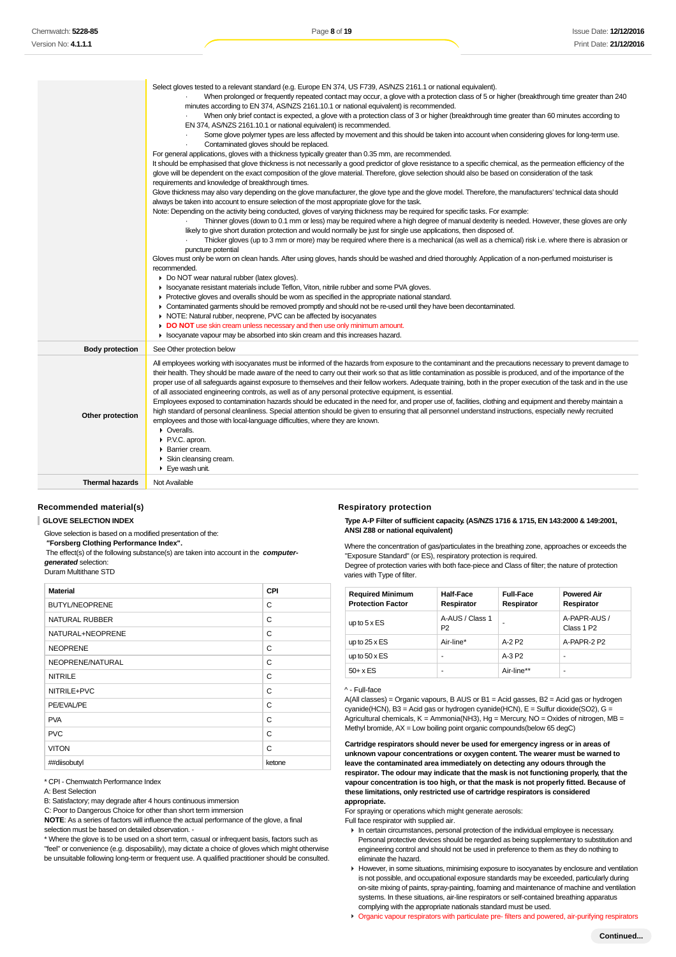|                        | Select gloves tested to a relevant standard (e.g. Europe EN 374, US F739, AS/NZS 2161.1 or national equivalent).<br>When prolonged or frequently repeated contact may occur, a glove with a protection class of 5 or higher (breakthrough time greater than 240<br>minutes according to EN 374, AS/NZS 2161.10.1 or national equivalent) is recommended.<br>When only brief contact is expected, a glove with a protection class of 3 or higher (breakthrough time greater than 60 minutes according to<br>EN 374, AS/NZS 2161.10.1 or national equivalent) is recommended.<br>Some glove polymer types are less affected by movement and this should be taken into account when considering gloves for long-term use.<br>Contaminated gloves should be replaced.<br>For general applications, gloves with a thickness typically greater than 0.35 mm, are recommended.<br>It should be emphasised that glove thickness is not necessarily a good predictor of glove resistance to a specific chemical, as the permeation efficiency of the<br>glove will be dependent on the exact composition of the glove material. Therefore, glove selection should also be based on consideration of the task<br>requirements and knowledge of breakthrough times.<br>Glove thickness may also vary depending on the glove manufacturer, the glove type and the glove model. Therefore, the manufacturers' technical data should<br>always be taken into account to ensure selection of the most appropriate glove for the task.<br>Note: Depending on the activity being conducted, gloves of varying thickness may be required for specific tasks. For example:<br>Thinner gloves (down to 0.1 mm or less) may be required where a high degree of manual dexterity is needed. However, these gloves are only<br>likely to give short duration protection and would normally be just for single use applications, then disposed of.<br>Thicker gloves (up to 3 mm or more) may be required where there is a mechanical (as well as a chemical) risk i.e. where there is abrasion or<br>puncture potential<br>Gloves must only be worn on clean hands. After using gloves, hands should be washed and dried thoroughly. Application of a non-perfumed moisturiser is<br>recommended.<br>Do NOT wear natural rubber (latex gloves).<br>In Isocyanate resistant materials include Teflon, Viton, nitrile rubber and some PVA gloves.<br>▶ Protective gloves and overalls should be worn as specified in the appropriate national standard.<br>• Contaminated garments should be removed promptly and should not be re-used until they have been decontaminated.<br>▶ NOTE: Natural rubber, neoprene, PVC can be affected by isocyanates<br>DO NOT use skin cream unless necessary and then use only minimum amount. |
|------------------------|---------------------------------------------------------------------------------------------------------------------------------------------------------------------------------------------------------------------------------------------------------------------------------------------------------------------------------------------------------------------------------------------------------------------------------------------------------------------------------------------------------------------------------------------------------------------------------------------------------------------------------------------------------------------------------------------------------------------------------------------------------------------------------------------------------------------------------------------------------------------------------------------------------------------------------------------------------------------------------------------------------------------------------------------------------------------------------------------------------------------------------------------------------------------------------------------------------------------------------------------------------------------------------------------------------------------------------------------------------------------------------------------------------------------------------------------------------------------------------------------------------------------------------------------------------------------------------------------------------------------------------------------------------------------------------------------------------------------------------------------------------------------------------------------------------------------------------------------------------------------------------------------------------------------------------------------------------------------------------------------------------------------------------------------------------------------------------------------------------------------------------------------------------------------------------------------------------------------------------------------------------------------------------------------------------------------------------------------------------------------------------------------------------------------------------------------------------------------------------------------------------------------------------------------------------------------------------------------------------------------------------------------------------------------------------------------------------------------------------------------------------------------------------------------------------|
|                        | In Isocyanate vapour may be absorbed into skin cream and this increases hazard.                                                                                                                                                                                                                                                                                                                                                                                                                                                                                                                                                                                                                                                                                                                                                                                                                                                                                                                                                                                                                                                                                                                                                                                                                                                                                                                                                                                                                                                                                                                                                                                                                                                                                                                                                                                                                                                                                                                                                                                                                                                                                                                                                                                                                                                                                                                                                                                                                                                                                                                                                                                                                                                                                                                         |
| <b>Body protection</b> | See Other protection below                                                                                                                                                                                                                                                                                                                                                                                                                                                                                                                                                                                                                                                                                                                                                                                                                                                                                                                                                                                                                                                                                                                                                                                                                                                                                                                                                                                                                                                                                                                                                                                                                                                                                                                                                                                                                                                                                                                                                                                                                                                                                                                                                                                                                                                                                                                                                                                                                                                                                                                                                                                                                                                                                                                                                                              |
| Other protection       | All employees working with isocyanates must be informed of the hazards from exposure to the contaminant and the precautions necessary to prevent damage to<br>their health. They should be made aware of the need to carry out their work so that as little contamination as possible is produced, and of the importance of the<br>proper use of all safeguards against exposure to themselves and their fellow workers. Adequate training, both in the proper execution of the task and in the use<br>of all associated engineering controls, as well as of any personal protective equipment, is essential.<br>Employees exposed to contamination hazards should be educated in the need for, and proper use of, facilities, clothing and equipment and thereby maintain a<br>high standard of personal cleanliness. Special attention should be given to ensuring that all personnel understand instructions, especially newly recruited<br>employees and those with local-language difficulties, where they are known.<br>• Overalls.<br>▶ P.V.C. apron.<br>Barrier cream.<br>Skin cleansing cream.<br>$\blacktriangleright$ Eye wash unit.                                                                                                                                                                                                                                                                                                                                                                                                                                                                                                                                                                                                                                                                                                                                                                                                                                                                                                                                                                                                                                                                                                                                                                                                                                                                                                                                                                                                                                                                                                                                                                                                                                                         |
| <b>Thermal hazards</b> | Not Available                                                                                                                                                                                                                                                                                                                                                                                                                                                                                                                                                                                                                                                                                                                                                                                                                                                                                                                                                                                                                                                                                                                                                                                                                                                                                                                                                                                                                                                                                                                                                                                                                                                                                                                                                                                                                                                                                                                                                                                                                                                                                                                                                                                                                                                                                                                                                                                                                                                                                                                                                                                                                                                                                                                                                                                           |

#### **Recommended material(s)**

**GLOVE SELECTION INDEX**

Glove selection is based on a modified presentation of the:

 **"Forsberg Clothing Performance Index".**

 The effect(s) of the following substance(s) are taken into account in the **computergenerated** selection: Duram Multithane STD

| <b>Material</b>       | <b>CPI</b> |
|-----------------------|------------|
| <b>BUTYL/NEOPRENE</b> | C          |
| NATURAL RUBBER        | C          |
| NATURAL+NEOPRENE      | C          |
| <b>NEOPRENE</b>       | C          |
| NEOPRENE/NATURAL      | C          |
| <b>NITRILE</b>        | C          |
| NITRILE+PVC           | C          |
| PE/EVAL/PE            | C          |
| <b>PVA</b>            | C          |
| <b>PVC</b>            | C          |
| <b>VITON</b>          | C          |
| ##diisobutyl          | ketone     |

\* CPI - Chemwatch Performance Index

A: Best Selection

B: Satisfactory; may degrade after 4 hours continuous immersion

C: Poor to Dangerous Choice for other than short term immersion

**NOTE**: As a series of factors will influence the actual performance of the glove, a final selection must be based on detailed observation. -

\* Where the glove is to be used on a short term, casual or infrequent basis, factors such as "feel" or convenience (e.g. disposability), may dictate a choice of gloves which might otherwise be unsuitable following long-term or frequent use. A qualified practitioner should be consulted.

#### **Respiratory protection**

**Type A-P Filter of sufficient capacity. (AS/NZS 1716 & 1715, EN 143:2000 & 149:2001, ANSI Z88 or national equivalent)**

Where the concentration of gas/particulates in the breathing zone, approaches or exceeds the "Exposure Standard" (or ES), respiratory protection is required. Degree of protection varies with both face-piece and Class of filter; the nature of protection varies with Type of filter.

| <b>Required Minimum</b><br><b>Protection Factor</b> | <b>Half-Face</b><br>Respirator | <b>Full-Face</b><br>Respirator | <b>Powered Air</b><br>Respirator       |
|-----------------------------------------------------|--------------------------------|--------------------------------|----------------------------------------|
| up to $5 \times ES$                                 | A-AUS / Class 1<br>P2          |                                | A-PAPR-AUS /<br>Class 1 P <sub>2</sub> |
| up to $25 \times ES$                                | Air-line*                      | A-2 P2                         | A-PAPR-2 P2                            |
| up to $50 \times ES$                                | ۰                              | $A-3P2$                        |                                        |
| $50+ x ES$                                          | ۰                              | Air-line**                     |                                        |

^ - Full-face

A(All classes) = Organic vapours, B AUS or B1 = Acid gasses, B2 = Acid gas or hydrogen  $c$ yanide(HCN), B3 = Acid gas or hydrogen cyanide(HCN), E = Sulfur dioxide(SO2), G = Agricultural chemicals,  $K =$  Ammonia(NH3), Hg = Mercury, NO = Oxides of nitrogen, MB = Methyl bromide, AX = Low boiling point organic compounds(below 65 degC)

**Cartridge respirators should never be used for emergency ingress or in areas of unknown vapour concentrations or oxygen content. The wearer must be warned to leave the contaminated area immediately on detecting any odours through the respirator. The odour may indicate that the mask is not functioning properly, that the vapour concentration is too high, or that the mask is not properly fitted. Because of these limitations, only restricted use of cartridge respirators is considered appropriate.**

For spraying or operations which might generate aerosols:

Full face respirator with supplied air.

- In certain circumstances, personal protection of the individual employee is necessary. Personal protective devices should be regarded as being supplementary to substitution and engineering control and should not be used in preference to them as they do nothing to eliminate the hazard.
- However, in some situations, minimising exposure to isocyanates by enclosure and ventilation is not possible, and occupational exposure standards may be exceeded, particularly during on-site mixing of paints, spray-painting, foaming and maintenance of machine and ventilation systems. In these situations, air-line respirators or self-contained breathing apparatus complying with the appropriate nationals standard must be used.
- **Organic vapour respirators with particulate pre- filters and powered, air-purifying respirators**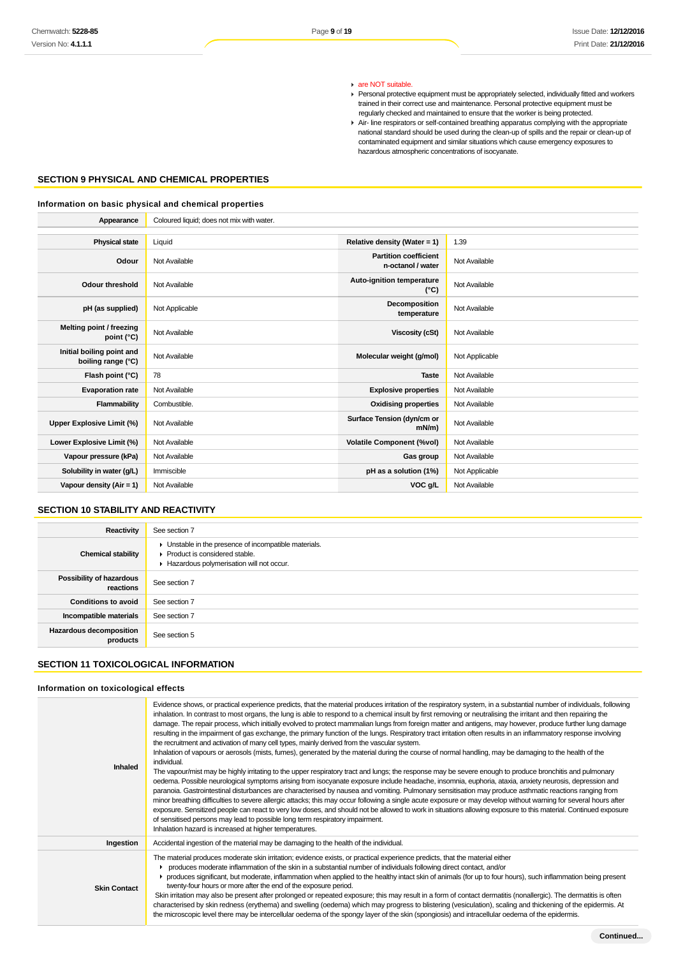#### are NOT suitable.

- Personal protective equipment must be appropriately selected, individually fitted and workers trained in their correct use and maintenance. Personal protective equipment must be regularly checked and maintained to ensure that the worker is being protected.
- $\blacktriangleright$  Air- line respirators or self-contained breathing apparatus complying with the appropriate national standard should be used during the clean-up of spills and the repair or clean-up of contaminated equipment and similar situations which cause emergency exposures to hazardous atmospheric concentrations of isocyanate.

## **SECTION 9 PHYSICAL AND CHEMICAL PROPERTIES**

## **Information on basic physical and chemical properties**

| Appearance                                      | Coloured liquid; does not mix with water. |                                                   |                |
|-------------------------------------------------|-------------------------------------------|---------------------------------------------------|----------------|
|                                                 |                                           |                                                   |                |
| <b>Physical state</b>                           | Liquid                                    | Relative density (Water = $1$ )                   | 1.39           |
| Odour                                           | Not Available                             | <b>Partition coefficient</b><br>n-octanol / water | Not Available  |
| <b>Odour threshold</b>                          | Not Available                             | Auto-ignition temperature<br>$(^{\circ}C)$        | Not Available  |
| pH (as supplied)                                | Not Applicable                            | Decomposition<br>temperature                      | Not Available  |
| Melting point / freezing<br>point (°C)          | Not Available                             | <b>Viscosity (cSt)</b>                            | Not Available  |
| Initial boiling point and<br>boiling range (°C) | Not Available                             | Molecular weight (g/mol)                          | Not Applicable |
| Flash point (°C)                                | 78                                        | <b>Taste</b>                                      | Not Available  |
| <b>Evaporation rate</b>                         | Not Available                             | <b>Explosive properties</b>                       | Not Available  |
| Flammability                                    | Combustible.                              | <b>Oxidising properties</b>                       | Not Available  |
| Upper Explosive Limit (%)                       | Not Available                             | Surface Tension (dyn/cm or<br>$mN/m$ )            | Not Available  |
| Lower Explosive Limit (%)                       | Not Available                             | <b>Volatile Component (%vol)</b>                  | Not Available  |
| Vapour pressure (kPa)                           | Not Available                             | Gas group                                         | Not Available  |
| Solubility in water (q/L)                       | Immiscible                                | pH as a solution (1%)                             | Not Applicable |
| Vapour density ( $Air = 1$ )                    | Not Available                             | VOC g/L                                           | Not Available  |

## **SECTION 10 STABILITY AND REACTIVITY**

| Reactivity                                 | See section 7                                                                                                                        |
|--------------------------------------------|--------------------------------------------------------------------------------------------------------------------------------------|
| <b>Chemical stability</b>                  | • Unstable in the presence of incompatible materials.<br>▶ Product is considered stable.<br>Hazardous polymerisation will not occur. |
| Possibility of hazardous<br>reactions      | See section 7                                                                                                                        |
| <b>Conditions to avoid</b>                 | See section 7                                                                                                                        |
| Incompatible materials                     | See section 7                                                                                                                        |
| <b>Hazardous decomposition</b><br>products | See section 5                                                                                                                        |

# **SECTION 11 TOXICOLOGICAL INFORMATION**

#### **Information on toxicological effects**

| Inhaled             | Evidence shows, or practical experience predicts, that the material produces irritation of the respiratory system, in a substantial number of individuals, following<br>inhalation. In contrast to most organs, the lung is able to respond to a chemical insult by first removing or neutralising the irritant and then repairing the<br>damage. The repair process, which initially evolved to protect mammalian lungs from foreign matter and antigens, may however, produce further lung damage<br>resulting in the impairment of gas exchange, the primary function of the lungs. Respiratory tract irritation often results in an inflammatory response involving<br>the recruitment and activation of many cell types, mainly derived from the vascular system.<br>Inhalation of vapours or aerosols (mists, fumes), generated by the material during the course of normal handling, may be damaging to the health of the<br>individual.<br>The vapour/mist may be highly irritating to the upper respiratory tract and lungs; the response may be severe enough to produce bronchitis and pulmonary<br>oedema. Possible neurological symptoms arising from isocyanate exposure include headache, insomnia, euphoria, ataxia, anxiety neurosis, depression and<br>paranoia. Gastrointestinal disturbances are characterised by nausea and vomiting. Pulmonary sensitisation may produce asthmatic reactions ranging from<br>minor breathing difficulties to severe allergic attacks; this may occur following a single acute exposure or may develop without warning for several hours after<br>exposure. Sensitized people can react to very low doses, and should not be allowed to work in situations allowing exposure to this material. Continued exposure<br>of sensitised persons may lead to possible long term respiratory impairment.<br>Inhalation hazard is increased at higher temperatures. |
|---------------------|------------------------------------------------------------------------------------------------------------------------------------------------------------------------------------------------------------------------------------------------------------------------------------------------------------------------------------------------------------------------------------------------------------------------------------------------------------------------------------------------------------------------------------------------------------------------------------------------------------------------------------------------------------------------------------------------------------------------------------------------------------------------------------------------------------------------------------------------------------------------------------------------------------------------------------------------------------------------------------------------------------------------------------------------------------------------------------------------------------------------------------------------------------------------------------------------------------------------------------------------------------------------------------------------------------------------------------------------------------------------------------------------------------------------------------------------------------------------------------------------------------------------------------------------------------------------------------------------------------------------------------------------------------------------------------------------------------------------------------------------------------------------------------------------------------------------------------------------------------------------------------------------------------------|
| Ingestion           | Accidental ingestion of the material may be damaging to the health of the individual.                                                                                                                                                                                                                                                                                                                                                                                                                                                                                                                                                                                                                                                                                                                                                                                                                                                                                                                                                                                                                                                                                                                                                                                                                                                                                                                                                                                                                                                                                                                                                                                                                                                                                                                                                                                                                            |
| <b>Skin Contact</b> | The material produces moderate skin irritation; evidence exists, or practical experience predicts, that the material either<br>produces moderate inflammation of the skin in a substantial number of individuals following direct contact, and/or<br>reproduces significant, but moderate, inflammation when applied to the healthy intact skin of animals (for up to four hours), such inflammation being present<br>twenty-four hours or more after the end of the exposure period.<br>Skin irritation may also be present after prolonged or repeated exposure; this may result in a form of contact dermatitis (nonallergic). The dermatitis is often<br>characterised by skin redness (erythema) and swelling (oedema) which may progress to blistering (vesiculation), scaling and thickening of the epidermis. At<br>the microscopic level there may be intercellular oedema of the spongy layer of the skin (spongiosis) and intracellular oedema of the epidermis.                                                                                                                                                                                                                                                                                                                                                                                                                                                                                                                                                                                                                                                                                                                                                                                                                                                                                                                                      |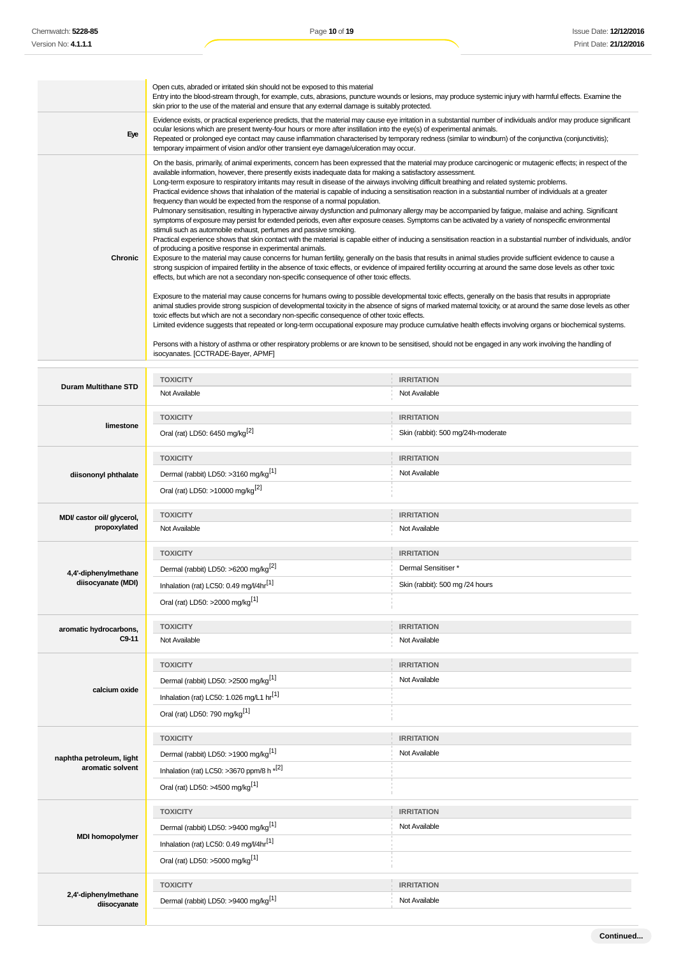|                                              | Open cuts, abraded or irritated skin should not be exposed to this material<br>Entry into the blood-stream through, for example, cuts, abrasions, puncture wounds or lesions, may produce systemic injury with harmful effects. Examine the<br>skin prior to the use of the material and ensure that any external damage is suitably protected.                                                                                                                                                                                                                                                                                                                                                                                                                                                                                                                                                                                                                                                                                                                                                                                                                                                                                                                                                                                                                                                                                                                                                                                                                                                                                                                                                                                                                                                                                                                                                                                                                                                                                                                                                                                                                                                                                                                                                                                                                                                                                                                                                                                                 |                                    |  |  |
|----------------------------------------------|-------------------------------------------------------------------------------------------------------------------------------------------------------------------------------------------------------------------------------------------------------------------------------------------------------------------------------------------------------------------------------------------------------------------------------------------------------------------------------------------------------------------------------------------------------------------------------------------------------------------------------------------------------------------------------------------------------------------------------------------------------------------------------------------------------------------------------------------------------------------------------------------------------------------------------------------------------------------------------------------------------------------------------------------------------------------------------------------------------------------------------------------------------------------------------------------------------------------------------------------------------------------------------------------------------------------------------------------------------------------------------------------------------------------------------------------------------------------------------------------------------------------------------------------------------------------------------------------------------------------------------------------------------------------------------------------------------------------------------------------------------------------------------------------------------------------------------------------------------------------------------------------------------------------------------------------------------------------------------------------------------------------------------------------------------------------------------------------------------------------------------------------------------------------------------------------------------------------------------------------------------------------------------------------------------------------------------------------------------------------------------------------------------------------------------------------------------------------------------------------------------------------------------------------------|------------------------------------|--|--|
| Eye                                          | Evidence exists, or practical experience predicts, that the material may cause eye irritation in a substantial number of individuals and/or may produce significant<br>ocular lesions which are present twenty-four hours or more after instillation into the eye(s) of experimental animals.<br>Repeated or prolonged eye contact may cause inflammation characterised by temporary redness (similar to windburn) of the conjunctivity (conjunctivitis);<br>temporary impairment of vision and/or other transient eye damage/ulceration may occur.                                                                                                                                                                                                                                                                                                                                                                                                                                                                                                                                                                                                                                                                                                                                                                                                                                                                                                                                                                                                                                                                                                                                                                                                                                                                                                                                                                                                                                                                                                                                                                                                                                                                                                                                                                                                                                                                                                                                                                                             |                                    |  |  |
| Chronic                                      | On the basis, primarily, of animal experiments, concern has been expressed that the material may produce carcinogenic or mutagenic effects; in respect of the<br>available information, however, there presently exists inadequate data for making a satisfactory assessment.<br>Long-term exposure to respiratory irritants may result in disease of the airways involving difficult breathing and related systemic problems.<br>Practical evidence shows that inhalation of the material is capable of inducing a sensitisation reaction in a substantial number of individuals at a greater<br>frequency than would be expected from the response of a normal population.<br>Pulmonary sensitisation, resulting in hyperactive airway dysfunction and pulmonary allergy may be accompanied by fatigue, malaise and aching. Significant<br>symptoms of exposure may persist for extended periods, even after exposure ceases. Symptoms can be activated by a variety of nonspecific environmental<br>stimuli such as automobile exhaust, perfumes and passive smoking.<br>Practical experience shows that skin contact with the material is capable either of inducing a sensitisation reaction in a substantial number of individuals, and/or<br>of producing a positive response in experimental animals.<br>Exposure to the material may cause concerns for human fertility, generally on the basis that results in animal studies provide sufficient evidence to cause a<br>strong suspicion of impaired fertility in the absence of toxic effects, or evidence of impaired fertility occurring at around the same dose levels as other toxic<br>effects, but which are not a secondary non-specific consequence of other toxic effects.<br>Exposure to the material may cause concerns for humans owing to possible developmental toxic effects, generally on the basis that results in appropriate<br>animal studies provide strong suspicion of developmental toxicity in the absence of signs of marked maternal toxicity, or at around the same dose levels as other<br>toxic effects but which are not a secondary non-specific consequence of other toxic effects.<br>Limited evidence suggests that repeated or long-term occupational exposure may produce cumulative health effects involving organs or biochemical systems.<br>Persons with a history of asthma or other respiratory problems or are known to be sensitised, should not be engaged in any work involving the handling of<br>isocyanates. [CCTRADE-Bayer, APMF] |                                    |  |  |
|                                              |                                                                                                                                                                                                                                                                                                                                                                                                                                                                                                                                                                                                                                                                                                                                                                                                                                                                                                                                                                                                                                                                                                                                                                                                                                                                                                                                                                                                                                                                                                                                                                                                                                                                                                                                                                                                                                                                                                                                                                                                                                                                                                                                                                                                                                                                                                                                                                                                                                                                                                                                                 |                                    |  |  |
| <b>Duram Multithane STD</b>                  | <b>TOXICITY</b><br>Not Available                                                                                                                                                                                                                                                                                                                                                                                                                                                                                                                                                                                                                                                                                                                                                                                                                                                                                                                                                                                                                                                                                                                                                                                                                                                                                                                                                                                                                                                                                                                                                                                                                                                                                                                                                                                                                                                                                                                                                                                                                                                                                                                                                                                                                                                                                                                                                                                                                                                                                                                | <b>IRRITATION</b><br>Not Available |  |  |
|                                              |                                                                                                                                                                                                                                                                                                                                                                                                                                                                                                                                                                                                                                                                                                                                                                                                                                                                                                                                                                                                                                                                                                                                                                                                                                                                                                                                                                                                                                                                                                                                                                                                                                                                                                                                                                                                                                                                                                                                                                                                                                                                                                                                                                                                                                                                                                                                                                                                                                                                                                                                                 |                                    |  |  |
| limestone                                    | <b>TOXICITY</b>                                                                                                                                                                                                                                                                                                                                                                                                                                                                                                                                                                                                                                                                                                                                                                                                                                                                                                                                                                                                                                                                                                                                                                                                                                                                                                                                                                                                                                                                                                                                                                                                                                                                                                                                                                                                                                                                                                                                                                                                                                                                                                                                                                                                                                                                                                                                                                                                                                                                                                                                 | <b>IRRITATION</b>                  |  |  |
|                                              | Oral (rat) LD50: 6450 mg/kg <sup>[2]</sup>                                                                                                                                                                                                                                                                                                                                                                                                                                                                                                                                                                                                                                                                                                                                                                                                                                                                                                                                                                                                                                                                                                                                                                                                                                                                                                                                                                                                                                                                                                                                                                                                                                                                                                                                                                                                                                                                                                                                                                                                                                                                                                                                                                                                                                                                                                                                                                                                                                                                                                      | Skin (rabbit): 500 mg/24h-moderate |  |  |
|                                              | <b>TOXICITY</b>                                                                                                                                                                                                                                                                                                                                                                                                                                                                                                                                                                                                                                                                                                                                                                                                                                                                                                                                                                                                                                                                                                                                                                                                                                                                                                                                                                                                                                                                                                                                                                                                                                                                                                                                                                                                                                                                                                                                                                                                                                                                                                                                                                                                                                                                                                                                                                                                                                                                                                                                 | <b>IRRITATION</b>                  |  |  |
| diisononyl phthalate                         | Dermal (rabbit) LD50: >3160 mg/kg <sup>[1]</sup>                                                                                                                                                                                                                                                                                                                                                                                                                                                                                                                                                                                                                                                                                                                                                                                                                                                                                                                                                                                                                                                                                                                                                                                                                                                                                                                                                                                                                                                                                                                                                                                                                                                                                                                                                                                                                                                                                                                                                                                                                                                                                                                                                                                                                                                                                                                                                                                                                                                                                                | Not Available                      |  |  |
|                                              | Oral (rat) LD50: >10000 mg/kg <sup>[2]</sup>                                                                                                                                                                                                                                                                                                                                                                                                                                                                                                                                                                                                                                                                                                                                                                                                                                                                                                                                                                                                                                                                                                                                                                                                                                                                                                                                                                                                                                                                                                                                                                                                                                                                                                                                                                                                                                                                                                                                                                                                                                                                                                                                                                                                                                                                                                                                                                                                                                                                                                    |                                    |  |  |
| MDI/ castor oil/ glycerol,                   | <b>TOXICITY</b>                                                                                                                                                                                                                                                                                                                                                                                                                                                                                                                                                                                                                                                                                                                                                                                                                                                                                                                                                                                                                                                                                                                                                                                                                                                                                                                                                                                                                                                                                                                                                                                                                                                                                                                                                                                                                                                                                                                                                                                                                                                                                                                                                                                                                                                                                                                                                                                                                                                                                                                                 | <b>IRRITATION</b>                  |  |  |
| propoxylated                                 | Not Available                                                                                                                                                                                                                                                                                                                                                                                                                                                                                                                                                                                                                                                                                                                                                                                                                                                                                                                                                                                                                                                                                                                                                                                                                                                                                                                                                                                                                                                                                                                                                                                                                                                                                                                                                                                                                                                                                                                                                                                                                                                                                                                                                                                                                                                                                                                                                                                                                                                                                                                                   | Not Available                      |  |  |
|                                              | <b>TOXICITY</b>                                                                                                                                                                                                                                                                                                                                                                                                                                                                                                                                                                                                                                                                                                                                                                                                                                                                                                                                                                                                                                                                                                                                                                                                                                                                                                                                                                                                                                                                                                                                                                                                                                                                                                                                                                                                                                                                                                                                                                                                                                                                                                                                                                                                                                                                                                                                                                                                                                                                                                                                 | <b>IRRITATION</b>                  |  |  |
| 4,4'-diphenylmethane                         | Dermal (rabbit) LD50: >6200 mg/kg <sup>[2]</sup>                                                                                                                                                                                                                                                                                                                                                                                                                                                                                                                                                                                                                                                                                                                                                                                                                                                                                                                                                                                                                                                                                                                                                                                                                                                                                                                                                                                                                                                                                                                                                                                                                                                                                                                                                                                                                                                                                                                                                                                                                                                                                                                                                                                                                                                                                                                                                                                                                                                                                                | Dermal Sensitiser *                |  |  |
| diisocyanate (MDI)                           | Inhalation (rat) LC50: 0.49 mg/l/4hr <sup>[1]</sup>                                                                                                                                                                                                                                                                                                                                                                                                                                                                                                                                                                                                                                                                                                                                                                                                                                                                                                                                                                                                                                                                                                                                                                                                                                                                                                                                                                                                                                                                                                                                                                                                                                                                                                                                                                                                                                                                                                                                                                                                                                                                                                                                                                                                                                                                                                                                                                                                                                                                                             | Skin (rabbit): 500 mg /24 hours    |  |  |
|                                              | Oral (rat) LD50: >2000 mg/kg <sup>[1]</sup>                                                                                                                                                                                                                                                                                                                                                                                                                                                                                                                                                                                                                                                                                                                                                                                                                                                                                                                                                                                                                                                                                                                                                                                                                                                                                                                                                                                                                                                                                                                                                                                                                                                                                                                                                                                                                                                                                                                                                                                                                                                                                                                                                                                                                                                                                                                                                                                                                                                                                                     |                                    |  |  |
| aromatic hydrocarbons,                       | <b>TOXICITY</b>                                                                                                                                                                                                                                                                                                                                                                                                                                                                                                                                                                                                                                                                                                                                                                                                                                                                                                                                                                                                                                                                                                                                                                                                                                                                                                                                                                                                                                                                                                                                                                                                                                                                                                                                                                                                                                                                                                                                                                                                                                                                                                                                                                                                                                                                                                                                                                                                                                                                                                                                 | <b>IRRITATION</b>                  |  |  |
| C9-11                                        | Not Available                                                                                                                                                                                                                                                                                                                                                                                                                                                                                                                                                                                                                                                                                                                                                                                                                                                                                                                                                                                                                                                                                                                                                                                                                                                                                                                                                                                                                                                                                                                                                                                                                                                                                                                                                                                                                                                                                                                                                                                                                                                                                                                                                                                                                                                                                                                                                                                                                                                                                                                                   | Not Available                      |  |  |
|                                              | <b>TOXICITY</b>                                                                                                                                                                                                                                                                                                                                                                                                                                                                                                                                                                                                                                                                                                                                                                                                                                                                                                                                                                                                                                                                                                                                                                                                                                                                                                                                                                                                                                                                                                                                                                                                                                                                                                                                                                                                                                                                                                                                                                                                                                                                                                                                                                                                                                                                                                                                                                                                                                                                                                                                 | <b>IRRITATION</b>                  |  |  |
|                                              | Dermal (rabbit) LD50: >2500 mg/kg <sup>[1]</sup>                                                                                                                                                                                                                                                                                                                                                                                                                                                                                                                                                                                                                                                                                                                                                                                                                                                                                                                                                                                                                                                                                                                                                                                                                                                                                                                                                                                                                                                                                                                                                                                                                                                                                                                                                                                                                                                                                                                                                                                                                                                                                                                                                                                                                                                                                                                                                                                                                                                                                                | Not Available                      |  |  |
| calcium oxide                                | Inhalation (rat) LC50: 1.026 mg/L1 hr <sup>[1]</sup>                                                                                                                                                                                                                                                                                                                                                                                                                                                                                                                                                                                                                                                                                                                                                                                                                                                                                                                                                                                                                                                                                                                                                                                                                                                                                                                                                                                                                                                                                                                                                                                                                                                                                                                                                                                                                                                                                                                                                                                                                                                                                                                                                                                                                                                                                                                                                                                                                                                                                            |                                    |  |  |
|                                              | Oral (rat) LD50: 790 mg/kg <sup>[1]</sup>                                                                                                                                                                                                                                                                                                                                                                                                                                                                                                                                                                                                                                                                                                                                                                                                                                                                                                                                                                                                                                                                                                                                                                                                                                                                                                                                                                                                                                                                                                                                                                                                                                                                                                                                                                                                                                                                                                                                                                                                                                                                                                                                                                                                                                                                                                                                                                                                                                                                                                       |                                    |  |  |
|                                              |                                                                                                                                                                                                                                                                                                                                                                                                                                                                                                                                                                                                                                                                                                                                                                                                                                                                                                                                                                                                                                                                                                                                                                                                                                                                                                                                                                                                                                                                                                                                                                                                                                                                                                                                                                                                                                                                                                                                                                                                                                                                                                                                                                                                                                                                                                                                                                                                                                                                                                                                                 |                                    |  |  |
|                                              | <b>TOXICITY</b>                                                                                                                                                                                                                                                                                                                                                                                                                                                                                                                                                                                                                                                                                                                                                                                                                                                                                                                                                                                                                                                                                                                                                                                                                                                                                                                                                                                                                                                                                                                                                                                                                                                                                                                                                                                                                                                                                                                                                                                                                                                                                                                                                                                                                                                                                                                                                                                                                                                                                                                                 | <b>IRRITATION</b>                  |  |  |
| naphtha petroleum, light<br>aromatic solvent | Dermal (rabbit) LD50: >1900 mg/kg <sup>[1]</sup>                                                                                                                                                                                                                                                                                                                                                                                                                                                                                                                                                                                                                                                                                                                                                                                                                                                                                                                                                                                                                                                                                                                                                                                                                                                                                                                                                                                                                                                                                                                                                                                                                                                                                                                                                                                                                                                                                                                                                                                                                                                                                                                                                                                                                                                                                                                                                                                                                                                                                                | Not Available                      |  |  |
|                                              | Inhalation (rat) LC50: >3670 ppm/8 h *[2]<br>Oral (rat) LD50: >4500 mg/kg <sup>[1]</sup>                                                                                                                                                                                                                                                                                                                                                                                                                                                                                                                                                                                                                                                                                                                                                                                                                                                                                                                                                                                                                                                                                                                                                                                                                                                                                                                                                                                                                                                                                                                                                                                                                                                                                                                                                                                                                                                                                                                                                                                                                                                                                                                                                                                                                                                                                                                                                                                                                                                        |                                    |  |  |
|                                              |                                                                                                                                                                                                                                                                                                                                                                                                                                                                                                                                                                                                                                                                                                                                                                                                                                                                                                                                                                                                                                                                                                                                                                                                                                                                                                                                                                                                                                                                                                                                                                                                                                                                                                                                                                                                                                                                                                                                                                                                                                                                                                                                                                                                                                                                                                                                                                                                                                                                                                                                                 |                                    |  |  |
|                                              | <b>TOXICITY</b>                                                                                                                                                                                                                                                                                                                                                                                                                                                                                                                                                                                                                                                                                                                                                                                                                                                                                                                                                                                                                                                                                                                                                                                                                                                                                                                                                                                                                                                                                                                                                                                                                                                                                                                                                                                                                                                                                                                                                                                                                                                                                                                                                                                                                                                                                                                                                                                                                                                                                                                                 | <b>IRRITATION</b>                  |  |  |
| <b>MDI homopolymer</b>                       | Dermal (rabbit) LD50: >9400 mg/kg <sup>[1]</sup>                                                                                                                                                                                                                                                                                                                                                                                                                                                                                                                                                                                                                                                                                                                                                                                                                                                                                                                                                                                                                                                                                                                                                                                                                                                                                                                                                                                                                                                                                                                                                                                                                                                                                                                                                                                                                                                                                                                                                                                                                                                                                                                                                                                                                                                                                                                                                                                                                                                                                                | Not Available                      |  |  |
|                                              | Inhalation (rat) LC50: 0.49 mg/l/4hr <sup>[1]</sup>                                                                                                                                                                                                                                                                                                                                                                                                                                                                                                                                                                                                                                                                                                                                                                                                                                                                                                                                                                                                                                                                                                                                                                                                                                                                                                                                                                                                                                                                                                                                                                                                                                                                                                                                                                                                                                                                                                                                                                                                                                                                                                                                                                                                                                                                                                                                                                                                                                                                                             |                                    |  |  |
|                                              | Oral (rat) LD50: >5000 mg/kg <sup>[1]</sup>                                                                                                                                                                                                                                                                                                                                                                                                                                                                                                                                                                                                                                                                                                                                                                                                                                                                                                                                                                                                                                                                                                                                                                                                                                                                                                                                                                                                                                                                                                                                                                                                                                                                                                                                                                                                                                                                                                                                                                                                                                                                                                                                                                                                                                                                                                                                                                                                                                                                                                     |                                    |  |  |
|                                              | <b>TOXICITY</b>                                                                                                                                                                                                                                                                                                                                                                                                                                                                                                                                                                                                                                                                                                                                                                                                                                                                                                                                                                                                                                                                                                                                                                                                                                                                                                                                                                                                                                                                                                                                                                                                                                                                                                                                                                                                                                                                                                                                                                                                                                                                                                                                                                                                                                                                                                                                                                                                                                                                                                                                 | <b>IRRITATION</b>                  |  |  |
| 2,4'-diphenylmethane<br>diisocyanate         | Dermal (rabbit) LD50: >9400 mg/kg <sup>[1]</sup>                                                                                                                                                                                                                                                                                                                                                                                                                                                                                                                                                                                                                                                                                                                                                                                                                                                                                                                                                                                                                                                                                                                                                                                                                                                                                                                                                                                                                                                                                                                                                                                                                                                                                                                                                                                                                                                                                                                                                                                                                                                                                                                                                                                                                                                                                                                                                                                                                                                                                                | Not Available                      |  |  |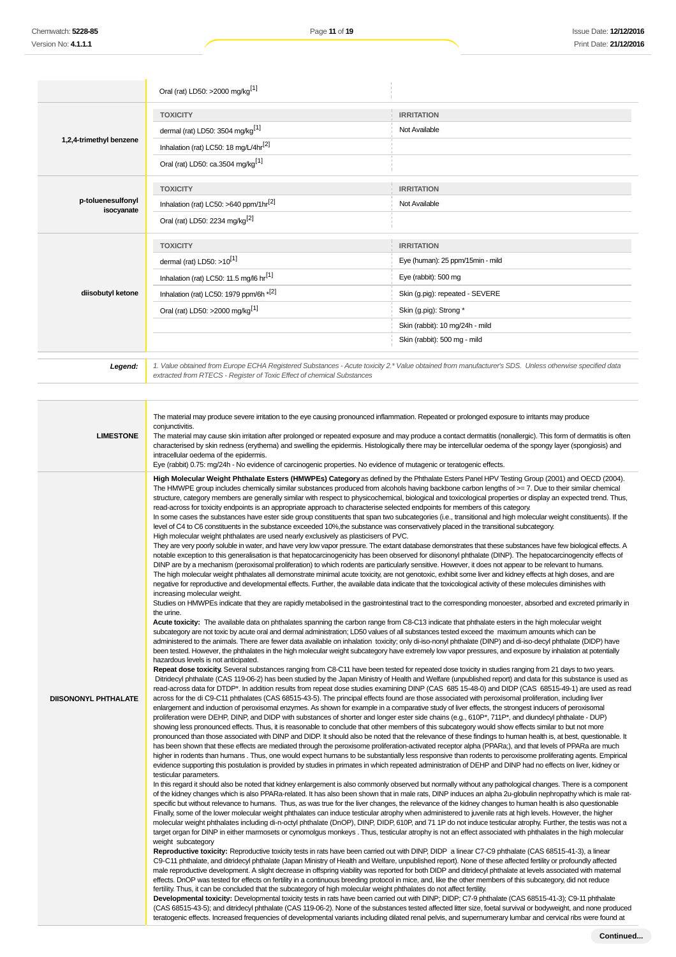|                                 | Oral (rat) LD50: >2000 mg/kg <sup>[1]</sup>                                                                                                                                                                                     |                                  |  |
|---------------------------------|---------------------------------------------------------------------------------------------------------------------------------------------------------------------------------------------------------------------------------|----------------------------------|--|
|                                 | <b>TOXICITY</b>                                                                                                                                                                                                                 | <b>IRRITATION</b>                |  |
|                                 | dermal (rat) LD50: 3504 mg/kg <sup>[1]</sup>                                                                                                                                                                                    | Not Available                    |  |
| 1,2,4-trimethyl benzene         | Inhalation (rat) LC50: 18 mg/L/4hr <sup>[2]</sup>                                                                                                                                                                               |                                  |  |
|                                 | Oral (rat) LD50: ca.3504 mg/kg <sup>[1]</sup>                                                                                                                                                                                   |                                  |  |
|                                 | <b>TOXICITY</b>                                                                                                                                                                                                                 | <b>IRRITATION</b>                |  |
| p-toluenesulfonyl<br>isocyanate | Inhalation (rat) LC50: >640 ppm/1hr[2]                                                                                                                                                                                          | Not Available                    |  |
|                                 | Oral (rat) LD50: 2234 mg/kg <sup>[2]</sup>                                                                                                                                                                                      |                                  |  |
|                                 | <b>TOXICITY</b>                                                                                                                                                                                                                 | <b>IRRITATION</b>                |  |
|                                 | dermal (rat) LD50: $>10^{[1]}$                                                                                                                                                                                                  | Eye (human): 25 ppm/15min - mild |  |
|                                 | Inhalation (rat) LC50: 11.5 mg/l6 hr <sup>[1]</sup>                                                                                                                                                                             | Eye (rabbit): 500 mg             |  |
| diisobutyl ketone               | Inhalation (rat) LC50: 1979 ppm/6h *[2]                                                                                                                                                                                         | Skin (g.pig): repeated - SEVERE  |  |
|                                 | Oral (rat) LD50: >2000 mg/kg <sup>[1]</sup>                                                                                                                                                                                     | Skin (g.pig): Strong *           |  |
|                                 |                                                                                                                                                                                                                                 | Skin (rabbit): 10 mg/24h - mild  |  |
|                                 |                                                                                                                                                                                                                                 | Skin (rabbit): 500 mg - mild     |  |
| Legend:                         | 1. Value obtained from Europe ECHA Registered Substances - Acute toxicity 2.* Value obtained from manufacturer's SDS. Unless otherwise specified data<br>extracted from RTECS - Register of Toxic Effect of chemical Substances |                                  |  |
|                                 |                                                                                                                                                                                                                                 |                                  |  |
|                                 |                                                                                                                                                                                                                                 |                                  |  |

| <b>LIMESTONE</b>            | The material may produce severe irritation to the eye causing pronounced inflammation. Repeated or prolonged exposure to irritants may produce<br>conjunctivitis.<br>The material may cause skin irritation after prolonged or repeated exposure and may produce a contact dermatitis (nonallergic). This form of dermatitis is often<br>characterised by skin redness (erythema) and swelling the epidermis. Histologically there may be intercellular oedema of the spongy layer (spongiosis) and<br>intracellular oedema of the epidermis.<br>Eye (rabbit) 0.75: mg/24h - No evidence of carcinogenic properties. No evidence of mutagenic or teratogenic effects.                                                                                                                                                                                                                                                                                                                                                                                                                                                                                                                                                                                                                                                                                                                                                                                                                                                                                                                                                                                                                                                                                                                                                                                                                                                                                                                                                                                                                                                                                                                                                                                                                                                                                                                                                                                                                                                                                                                                                                                                                                                                                                                                                                                                                                                                                                                                                                                                                                                                                                                                                                                                                                                                                                                                                                                                                                                                                                                                                                                                                                                                                                                                                                                                                                                                                                                                                                                                                                                                                                                                                                                                                                                                                                                                                                                                                                                                                                                                                                                                                                                                                                                                                                                                                                                                                                                                                                                                                                                                                                                                                                                                                                                                                                                                                                                                                                                                                                                                                                                                                                                                                                                                                                                                                                                                                                                                                                                                                                                                                                                                                                                                                                                                                                                                                                                                                                                                                                                                                                                                                                                                                                                                                                                            |
|-----------------------------|------------------------------------------------------------------------------------------------------------------------------------------------------------------------------------------------------------------------------------------------------------------------------------------------------------------------------------------------------------------------------------------------------------------------------------------------------------------------------------------------------------------------------------------------------------------------------------------------------------------------------------------------------------------------------------------------------------------------------------------------------------------------------------------------------------------------------------------------------------------------------------------------------------------------------------------------------------------------------------------------------------------------------------------------------------------------------------------------------------------------------------------------------------------------------------------------------------------------------------------------------------------------------------------------------------------------------------------------------------------------------------------------------------------------------------------------------------------------------------------------------------------------------------------------------------------------------------------------------------------------------------------------------------------------------------------------------------------------------------------------------------------------------------------------------------------------------------------------------------------------------------------------------------------------------------------------------------------------------------------------------------------------------------------------------------------------------------------------------------------------------------------------------------------------------------------------------------------------------------------------------------------------------------------------------------------------------------------------------------------------------------------------------------------------------------------------------------------------------------------------------------------------------------------------------------------------------------------------------------------------------------------------------------------------------------------------------------------------------------------------------------------------------------------------------------------------------------------------------------------------------------------------------------------------------------------------------------------------------------------------------------------------------------------------------------------------------------------------------------------------------------------------------------------------------------------------------------------------------------------------------------------------------------------------------------------------------------------------------------------------------------------------------------------------------------------------------------------------------------------------------------------------------------------------------------------------------------------------------------------------------------------------------------------------------------------------------------------------------------------------------------------------------------------------------------------------------------------------------------------------------------------------------------------------------------------------------------------------------------------------------------------------------------------------------------------------------------------------------------------------------------------------------------------------------------------------------------------------------------------------------------------------------------------------------------------------------------------------------------------------------------------------------------------------------------------------------------------------------------------------------------------------------------------------------------------------------------------------------------------------------------------------------------------------------------------------------------------------------------------------------------------------------------------------------------------------------------------------------------------------------------------------------------------------------------------------------------------------------------------------------------------------------------------------------------------------------------------------------------------------------------------------------------------------------------------------------------------------------------------------------------------------------------------------------------------------------------------------------------------------------------------------------------------------------------------------------------------------------------------------------------------------------------------------------------------------------------------------------------------------------------------------------------------------------------------------------------------------------------------------------------------------------------------------------------------------------------------------------------------------------------------------------------------------------------------------------------------------------------------------------------------------------------------------------------------------------------------------------------------------------------------------------------------------------------------------------------------------------------------------------------------------------------------------------------------------------------------------------------------------------------------------------------------------------------------------------------------------------------------------------------------------------------------------------------------------------------------------------------------------------------------------------------------------------------------------------------------------------------------------------------------------------------------------------------------------------------------------------------------|
| <b>DIISONONYL PHTHALATE</b> | High Molecular Weight Phthalate Esters (HMWPEs) Category as defined by the Phthalate Esters Panel HPV Testing Group (2001) and OECD (2004).<br>The HMWPE group includes chemically similar substances produced from alcohols having backbone carbon lengths of $>= 7$ . Due to their similar chemical<br>structure, category members are generally similar with respect to physicochemical, biological and toxicological properties or display an expected trend. Thus,<br>read-across for toxicity endpoints is an appropriate approach to characterise selected endpoints for members of this category.<br>In some cases the substances have ester side group constituents that span two subcategories (i.e., transitional and high molecular weight constituents). If the<br>level of C4 to C6 constituents in the substance exceeded 10%, the substance was conservatively placed in the transitional subcategory.<br>High molecular weight phthalates are used nearly exclusively as plasticisers of PVC.<br>They are very poorly soluble in water, and have very low vapor pressure. The extant database demonstrates that these substances have few biological effects. A<br>notable exception to this generalisation is that hepatocarcinogenicity has been observed for diisononyl phthalate (DINP). The hepatocarcinogencity effects of<br>DINP are by a mechanism (peroxisomal proliferation) to which rodents are particularly sensitive. However, it does not appear to be relevant to humans.<br>The high molecular weight phthalates all demonstrate minimal acute toxicity, are not genotoxic, exhibit some liver and kidney effects at high doses, and are<br>negative for reproductive and developmental effects. Further, the available data indicate that the toxicological activity of these molecules diminishes with<br>increasing molecular weight.<br>Studies on HMWPEs indicate that they are rapidly metabolised in the gastrointestinal tract to the corresponding monoester, absorbed and excreted primarily in<br>the urine.<br>Acute toxicity: The available data on phthalates spanning the carbon range from C8-C13 indicate that phthalate esters in the high molecular weight<br>subcategory are not toxic by acute oral and dermal administration; LD50 values of all substances tested exceed the maximum amounts which can be<br>administered to the animals. There are fewer data available on inhalation toxicity; only di-iso-nonyl phthalate (DINP) and di-iso-decyl phthalate (DIDP) have<br>been tested. However, the phthalates in the high molecular weight subcategory have extremely low vapor pressures, and exposure by inhalation at potentially<br>hazardous levels is not anticipated.<br>Repeat dose toxicity. Several substances ranging from C8-C11 have been tested for repeated dose toxicity in studies ranging from 21 days to two years.<br>Ditridecyl phthalate (CAS 119-06-2) has been studied by the Japan Ministry of Health and Welfare (unpublished report) and data for this substance is used as<br>read-across data for DTDP*. In addition results from repeat dose studies examining DINP (CAS 685 15-48-0) and DIDP (CAS 68515-49-1) are used as read<br>across for the di C9-C11 phthalates (CAS 68515-43-5). The principal effects found are those associated with peroxisomal proliferation, including liver<br>enlargement and induction of peroxisomal enzymes. As shown for example in a comparative study of liver effects, the strongest inducers of peroxisomal<br>proliferation were DEHP, DINP, and DIDP with substances of shorter and longer ester side chains (e.g., 610P*, 711P*, and diundecyl phthalate - DUP)<br>showing less pronounced effects. Thus, it is reasonable to conclude that other members of this subcategory would show effects similar to but not more<br>pronounced than those associated with DINP and DIDP. It should also be noted that the relevance of these findings to human health is, at best, questionable. It<br>has been shown that these effects are mediated through the peroxisome proliferation-activated receptor alpha (PPARa;), and that levels of PPARa are much<br>higher in rodents than humans. Thus, one would expect humans to be substantially less responsive than rodents to peroxisome proliferating agents. Empirical<br>evidence supporting this postulation is provided by studies in primates in which repeated administration of DEHP and DINP had no effects on liver, kidney or<br>testicular parameters.<br>In this regard it should also be noted that kidney enlargement is also commonly observed but normally without any pathological changes. There is a component<br>of the kidney changes which is also PPARa-related. It has also been shown that in male rats, DINP induces an alpha 2u-globulin nephropathy which is male rat-<br>specific but without relevance to humans. Thus, as was true for the liver changes, the relevance of the kidney changes to human health is also questionable<br>Finally, some of the lower molecular weight phthalates can induce testicular atrophy when administered to juvenile rats at high levels. However, the higher<br>molecular weight phthalates including di-n-octyl phthalate (DnOP), DINP, DIDP, 610P, and 71 1P do not induce testicular atrophy. Further, the testis was not a<br>target organ for DINP in either marmosets or cynomolgus monkeys. Thus, testicular atrophy is not an effect associated with phthalates in the high molecular<br>weight subcategory<br>Reproductive toxicity: Reproductive toxicity tests in rats have been carried out with DINP, DIDP a linear C7-C9 phthalate (CAS 68515-41-3), a linear<br>C9-C11 phthalate, and ditridecyl phthalate (Japan Ministry of Health and Welfare, unpublished report). None of these affected fertility or profoundly affected<br>male reproductive development. A slight decrease in offspring viability was reported for both DIDP and ditridecyl phthalate at levels associated with maternal<br>effects. DnOP was tested for effects on fertility in a continuous breeding protocol in mice, and, like the other members of this subcategory, did not reduce<br>fertility. Thus, it can be concluded that the subcategory of high molecular weight phthalates do not affect fertility.<br>Developmental toxicity: Developmental toxicity tests in rats have been carried out with DINP; DIDP; C7-9 phthalate (CAS 68515-41-3); C9-11 phthalate<br>(CAS 68515-43-5); and ditridecyl phthalate (CAS 119-06-2). None of the substances tested affected litter size, foetal survival or bodyweight, and none produced<br>teratogenic effects. Increased frequencies of developmental variants including dilated renal pelvis, and supernumerary lumbar and cervical ribs were found at |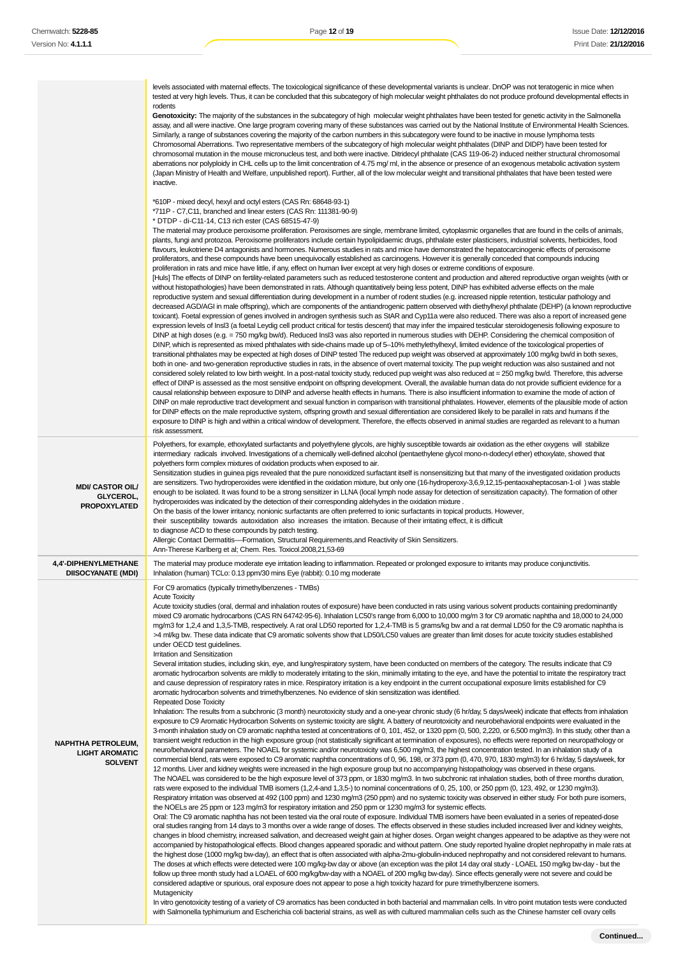|                                                                      | levels associated with maternal effects. The toxicological significance of these developmental variants is unclear. DnOP was not teratogenic in mice when<br>tested at very high levels. Thus, it can be concluded that this subcategory of high molecular weight phthalates do not produce profound developmental effects in<br>rodents                                                                                                                                                                                                                                                                                                                                                                                                                                                                                                                                                                                                                                                                                                                                                                                                                                                                                                                                                                                                                                                                                                                                                                                                                                                                                                                                                                                                                                                                                                                                                                                                                                                                                                                                                                                                                                                                                                                                                                                                                                                                                                                                                                                                                                                                                                                                                                                                                                                                                                                                                                                                                                                                                                                                                                                                                                                                                                                                                                                                                                                                                                                                                                                                                                                                                                                                                                                                                                                                                                                                                                                                                                                                                                                                                                                                                                                                                                                                       |
|----------------------------------------------------------------------|--------------------------------------------------------------------------------------------------------------------------------------------------------------------------------------------------------------------------------------------------------------------------------------------------------------------------------------------------------------------------------------------------------------------------------------------------------------------------------------------------------------------------------------------------------------------------------------------------------------------------------------------------------------------------------------------------------------------------------------------------------------------------------------------------------------------------------------------------------------------------------------------------------------------------------------------------------------------------------------------------------------------------------------------------------------------------------------------------------------------------------------------------------------------------------------------------------------------------------------------------------------------------------------------------------------------------------------------------------------------------------------------------------------------------------------------------------------------------------------------------------------------------------------------------------------------------------------------------------------------------------------------------------------------------------------------------------------------------------------------------------------------------------------------------------------------------------------------------------------------------------------------------------------------------------------------------------------------------------------------------------------------------------------------------------------------------------------------------------------------------------------------------------------------------------------------------------------------------------------------------------------------------------------------------------------------------------------------------------------------------------------------------------------------------------------------------------------------------------------------------------------------------------------------------------------------------------------------------------------------------------------------------------------------------------------------------------------------------------------------------------------------------------------------------------------------------------------------------------------------------------------------------------------------------------------------------------------------------------------------------------------------------------------------------------------------------------------------------------------------------------------------------------------------------------------------------------------------------------------------------------------------------------------------------------------------------------------------------------------------------------------------------------------------------------------------------------------------------------------------------------------------------------------------------------------------------------------------------------------------------------------------------------------------------------------------------------------------------------------------------------------------------------------------------------------------------------------------------------------------------------------------------------------------------------------------------------------------------------------------------------------------------------------------------------------------------------------------------------------------------------------------------------------------------------------------------------------------------------------------------------------------------------|
|                                                                      | Genotoxicity: The majority of the substances in the subcategory of high molecular weight phthalates have been tested for genetic activity in the Salmonella<br>assay, and all were inactive. One large program covering many of these substances was carried out by the National Institute of Environmental Health Sciences.<br>Similarly, a range of substances covering the majority of the carbon numbers in this subcategory were found to be inactive in mouse lymphoma tests<br>Chromosomal Aberrations. Two representative members of the subcategory of high molecular weight phthalates (DINP and DIDP) have been tested for<br>chromosomal mutation in the mouse micronucleus test, and both were inactive. Ditridecyl phthalate (CAS 119-06-2) induced neither structural chromosomal<br>aberrations nor polyploidy in CHL cells up to the limit concentration of 4.75 mg/ ml, in the absence or presence of an exogenous metabolic activation system<br>(Japan Ministry of Health and Welfare, unpublished report). Further, all of the low molecular weight and transitional phthalates that have been tested were<br>inactive.                                                                                                                                                                                                                                                                                                                                                                                                                                                                                                                                                                                                                                                                                                                                                                                                                                                                                                                                                                                                                                                                                                                                                                                                                                                                                                                                                                                                                                                                                                                                                                                                                                                                                                                                                                                                                                                                                                                                                                                                                                                                                                                                                                                                                                                                                                                                                                                                                                                                                                                                                                                                                                                                                                                                                                                                                                                                                                                                                                                                                                                                                                                                   |
|                                                                      | *610P - mixed decyl, hexyl and octyl esters (CAS Rn: 68648-93-1)<br>*711P - C7,C11, branched and linear esters (CAS Rn: 111381-90-9)                                                                                                                                                                                                                                                                                                                                                                                                                                                                                                                                                                                                                                                                                                                                                                                                                                                                                                                                                                                                                                                                                                                                                                                                                                                                                                                                                                                                                                                                                                                                                                                                                                                                                                                                                                                                                                                                                                                                                                                                                                                                                                                                                                                                                                                                                                                                                                                                                                                                                                                                                                                                                                                                                                                                                                                                                                                                                                                                                                                                                                                                                                                                                                                                                                                                                                                                                                                                                                                                                                                                                                                                                                                                                                                                                                                                                                                                                                                                                                                                                                                                                                                                           |
|                                                                      | * DTDP - di-C11-14, C13 rich ester (CAS 68515-47-9)<br>The material may produce peroxisome proliferation. Peroxisomes are single, membrane limited, cytoplasmic organelles that are found in the cells of animals,<br>plants, fungi and protozoa. Peroxisome proliferators include certain hypolipidaemic drugs, phthalate ester plasticisers, industrial solvents, herbicides, food<br>flavours, leukotriene D4 antagonists and hormones. Numerous studies in rats and mice have demonstrated the hepatocarcinogenic effects of peroxisome<br>proliferators, and these compounds have been unequivocally established as carcinogens. However it is generally conceded that compounds inducing<br>proliferation in rats and mice have little, if any, effect on human liver except at very high doses or extreme conditions of exposure.<br>[Huls] The effects of DINP on fertility-related parameters such as reduced testosterone content and production and altered reproductive organ weights (with or<br>without histopathologies) have been demonstrated in rats. Although quantitatively being less potent, DINP has exhibited adverse effects on the male<br>reproductive system and sexual differentiation during development in a number of rodent studies (e.g. increased nipple retention, testicular pathology and<br>decreased AGD/AGI in male offspring), which are components of the antiandrogenic pattern observed with diethylhexyl phthalate (DEHP) (a known reproductive<br>toxicant). Foetal expression of genes involved in androgen synthesis such as StAR and Cyp11a were also reduced. There was also a report of increased gene<br>expression levels of InsI3 (a foetal Leydig cell product critical for testis descent) that may infer the impaired testicular steroidogenesis following exposure to<br>DINP at high doses (e.g. = 750 mg/kg bw/d). Reduced Insl3 was also reported in numerous studies with DEHP. Considering the chemical composition of<br>DINP, which is represented as mixed phthalates with side-chains made up of 5–10% methylethylhexyl, limited evidence of the toxicological properties of<br>transitional phthalates may be expected at high doses of DINP tested The reduced pup weight was observed at approximately 100 mg/kg bw/d in both sexes,<br>both in one- and two-generation reproductive studies in rats, in the absence of overt maternal toxicity. The pup weight reduction was also sustained and not<br>considered solely related to low birth weight. In a post-natal toxicity study, reduced pup weight was also reduced at = 250 mg/kg bw/d. Therefore, this adverse<br>effect of DINP is assessed as the most sensitive endpoint on offspring development. Overall, the available human data do not provide sufficient evidence for a<br>causal relationship between exposure to DINP and adverse health effects in humans. There is also insufficient information to examine the mode of action of<br>DINP on male reproductive tract development and sexual function in comparison with transitional phthalates. However, elements of the plausible mode of action<br>for DINP effects on the male reproductive system, offspring growth and sexual differentiation are considered likely to be parallel in rats and humans if the<br>exposure to DINP is high and within a critical window of development. Therefore, the effects observed in animal studies are regarded as relevant to a human<br>risk assessment.                                                                                                                                                                                                                                                                                                                                                                                                                                                                                                                                                                                                                                                                                                                                                                             |
| <b>MDI/ CASTOR OIL/</b><br>GLYCEROL,<br><b>PROPOXYLATED</b>          | Polyethers, for example, ethoxylated surfactants and polyethylene glycols, are highly susceptible towards air oxidation as the ether oxygens will stabilize<br>intermediary radicals involved. Investigations of a chemically well-defined alcohol (pentaethylene glycol mono-n-dodecyl ether) ethoxylate, showed that<br>polyethers form complex mixtures of oxidation products when exposed to air.<br>Sensitization studies in guinea pigs revealed that the pure nonoxidized surfactant itself is nonsensitizing but that many of the investigated oxidation products<br>are sensitizers. Two hydroperoxides were identified in the oxidation mixture, but only one (16-hydroperoxy-3,6,9,12,15-pentaoxaheptacosan-1-ol) was stable<br>enough to be isolated. It was found to be a strong sensitizer in LLNA (local lymph node assay for detection of sensitization capacity). The formation of other<br>hydroperoxides was indicated by the detection of their corresponding aldehydes in the oxidation mixture.<br>On the basis of the lower irritancy, nonionic surfactants are often preferred to ionic surfactants in topical products. However,<br>their susceptibility towards autoxidation also increases the irritation. Because of their irritating effect, it is difficult                                                                                                                                                                                                                                                                                                                                                                                                                                                                                                                                                                                                                                                                                                                                                                                                                                                                                                                                                                                                                                                                                                                                                                                                                                                                                                                                                                                                                                                                                                                                                                                                                                                                                                                                                                                                                                                                                                                                                                                                                                                                                                                                                                                                                                                                                                                                                                                                                                                                                                                                                                                                                                                                                                                                                                                                                                                                                                                                                                                      |
|                                                                      | to diagnose ACD to these compounds by patch testing.<br>Allergic Contact Dermatitis—Formation, Structural Requirements, and Reactivity of Skin Sensitizers.<br>Ann-Therese Karlberg et al; Chem. Res. Toxicol.2008,21,53-69                                                                                                                                                                                                                                                                                                                                                                                                                                                                                                                                                                                                                                                                                                                                                                                                                                                                                                                                                                                                                                                                                                                                                                                                                                                                                                                                                                                                                                                                                                                                                                                                                                                                                                                                                                                                                                                                                                                                                                                                                                                                                                                                                                                                                                                                                                                                                                                                                                                                                                                                                                                                                                                                                                                                                                                                                                                                                                                                                                                                                                                                                                                                                                                                                                                                                                                                                                                                                                                                                                                                                                                                                                                                                                                                                                                                                                                                                                                                                                                                                                                    |
| 4,4'-DIPHENYLMETHANE<br><b>DIISOCYANATE (MDI)</b>                    | The material may produce moderate eye irritation leading to inflammation. Repeated or prolonged exposure to irritants may produce conjunctivitis.<br>Inhalation (human) TCLo: 0.13 ppm/30 mins Eye (rabbit): 0.10 mg moderate                                                                                                                                                                                                                                                                                                                                                                                                                                                                                                                                                                                                                                                                                                                                                                                                                                                                                                                                                                                                                                                                                                                                                                                                                                                                                                                                                                                                                                                                                                                                                                                                                                                                                                                                                                                                                                                                                                                                                                                                                                                                                                                                                                                                                                                                                                                                                                                                                                                                                                                                                                                                                                                                                                                                                                                                                                                                                                                                                                                                                                                                                                                                                                                                                                                                                                                                                                                                                                                                                                                                                                                                                                                                                                                                                                                                                                                                                                                                                                                                                                                  |
|                                                                      | For C9 aromatics (typically trimethylbenzenes - TMBs)<br><b>Acute Toxicity</b>                                                                                                                                                                                                                                                                                                                                                                                                                                                                                                                                                                                                                                                                                                                                                                                                                                                                                                                                                                                                                                                                                                                                                                                                                                                                                                                                                                                                                                                                                                                                                                                                                                                                                                                                                                                                                                                                                                                                                                                                                                                                                                                                                                                                                                                                                                                                                                                                                                                                                                                                                                                                                                                                                                                                                                                                                                                                                                                                                                                                                                                                                                                                                                                                                                                                                                                                                                                                                                                                                                                                                                                                                                                                                                                                                                                                                                                                                                                                                                                                                                                                                                                                                                                                 |
| <b>NAPHTHA PETROLEUM,</b><br><b>LIGHT AROMATIC</b><br><b>SOLVENT</b> | Acute toxicity studies (oral, dermal and inhalation routes of exposure) have been conducted in rats using various solvent products containing predominantly<br>mixed C9 aromatic hydrocarbons (CAS RN 64742-95-6). Inhalation LC50's range from 6,000 to 10,000 mg/m 3 for C9 aromatic naphtha and 18,000 to 24,000<br>mg/m3 for 1,2,4 and 1,3,5-TMB, respectively. A rat oral LD50 reported for 1,2,4-TMB is 5 grams/kg bw and a rat dermal LD50 for the C9 aromatic naphtha is<br>>4 ml/kg bw. These data indicate that C9 aromatic solvents show that LD50/LC50 values are greater than limit doses for acute toxicity studies established<br>under OECD test quidelines.<br>Irritation and Sensitization<br>Several irritation studies, including skin, eye, and lung/respiratory system, have been conducted on members of the category. The results indicate that C9<br>aromatic hydrocarbon solvents are mildly to moderately irritating to the skin, minimally irritating to the eye, and have the potential to irritate the respiratory tract<br>and cause depression of respiratory rates in mice. Respiratory irritation is a key endpoint in the current occupational exposure limits established for C9<br>aromatic hydrocarbon solvents and trimethylbenzenes. No evidence of skin sensitization was identified.<br><b>Repeated Dose Toxicity</b><br>Inhalation: The results from a subchronic (3 month) neurotoxicity study and a one-year chronic study (6 hr/day, 5 days/week) indicate that effects from inhalation<br>exposure to C9 Aromatic Hydrocarbon Solvents on systemic toxicity are slight. A battery of neurotoxicity and neurobehavioral endpoints were evaluated in the<br>3-month inhalation study on C9 aromatic naphtha tested at concentrations of 0, 101, 452, or 1320 ppm (0, 500, 2,220, or 6,500 mg/m3). In this study, other than a<br>transient weight reduction in the high exposure group (not statistically significant at termination of exposures), no effects were reported on neuropathology or<br>neuro/behavioral parameters. The NOAEL for systemic and/or neurotoxicity was 6,500 mg/m3, the highest concentration tested. In an inhalation study of a<br>commercial blend, rats were exposed to C9 aromatic naphtha concentrations of 0, 96, 198, or 373 ppm (0, 470, 970, 1830 mg/m3) for 6 hr/day, 5 days/week, for<br>12 months. Liver and kidney weights were increased in the high exposure group but no accompanying histopathology was observed in these organs.<br>The NOAEL was considered to be the high exposure level of 373 ppm, or 1830 mg/m3. In two subchronic rat inhalation studies, both of three months duration,<br>rats were exposed to the individual TMB isomers (1,2,4-and 1,3,5-) to nominal concentrations of 0, 25, 100, or 250 ppm (0, 123, 492, or 1230 mg/m3).<br>Respiratory irritation was observed at 492 (100 ppm) and 1230 mg/m3 (250 ppm) and no systemic toxicity was observed in either study. For both pure isomers,<br>the NOELs are 25 ppm or 123 mg/m3 for respiratory irritation and 250 ppm or 1230 mg/m3 for systemic effects.<br>Oral: The C9 aromatic naphtha has not been tested via the oral route of exposure. Individual TMB isomers have been evaluated in a series of repeated-dose<br>oral studies ranging from 14 days to 3 months over a wide range of doses. The effects observed in these studies included increased liver and kidney weights,<br>changes in blood chemistry, increased salivation, and decreased weight gain at higher doses. Organ weight changes appeared to be adaptive as they were not<br>accompanied by histopathological effects. Blood changes appeared sporadic and without pattern. One study reported hyaline droplet nephropathy in male rats at<br>the highest dose (1000 mg/kg bw-day), an effect that is often associated with alpha-2mu-globulin-induced nephropathy and not considered relevant to humans.<br>The doses at which effects were detected were 100 mg/kg-bw day or above (an exception was the pilot 14 day oral study - LOAEL 150 mg/kg bw-day - but the<br>follow up three month study had a LOAEL of 600 mg/kg/bw-day with a NOAEL of 200 mg/kg bw-day). Since effects generally were not severe and could be |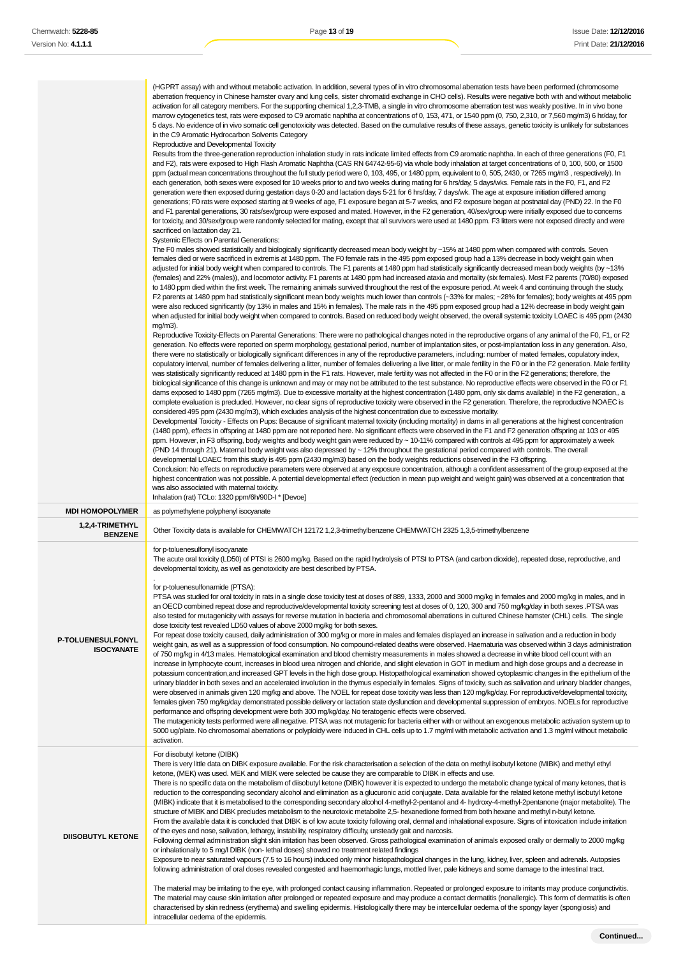|                                        | (HGPRT assay) with and without metabolic activation. In addition, several types of in vitro chromosomal aberration tests have been performed (chromosome<br>aberration frequency in Chinese hamster ovary and lung cells, sister chromatid exchange in CHO cells). Results were negative both with and without metabolic<br>activation for all category members. For the supporting chemical 1,2,3-TMB, a single in vitro chromosome aberration test was weakly positive. In in vivo bone<br>marrow cytogenetics test, rats were exposed to C9 aromatic naphtha at concentrations of 0, 153, 471, or 1540 ppm (0, 750, 2,310, or 7,560 mg/m3) 6 hr/day, for<br>5 days. No evidence of in vivo somatic cell genotoxicity was detected. Based on the cumulative results of these assays, genetic toxicity is unlikely for substances<br>in the C9 Aromatic Hydrocarbon Solvents Category<br>Reproductive and Developmental Toxicity<br>Results from the three-generation reproduction inhalation study in rats indicate limited effects from C9 aromatic naphtha. In each of three generations (F0, F1<br>and F2), rats were exposed to High Flash Aromatic Naphtha (CAS RN 64742-95-6) via whole body inhalation at target concentrations of 0, 100, 500, or 1500<br>ppm (actual mean concentrations throughout the full study period were 0, 103, 495, or 1480 ppm, equivalent to 0, 505, 2430, or 7265 mg/m3, respectively). In<br>each generation, both sexes were exposed for 10 weeks prior to and two weeks during mating for 6 hrs/day, 5 days/wks. Female rats in the F0, F1, and F2<br>generation were then exposed during gestation days 0-20 and lactation days 5-21 for 6 hrs/day, 7 days/wk. The age at exposure initiation differed among<br>generations; F0 rats were exposed starting at 9 weeks of age, F1 exposure began at 5-7 weeks, and F2 exposure began at postnatal day (PND) 22. In the F0<br>and F1 parental generations, 30 rats/sex/group were exposed and mated. However, in the F2 generation, 40/sex/group were initially exposed due to concerns<br>for toxicity, and 30/sex/group were randomly selected for mating, except that all survivors were used at 1480 ppm. F3 litters were not exposed directly and were<br>sacrificed on lactation day 21.<br>Systemic Effects on Parental Generations:<br>The F0 males showed statistically and biologically significantly decreased mean body weight by ~15% at 1480 ppm when compared with controls. Seven<br>females died or were sacrificed in extremis at 1480 ppm. The F0 female rats in the 495 ppm exposed group had a 13% decrease in body weight gain when<br>adjusted for initial body weight when compared to controls. The F1 parents at 1480 ppm had statistically significantly decreased mean body weights (by ~13%<br>(females) and 22% (males)), and locomotor activity. F1 parents at 1480 ppm had increased ataxia and mortality (six females). Most F2 parents (70/80) exposed<br>to 1480 ppm died within the first week. The remaining animals survived throughout the rest of the exposure period. At week 4 and continuing through the study,<br>F2 parents at 1480 ppm had statistically significant mean body weights much lower than controls (~33% for males; ~28% for females); body weights at 495 ppm<br>were also reduced significantly (by 13% in males and 15% in females). The male rats in the 495 ppm exposed group had a 12% decrease in body weight gain<br>when adjusted for initial body weight when compared to controls. Based on reduced body weight observed, the overall systemic toxicity LOAEC is 495 ppm (2430<br>$mg/m3$ ).<br>Reproductive Toxicity-Effects on Parental Generations: There were no pathological changes noted in the reproductive organs of any animal of the F0, F1, or F2<br>generation. No effects were reported on sperm morphology, gestational period, number of implantation sites, or post-implantation loss in any generation. Also,<br>there were no statistically or biologically significant differences in any of the reproductive parameters, including: number of mated females, copulatory index,<br>copulatory interval, number of females delivering a litter, number of females delivering a live litter, or male fertility in the F0 or in the F2 generation. Male fertility<br>was statistically significantly reduced at 1480 ppm in the F1 rats. However, male fertility was not affected in the F0 or in the F2 generations; therefore, the<br>biological significance of this change is unknown and may or may not be attributed to the test substance. No reproductive effects were observed in the F0 or F1<br>dams exposed to 1480 ppm (7265 mg/m3). Due to excessive mortality at the highest concentration (1480 ppm, only six dams available) in the F2 generation,, a<br>complete evaluation is precluded. However, no clear signs of reproductive toxicity were observed in the F2 generation. Therefore, the reproductive NOAEC is<br>considered 495 ppm (2430 mg/m3), which excludes analysis of the highest concentration due to excessive mortality.<br>Developmental Toxicity - Effects on Pups: Because of significant maternal toxicity (including mortality) in dams in all generations at the highest concentration<br>(1480 ppm), effects in offspring at 1480 ppm are not reported here. No significant effects were observed in the F1 and F2 generation offspring at 103 or 495<br>ppm. However, in F3 offspring, body weights and body weight gain were reduced by ~ 10-11% compared with controls at 495 ppm for approximately a week<br>(PND 14 through 21). Maternal body weight was also depressed by ~ 12% throughout the gestational period compared with controls. The overall<br>developmental LOAEC from this study is 495 ppm (2430 mg/m3) based on the body weights reductions observed in the F3 offspring.<br>Conclusion: No effects on reproductive parameters were observed at any exposure concentration, although a confident assessment of the group exposed at the<br>highest concentration was not possible. A potential developmental effect (reduction in mean pup weight and weight gain) was observed at a concentration that<br>was also associated with maternal toxicity. |
|----------------------------------------|-----------------------------------------------------------------------------------------------------------------------------------------------------------------------------------------------------------------------------------------------------------------------------------------------------------------------------------------------------------------------------------------------------------------------------------------------------------------------------------------------------------------------------------------------------------------------------------------------------------------------------------------------------------------------------------------------------------------------------------------------------------------------------------------------------------------------------------------------------------------------------------------------------------------------------------------------------------------------------------------------------------------------------------------------------------------------------------------------------------------------------------------------------------------------------------------------------------------------------------------------------------------------------------------------------------------------------------------------------------------------------------------------------------------------------------------------------------------------------------------------------------------------------------------------------------------------------------------------------------------------------------------------------------------------------------------------------------------------------------------------------------------------------------------------------------------------------------------------------------------------------------------------------------------------------------------------------------------------------------------------------------------------------------------------------------------------------------------------------------------------------------------------------------------------------------------------------------------------------------------------------------------------------------------------------------------------------------------------------------------------------------------------------------------------------------------------------------------------------------------------------------------------------------------------------------------------------------------------------------------------------------------------------------------------------------------------------------------------------------------------------------------------------------------------------------------------------------------------------------------------------------------------------------------------------------------------------------------------------------------------------------------------------------------------------------------------------------------------------------------------------------------------------------------------------------------------------------------------------------------------------------------------------------------------------------------------------------------------------------------------------------------------------------------------------------------------------------------------------------------------------------------------------------------------------------------------------------------------------------------------------------------------------------------------------------------------------------------------------------------------------------------------------------------------------------------------------------------------------------------------------------------------------------------------------------------------------------------------------------------------------------------------------------------------------------------------------------------------------------------------------------------------------------------------------------------------------------------------------------------------------------------------------------------------------------------------------------------------------------------------------------------------------------------------------------------------------------------------------------------------------------------------------------------------------------------------------------------------------------------------------------------------------------------------------------------------------------------------------------------------------------------------------------------------------------------------------------------------------------------------------------------------------------------------------------------------------------------------------------------------------------------------------------------------------------------------------------------------------------------------------------------------------------------------------------------------------------------------------------------------------------------------------------------------------------------------------------------------------------------------------------------------------------------------------------------------------------------------------------------------------------------------------------------------------------------------------------------------------------------------------------------------------------------------------------------------------------------------------------------------------------------------------------------------------------------------------------------------------------------------------------------------------------------------------------------------------------------------------------------------------------------------------------------------------------------------------------------------------------------------------------------------------------------------------------------------------------------------------------------------------------------------------------------------------|
| <b>MDI HOMOPOLYMER</b>                 | Inhalation (rat) TCLo: 1320 ppm/6h/90D-I * [Devoe]<br>as polymethylene polyphenyl isocyanate                                                                                                                                                                                                                                                                                                                                                                                                                                                                                                                                                                                                                                                                                                                                                                                                                                                                                                                                                                                                                                                                                                                                                                                                                                                                                                                                                                                                                                                                                                                                                                                                                                                                                                                                                                                                                                                                                                                                                                                                                                                                                                                                                                                                                                                                                                                                                                                                                                                                                                                                                                                                                                                                                                                                                                                                                                                                                                                                                                                                                                                                                                                                                                                                                                                                                                                                                                                                                                                                                                                                                                                                                                                                                                                                                                                                                                                                                                                                                                                                                                                                                                                                                                                                                                                                                                                                                                                                                                                                                                                                                                                                                                                                                                                                                                                                                                                                                                                                                                                                                                                                                                                                                                                                                                                                                                                                                                                                                                                                                                                                                                                                                                                                                                                                                                                                                                                                                                                                                                                                                                                                                                                                                                                                        |
| 1,2,4-TRIMETHYL                        |                                                                                                                                                                                                                                                                                                                                                                                                                                                                                                                                                                                                                                                                                                                                                                                                                                                                                                                                                                                                                                                                                                                                                                                                                                                                                                                                                                                                                                                                                                                                                                                                                                                                                                                                                                                                                                                                                                                                                                                                                                                                                                                                                                                                                                                                                                                                                                                                                                                                                                                                                                                                                                                                                                                                                                                                                                                                                                                                                                                                                                                                                                                                                                                                                                                                                                                                                                                                                                                                                                                                                                                                                                                                                                                                                                                                                                                                                                                                                                                                                                                                                                                                                                                                                                                                                                                                                                                                                                                                                                                                                                                                                                                                                                                                                                                                                                                                                                                                                                                                                                                                                                                                                                                                                                                                                                                                                                                                                                                                                                                                                                                                                                                                                                                                                                                                                                                                                                                                                                                                                                                                                                                                                                                                                                                                                                     |
| <b>BENZENE</b>                         | Other Toxicity data is available for CHEMWATCH 12172 1,2,3-trimethylbenzene CHEMWATCH 2325 1,3,5-trimethylbenzene                                                                                                                                                                                                                                                                                                                                                                                                                                                                                                                                                                                                                                                                                                                                                                                                                                                                                                                                                                                                                                                                                                                                                                                                                                                                                                                                                                                                                                                                                                                                                                                                                                                                                                                                                                                                                                                                                                                                                                                                                                                                                                                                                                                                                                                                                                                                                                                                                                                                                                                                                                                                                                                                                                                                                                                                                                                                                                                                                                                                                                                                                                                                                                                                                                                                                                                                                                                                                                                                                                                                                                                                                                                                                                                                                                                                                                                                                                                                                                                                                                                                                                                                                                                                                                                                                                                                                                                                                                                                                                                                                                                                                                                                                                                                                                                                                                                                                                                                                                                                                                                                                                                                                                                                                                                                                                                                                                                                                                                                                                                                                                                                                                                                                                                                                                                                                                                                                                                                                                                                                                                                                                                                                                                   |
| P-TOLUENESULFONYL<br><b>ISOCYANATE</b> | for p-toluenesulfonyl isocyanate<br>The acute oral toxicity (LD50) of PTSI is 2600 mg/kg. Based on the rapid hydrolysis of PTSI to PTSA (and carbon dioxide), repeated dose, reproductive, and<br>developmental toxicity, as well as genotoxicity are best described by PTSA.<br>for p-toluenesulfonamide (PTSA):<br>PTSA was studied for oral toxicity in rats in a single dose toxicity test at doses of 889, 1333, 2000 and 3000 mg/kg in females and 2000 mg/kg in males, and in<br>an OECD combined repeat dose and reproductive/developmental toxicity screening test at doses of 0, 120, 300 and 750 mg/kg/day in both sexes .PTSA was<br>also tested for mutagenicity with assays for reverse mutation in bacteria and chromosomal aberrations in cultured Chinese hamster (CHL) cells. The single<br>dose toxicity test revealed LD50 values of above 2000 mg/kg for both sexes.<br>For repeat dose toxicity caused, daily administration of 300 mg/kg or more in males and females displayed an increase in salivation and a reduction in body<br>weight gain, as well as a suppression of food consumption. No compound-related deaths were observed. Haematuria was observed within 3 days administration<br>of 750 mg/kg in 4/13 males. Hematological examination and blood chemistry measurements in males showed a decrease in white blood cell count with an<br>increase in lymphocyte count, increases in blood urea nitrogen and chloride, and slight elevation in GOT in medium and high dose groups and a decrease in<br>potassium concentration, and increased GPT levels in the high dose group. Histopathological examination showed cytoplasmic changes in the epithelium of the<br>urinary bladder in both sexes and an accelerated involution in the thymus especially in females. Signs of toxicity, such as salivation and urinary bladder changes,<br>were observed in animals given 120 mg/kg and above. The NOEL for repeat dose toxicity was less than 120 mg/kg/day. For reproductive/developmental toxicity,<br>females given 750 mg/kg/day demonstrated possible delivery or lactation state dysfunction and developmental suppression of embryos. NOELs for reproductive<br>performance and offspring development were both 300 mg/kg/day. No teratogenic effects were observed.<br>The mutagenicity tests performed were all negative. PTSA was not mutagenic for bacteria either with or without an exogenous metabolic activation system up to<br>5000 ug/plate. No chromosomal aberrations or polyploidy were induced in CHL cells up to 1.7 mg/ml with metabolic activation and 1.3 mg/ml without metabolic<br>activation.                                                                                                                                                                                                                                                                                                                                                                                                                                                                                                                                                                                                                                                                                                                                                                                                                                                                                                                                                                                                                                                                                                                                                                                                                                                                                                                                                                                                                                                                                                                                                                                                                                                                                                                                                                                                                                                                                                                                                                                                                                                                                                                                                                                                                                                                                                                                                                                                                                                                                                                                                                                                                                                                                                                                                                                                                                                                                                                                                                                                                                                                                                                                                                                                                                                                                                                                                                                                                                                                                                                                                                                                                                 |
| <b>DIISOBUTYL KETONE</b>               | For diisobutyl ketone (DIBK)<br>There is very little data on DIBK exposure available. For the risk characterisation a selection of the data on methyl isobutyl ketone (MIBK) and methyl ethyl<br>ketone, (MEK) was used. MEK and MIBK were selected be cause they are comparable to DIBK in effects and use.<br>There is no specific data on the metabolism of diisobutyl ketone (DIBK) however it is expected to undergo the metabolic change typical of many ketones, that is<br>reduction to the corresponding secondary alcohol and elimination as a glucuronic acid conjugate. Data available for the related ketone methyl isobutyl ketone<br>(MIBK) indicate that it is metabolised to the corresponding secondary alcohol 4-methyl-2-pentanol and 4- hydroxy-4-methyl-2pentanone (major metabolite). The<br>structure of MIBK and DIBK precludes metabolism to the neurotoxic metabolite 2,5- hexanedione formed from both hexane and methyl n-butyl ketone.<br>From the available data it is concluded that DIBK is of low acute toxicity following oral, dermal and inhalational exposure. Signs of intoxication include irritation<br>of the eyes and nose, salivation, lethargy, instability, respiratory difficulty, unsteady gait and narcosis.<br>Following dermal administration slight skin irritation has been observed. Gross pathological examination of animals exposed orally or dermally to 2000 mg/kg<br>or inhalationally to 5 mg/l DIBK (non-lethal doses) showed no treatment related findings<br>Exposure to near saturated vapours (7.5 to 16 hours) induced only minor histopathological changes in the lung, kidney, liver, spleen and adrenals. Autopsies<br>following administration of oral doses revealed congested and haemorrhagic lungs, mottled liver, pale kidneys and some damage to the intestinal tract.<br>The material may be irritating to the eye, with prolonged contact causing inflammation. Repeated or prolonged exposure to irritants may produce conjunctivitis.<br>The material may cause skin irritation after prolonged or repeated exposure and may produce a contact dermatitis (nonallergic). This form of dermatitis is often<br>characterised by skin redness (erythema) and swelling epidermis. Histologically there may be intercellular oedema of the spongy layer (spongiosis) and                                                                                                                                                                                                                                                                                                                                                                                                                                                                                                                                                                                                                                                                                                                                                                                                                                                                                                                                                                                                                                                                                                                                                                                                                                                                                                                                                                                                                                                                                                                                                                                                                                                                                                                                                                                                                                                                                                                                                                                                                                                                                                                                                                                                                                                                                                                                                                                                                                                                                                                                                                                                                                                                                                                                                                                                                                                                                                                                                                                                                                                                                                                                                                                                                                                                                                                                                                                                                                                                                                                                                                                                                                                                                                                                                                                                                                                                                                                                                |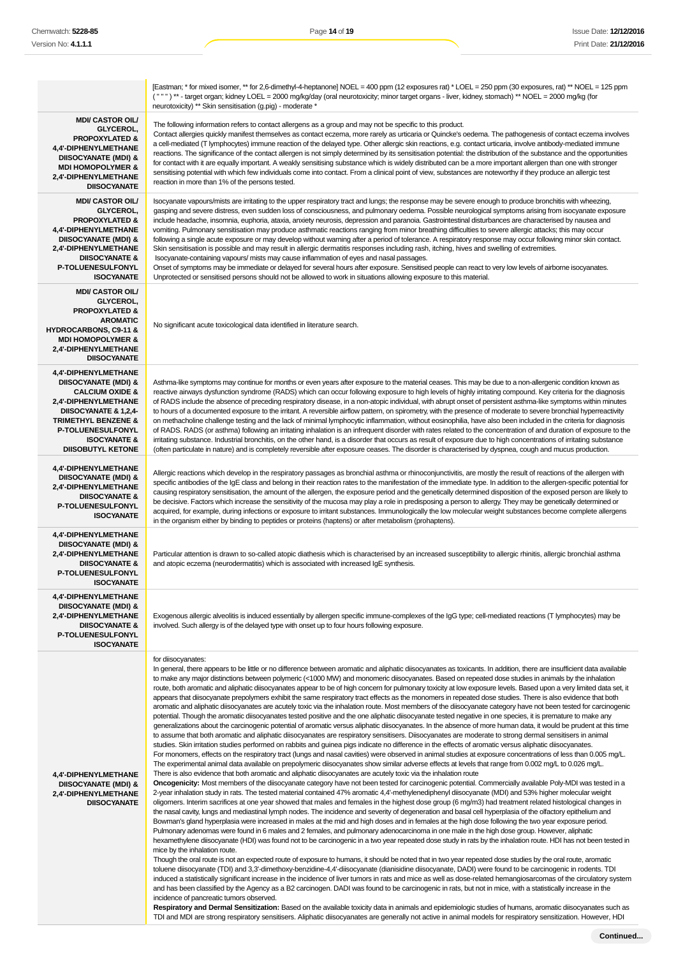[Eastman; \* for mixed isomer, \*\* for 2,6-dimethyl-4-heptanone] NOEL = 400 ppm (12 exposures rat) \* LOEL = 250 ppm (30 exposures, rat) \*\* NOEL = 125 ppm ( " " " ) \*\* - target organ; kidney LOEL = 2000 mg/kg/day (oral neurotoxicity; minor target organs - liver, kidney, stomach) \*\* NOEL = 2000 mg/kg (for neurotoxicity) \*\* Skin sensitisation (g.pig) - moderate \* **MDI/ CASTOR OIL/ GLYCEROL, PROPOXYLATED & 4,4'-DIPHENYLMETHANE DIISOCYANATE (MDI) & MDI HOMOPOLYMER & 2,4'-DIPHENYLMETHANE DIISOCYANATE** The following information refers to contact allergens as a group and may not be specific to this product. Contact allergies quickly manifest themselves as contact eczema, more rarely as urticaria or Quincke's oedema. The pathogenesis of contact eczema involves a cell-mediated (T lymphocytes) immune reaction of the delayed type. Other allergic skin reactions, e.g. contact urticaria, involve antibody-mediated immune reactions. The significance of the contact allergen is not simply determined by its sensitisation potential: the distribution of the substance and the opportunities for contact with it are equally important. A weakly sensitising substance which is widely distributed can be a more important allergen than one with stronger sensitising potential with which few individuals come into contact. From a clinical point of view, substances are noteworthy if they produce an allergic test reaction in more than 1% of the persons tested. **MDI/ CASTOR OIL/ GLYCEROL, PROPOXYLATED & 4,4'-DIPHENYLMETHANE DIISOCYANATE (MDI) & 2,4'-DIPHENYLMETHANE DIISOCYANATE & P-TOLUENESULFONYL ISOCYANATE** Isocyanate vapours/mists are irritating to the upper respiratory tract and lungs; the response may be severe enough to produce bronchitis with wheezing, gasping and severe distress, even sudden loss of consciousness, and pulmonary oedema. Possible neurological symptoms arising from isocyanate exposure include headache, insomnia, euphoria, ataxia, anxiety neurosis, depression and paranoia. Gastrointestinal disturbances are characterised by nausea and vomiting. Pulmonary sensitisation may produce asthmatic reactions ranging from minor breathing difficulties to severe allergic attacks; this may occur following a single acute exposure or may develop without warning after a period of tolerance. A respiratory response may occur following minor skin contact. Skin sensitisation is possible and may result in allergic dermatitis responses including rash, itching, hives and swelling of extremities. Isocyanate-containing vapours/ mists may cause inflammation of eyes and nasal passages. Onset of symptoms may be immediate or delayed for several hours after exposure. Sensitised people can react to very low levels of airborne isocyanates. Unprotected or sensitised persons should not be allowed to work in situations allowing exposure to this material. **MDI/ CASTOR OIL/ GLYCEROL, PROPOXYLATED & AROMATIC HYDROCARBONS, C9-11 & MDI HOMOPOLYMER & 2,4'-DIPHENYLMETHANE DIISOCYANATE** No significant acute toxicological data identified in literature search. **4,4'-DIPHENYLMETHANE DIISOCYANATE (MDI) & CALCIUM OXIDE & 2,4'-DIPHENYLMETHANE DIISOCYANATE & 1,2,4- TRIMETHYL BENZENE & P-TOLUENESULFONYL ISOCYANATE & DIISOBUTYL KETONE** Asthma-like symptoms may continue for months or even years after exposure to the material ceases. This may be due to a non-allergenic condition known as reactive airways dysfunction syndrome (RADS) which can occur following exposure to high levels of highly irritating compound. Key criteria for the diagnosis of RADS include the absence of preceding respiratory disease, in a non-atopic individual, with abrupt onset of persistent asthma-like symptoms within minutes to hours of a documented exposure to the irritant. A reversible airflow pattern, on spirometry, with the presence of moderate to severe bronchial hyperreactivity on methacholine challenge testing and the lack of minimal lymphocytic inflammation, without eosinophilia, have also been included in the criteria for diagnosis of RADS. RADS (or asthma) following an irritating inhalation is an infrequent disorder with rates related to the concentration of and duration of exposure to the irritating substance. Industrial bronchitis, on the other hand, is a disorder that occurs as result of exposure due to high concentrations of irritating substance (often particulate in nature) and is completely reversible after exposure ceases. The disorder is characterised by dyspnea, cough and mucus production. **4,4'-DIPHENYLMETHANE DIISOCYANATE (MDI) & 2,4'-DIPHENYLMETHANE DIISOCYANATE & P-TOLUENESULFONYL ISOCYANATE** Allergic reactions which develop in the respiratory passages as bronchial asthma or rhinoconjunctivitis, are mostly the result of reactions of the allergen with specific antibodies of the IgE class and belong in their reaction rates to the manifestation of the immediate type. In addition to the allergen-specific potential for causing respiratory sensitisation, the amount of the allergen, the exposure period and the genetically determined disposition of the exposed person are likely to be decisive. Factors which increase the sensitivity of the mucosa may play a role in predisposing a person to allergy. They may be genetically determined or acquired, for example, during infections or exposure to irritant substances. Immunologically the low molecular weight substances become complete allergens in the organism either by binding to peptides or proteins (haptens) or after metabolism (prohaptens). **4,4'-DIPHENYLMETHANE DIISOCYANATE (MDI) & 2,4'-DIPHENYLMETHANE DIISOCYANATE & P-TOLUENESULFONYL ISOCYANATE** Particular attention is drawn to so-called atopic diathesis which is characterised by an increased susceptibility to allergic rhinitis, allergic bronchial asthma and atopic eczema (neurodermatitis) which is associated with increased IgE synthesis. **4,4'-DIPHENYLMETHANE DIISOCYANATE (MDI) & 2,4'-DIPHENYLMETHANE DIISOCYANATE & P-TOLUENESULFONYL ISOCYANATE** Exogenous allergic alveolitis is induced essentially by allergen specific immune-complexes of the IgG type; cell-mediated reactions (T lymphocytes) may be involved. Such allergy is of the delayed type with onset up to four hours following exposure. **4,4'-DIPHENYLMETHANE DIISOCYANATE (MDI) & 2,4'-DIPHENYLMETHANE DIISOCYANATE** for diisocyanates: In general, there appears to be little or no difference between aromatic and aliphatic diisocyanates as toxicants. In addition, there are insufficient data available to make any major distinctions between polymeric (<1000 MW) and monomeric diisocyanates. Based on repeated dose studies in animals by the inhalation route, both aromatic and aliphatic diisocyanates appear to be of high concern for pulmonary toxicity at low exposure levels. Based upon a very limited data set, it appears that diisocyanate prepolymers exhibit the same respiratory tract effects as the monomers in repeated dose studies. There is also evidence that both aromatic and aliphatic diisocyanates are acutely toxic via the inhalation route. Most members of the diisocyanate category have not been tested for carcinogenic potential. Though the aromatic diisocyanates tested positive and the one aliphatic diisocyanate tested negative in one species, it is premature to make any generalizations about the carcinogenic potential of aromatic versus aliphatic diisocyanates. In the absence of more human data, it would be prudent at this time to assume that both aromatic and aliphatic diisocyanates are respiratory sensitisers. Diisocyanates are moderate to strong dermal sensitisers in animal studies. Skin irritation studies performed on rabbits and guinea pigs indicate no difference in the effects of aromatic versus aliphatic diisocyanates. For monomers, effects on the respiratory tract (lungs and nasal cavities) were observed in animal studies at exposure concentrations of less than 0.005 mg/L. The experimental animal data available on prepolymeric diisocyanates show similar adverse effects at levels that range from 0.002 mg/L to 0.026 mg/L There is also evidence that both aromatic and aliphatic diisocyanates are acutely toxic via the inhalation route **Oncogenicity:** Most members of the diisocyanate category have not been tested for carcinogenic potential. Commercially available Poly-MDI was tested in a 2-year inhalation study in rats. The tested material contained 47% aromatic 4,4'-methylenediphenyl diisocyanate (MDI) and 53% higher molecular weight oligomers. Interim sacrifices at one year showed that males and females in the highest dose group (6 mg/m3) had treatment related histological changes in the nasal cavity, lungs and mediastinal lymph nodes. The incidence and severity of degeneration and basal cell hyperplasia of the olfactory epithelium and Bowman's gland hyperplasia were increased in males at the mid and high doses and in females at the high dose following the two year exposure period. Pulmonary adenomas were found in 6 males and 2 females, and pulmonary adenocarcinoma in one male in the high dose group. However, aliphatic hexamethylene diisocyanate (HDI) was found not to be carcinogenic in a two year repeated dose study in rats by the inhalation route. HDI has not been tested in mice by the inhalation route. Though the oral route is not an expected route of exposure to humans, it should be noted that in two year repeated dose studies by the oral route, aromatic

toluene diisocyanate (TDI) and 3,3'-dimethoxy-benzidine-4,4'-diisocyanate (dianisidine diisocyanate, DADI) were found to be carcinogenic in rodents. TDI induced a statistically significant increase in the incidence of liver tumors in rats and mice as well as dose-related hemangiosarcomas of the circulatory system and has been classified by the Agency as a B2 carcinogen. DADI was found to be carcinogenic in rats, but not in mice, with a statistically increase in the incidence of pancreatic tumors observed.

**Respiratory and Dermal Sensitization:** Based on the available toxicity data in animals and epidemiologic studies of humans, aromatic diisocyanates such as TDI and MDI are strong respiratory sensitisers. Aliphatic diisocyanates are generally not active in animal models for respiratory sensitization. However, HDI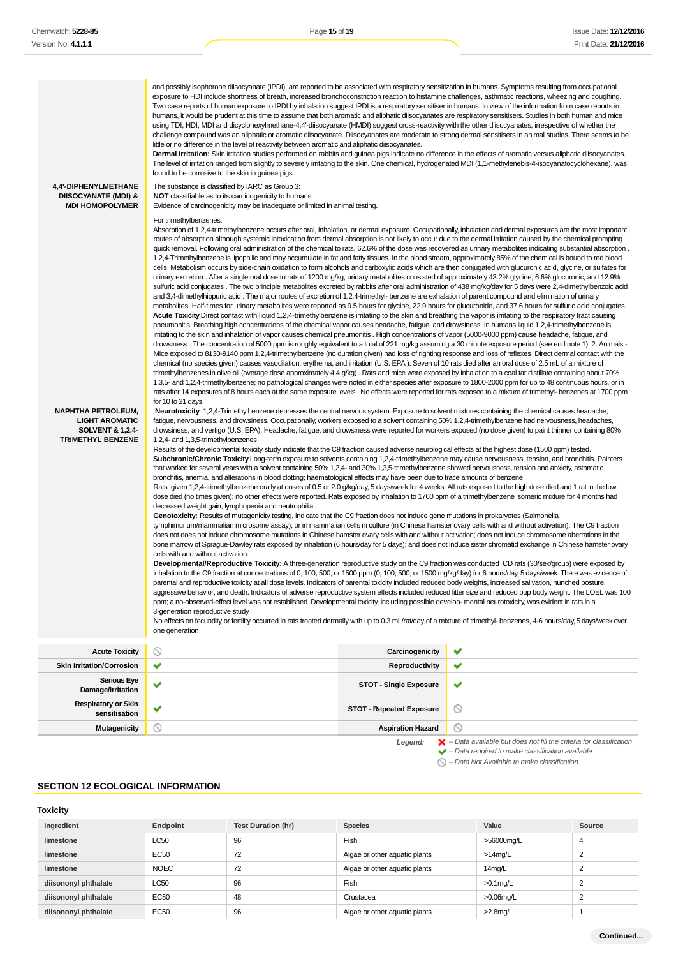|                                                                                                               | and possibly isophorone diisocyanate (IPDI), are reported to be associated with respiratory sensitization in humans. Symptoms resulting from occupational<br>exposure to HDI include shortness of breath, increased bronchoconstriction reaction to histamine challenges, asthmatic reactions, wheezing and coughing.<br>Two case reports of human exposure to IPDI by inhalation suggest IPDI is a respiratory sensitiser in humans. In view of the information from case reports in<br>humans, it would be prudent at this time to assume that both aromatic and aliphatic diisocyanates are respiratory sensitisers. Studies in both human and mice<br>using TDI, HDI, MDI and dicyclohexylmethane-4,4-diisocyanate (HMDI) suggest cross-reactivity with the other diisocyanates, irrespective of whether the<br>challenge compound was an aliphatic or aromatic diisocyanate. Diisocyanates are moderate to strong dermal sensitisers in animal studies. There seems to be<br>little or no difference in the level of reactivity between aromatic and aliphatic diisocyanates.<br>Dermal Irritation: Skin irritation studies performed on rabbits and guinea pigs indicate no difference in the effects of aromatic versus aliphatic diisocyanates.<br>The level of irritation ranged from slightly to severely irritating to the skin. One chemical, hydrogenated MDI (1,1-methylenebis-4-isocyanatocyclohexane), was<br>found to be corrosive to the skin in guinea pigs.                                                                                                                                                                                                                                                                                                                                                                                                                                                                                                                                                                                                                                                                                                                                                                                                                                                                                                                                                                                                                                                                                                                                                                                                                                                                                                                                                                                                                                                                                                                                                                                                                                                                                                                                                                                                                                                                                                                                                                                                                                                                                                                                                                                                                                                                                                                                                                                                                                                                                                                                                                                                                                                                                                                                                                                                                                                                                                                                                                                                                                                                                                                                                                                                                                                                                                                                                                                                                                                                                                                                                                                                                                                                                                                                                                                                                                                                                                                                                                                                                                                                                                                                                                                                                                                                                                                                                                                                                                                                                                                                                                                                                                                                                                                                                                    |                                 |                |  |
|---------------------------------------------------------------------------------------------------------------|----------------------------------------------------------------------------------------------------------------------------------------------------------------------------------------------------------------------------------------------------------------------------------------------------------------------------------------------------------------------------------------------------------------------------------------------------------------------------------------------------------------------------------------------------------------------------------------------------------------------------------------------------------------------------------------------------------------------------------------------------------------------------------------------------------------------------------------------------------------------------------------------------------------------------------------------------------------------------------------------------------------------------------------------------------------------------------------------------------------------------------------------------------------------------------------------------------------------------------------------------------------------------------------------------------------------------------------------------------------------------------------------------------------------------------------------------------------------------------------------------------------------------------------------------------------------------------------------------------------------------------------------------------------------------------------------------------------------------------------------------------------------------------------------------------------------------------------------------------------------------------------------------------------------------------------------------------------------------------------------------------------------------------------------------------------------------------------------------------------------------------------------------------------------------------------------------------------------------------------------------------------------------------------------------------------------------------------------------------------------------------------------------------------------------------------------------------------------------------------------------------------------------------------------------------------------------------------------------------------------------------------------------------------------------------------------------------------------------------------------------------------------------------------------------------------------------------------------------------------------------------------------------------------------------------------------------------------------------------------------------------------------------------------------------------------------------------------------------------------------------------------------------------------------------------------------------------------------------------------------------------------------------------------------------------------------------------------------------------------------------------------------------------------------------------------------------------------------------------------------------------------------------------------------------------------------------------------------------------------------------------------------------------------------------------------------------------------------------------------------------------------------------------------------------------------------------------------------------------------------------------------------------------------------------------------------------------------------------------------------------------------------------------------------------------------------------------------------------------------------------------------------------------------------------------------------------------------------------------------------------------------------------------------------------------------------------------------------------------------------------------------------------------------------------------------------------------------------------------------------------------------------------------------------------------------------------------------------------------------------------------------------------------------------------------------------------------------------------------------------------------------------------------------------------------------------------------------------------------------------------------------------------------------------------------------------------------------------------------------------------------------------------------------------------------------------------------------------------------------------------------------------------------------------------------------------------------------------------------------------------------------------------------------------------------------------------------------------------------------------------------------------------------------------------------------------------------------------------------------------------------------------------------------------------------------------------------------------------------------------------------------------------------------------------------------------------------------------------------------------------------------------------------------------------------------------------------------------------------------------------------------------------------------------------------------------------------------------------------------------------------------------------------------------------------------------------------------------------------------------------------------------------------------------------------------------------------------------------------------------------|---------------------------------|----------------|--|
| 4,4'-DIPHENYLMETHANE<br><b>DIISOCYANATE (MDI) &amp;</b><br><b>MDI HOMOPOLYMER</b>                             | The substance is classified by IARC as Group 3:<br><b>NOT</b> classifiable as to its carcinogenicity to humans.<br>Evidence of carcinogenicity may be inadequate or limited in animal testing.                                                                                                                                                                                                                                                                                                                                                                                                                                                                                                                                                                                                                                                                                                                                                                                                                                                                                                                                                                                                                                                                                                                                                                                                                                                                                                                                                                                                                                                                                                                                                                                                                                                                                                                                                                                                                                                                                                                                                                                                                                                                                                                                                                                                                                                                                                                                                                                                                                                                                                                                                                                                                                                                                                                                                                                                                                                                                                                                                                                                                                                                                                                                                                                                                                                                                                                                                                                                                                                                                                                                                                                                                                                                                                                                                                                                                                                                                                                                                                                                                                                                                                                                                                                                                                                                                                                                                                                                                                                                                                                                                                                                                                                                                                                                                                                                                                                                                                                                                                                                                                                                                                                                                                                                                                                                                                                                                                                                                                                                                                                                                                                                                                                                                                                                                                                                                                                                                                                                                                                                                                                     |                                 |                |  |
| <b>NAPHTHA PETROLEUM,</b><br><b>LIGHT AROMATIC</b><br><b>SOLVENT &amp; 1,2,4-</b><br><b>TRIMETHYL BENZENE</b> | Absorption of 1,2,4-trimethylbenzene occurs after oral, inhalation, or dermal exposure. Occupationally, inhalation and dermal exposures are the most important<br>routes of absorption although systemic intoxication from dermal absorption is not likely to occur due to the dermal irritation caused by the chemical prompting<br>quick removal. Following oral administration of the chemical to rats, 62.6% of the dose was recovered as urinary metabolites indicating substantial absorption.<br>1,2,4-Trimethylbenzene is lipophilic and may accumulate in fat and fatty tissues. In the blood stream, approximately 85% of the chemical is bound to red blood<br>cells Metabolism occurs by side-chain oxidation to form alcohols and carboxylic acids which are then conjugated with glucuronic acid, glycine, or sulfates for<br>urinary excretion . After a single oral dose to rats of 1200 mg/kg, urinary metabolites consisted of approximately 43.2% glycine, 6.6% glucuronic, and 12.9%<br>sulfuric acid conjugates . The two principle metabolites excreted by rabbits after oral administration of 438 mg/kg/day for 5 days were 2,4-dimethylbenzoic acid<br>and 3,4-dimethylhippuric acid. The major routes of excretion of 1,2,4-trimethyl- benzene are exhalation of parent compound and elimination of urinary<br>metabolites. Half-times for urinary metabolites were reported as 9.5 hours for glycine, 22.9 hours for glucuronide, and 37.6 hours for sulfuric acid conjugates.<br>Acute Toxicity Direct contact with liquid 1,2,4-trimethylbenzene is irritating to the skin and breathing the vapor is irritating to the respiratory tract causing<br>pneumonitis. Breathing high concentrations of the chemical vapor causes headache, fatigue, and drowsiness. In humans liquid 1,2,4-trimethylbenzene is<br>irritating to the skin and inhalation of vapor causes chemical pneumonitis. High concentrations of vapor (5000-9000 ppm) cause headache, fatigue, and<br>drowsiness. The concentration of 5000 ppm is roughly equivalent to a total of 221 mg/kg assuming a 30 minute exposure period (see end note 1). 2. Animals -<br>Mice exposed to 8130-9140 ppm 1,2,4-trimethylbenzene (no duration given) had loss of righting response and loss of reflexes Direct dermal contact with the<br>chemical (no species given) causes vasodilation, erythema, and irritation (U.S. EPA). Seven of 10 rats died after an oral dose of 2.5 mL of a mixture of<br>trimethylbenzenes in olive oil (average dose approximately 4.4 g/kg). Rats and mice were exposed by inhalation to a coal tar distillate containing about 70%<br>1,3,5- and 1,2,4-trimethylbenzene; no pathological changes were noted in either species after exposure to 1800-2000 ppm for up to 48 continuous hours, or in<br>rats after 14 exposures of 8 hours each at the same exposure levels. No effects were reported for rats exposed to a mixture of trimethyl- benzenes at 1700 ppm<br>for 10 to 21 days<br>Neurotoxicity 1,2,4-Trimethylbenzene depresses the central nervous system. Exposure to solvent mixtures containing the chemical causes headache,<br>fatigue, nervousness, and drowsiness. Occupationally, workers exposed to a solvent containing 50% 1,2,4-trimethylbenzene had nervousness, headaches,<br>drowsiness, and vertigo (U.S. EPA). Headache, fatigue, and drowsiness were reported for workers exposed (no dose given) to paint thinner containing 80%<br>1,2,4- and 1,3,5-trimethylbenzenes<br>Results of the developmental toxicity study indicate that the C9 fraction caused adverse neurological effects at the highest dose (1500 ppm) tested.<br>Subchronic/Chronic Toxicity Long-term exposure to solvents containing 1,2,4-trimethylbenzene may cause nervousness, tension, and bronchitis. Painters<br>that worked for several years with a solvent containing 50% 1,2,4- and 30% 1,3,5-trimethylbenzene showed nervousness, tension and anxiety, asthmatic<br>bronchitis, anemia, and alterations in blood clotting; haematological effects may have been due to trace amounts of benzene<br>Rats given 1,2,4-trimethylbenzene orally at doses of 0.5 or 2.0 g/kg/day, 5 days/week for 4 weeks. All rats exposed to the high dose died and 1 rat in the low<br>dose died (no times given); no other effects were reported. Rats exposed by inhalation to 1700 ppm of a trimethylbenzene isomeric mixture for 4 months had<br>decreased weight gain, lymphopenia and neutrophilia.<br>Genotoxicity: Results of mutagenicity testing, indicate that the C9 fraction does not induce gene mutations in prokaryotes (Salmonella<br>tymphimurium/mammalian microsome assay); or in mammalian cells in culture (in Chinese hamster ovary cells with and without activation). The C9 fraction<br>does not does not induce chromosome mutations in Chinese hamster ovary cells with and without activation; does not induce chromosome aberrations in the<br>bone marrow of Sprague-Dawley rats exposed by inhalation (6 hours/day for 5 days); and does not induce sister chromatid exchange in Chinese hamster ovary<br>cells with and without activation.<br>Developmental/Reproductive Toxicity: A three-generation reproductive study on the C9 fraction was conducted CD rats (30/sex/group) were exposed by<br>inhalation to the C9 fraction at concentrations of 0, 100, 500, or 1500 ppm (0, 100, 500, or 1500 mg/kg/day) for 6 hours/day, 5 days/week. There was evidence of<br>parental and reproductive toxicity at all dose levels. Indicators of parental toxicity included reduced body weights, increased salivation, hunched posture,<br>aggressive behavior, and death. Indicators of adverse reproductive system effects included reduced litter size and reduced pup body weight. The LOEL was 100<br>ppm; a no-observed-effect level was not established Developmental toxicity, including possible develop- mental neurotoxicity, was evident in rats in a<br>3-generation reproductive study<br>No effects on fecundity or fertility occurred in rats treated dermally with up to 0.3 mL/rat/day of a mixture of trimethyl- benzenes, 4-6 hours/day, 5 days/week over<br>one generation |                                 |                |  |
| <b>Acute Toxicity</b>                                                                                         | $\circledcirc$                                                                                                                                                                                                                                                                                                                                                                                                                                                                                                                                                                                                                                                                                                                                                                                                                                                                                                                                                                                                                                                                                                                                                                                                                                                                                                                                                                                                                                                                                                                                                                                                                                                                                                                                                                                                                                                                                                                                                                                                                                                                                                                                                                                                                                                                                                                                                                                                                                                                                                                                                                                                                                                                                                                                                                                                                                                                                                                                                                                                                                                                                                                                                                                                                                                                                                                                                                                                                                                                                                                                                                                                                                                                                                                                                                                                                                                                                                                                                                                                                                                                                                                                                                                                                                                                                                                                                                                                                                                                                                                                                                                                                                                                                                                                                                                                                                                                                                                                                                                                                                                                                                                                                                                                                                                                                                                                                                                                                                                                                                                                                                                                                                                                                                                                                                                                                                                                                                                                                                                                                                                                                                                                                                                                                                     | Carcinogenicity                 | ✔              |  |
| <b>Skin Irritation/Corrosion</b>                                                                              | ✔                                                                                                                                                                                                                                                                                                                                                                                                                                                                                                                                                                                                                                                                                                                                                                                                                                                                                                                                                                                                                                                                                                                                                                                                                                                                                                                                                                                                                                                                                                                                                                                                                                                                                                                                                                                                                                                                                                                                                                                                                                                                                                                                                                                                                                                                                                                                                                                                                                                                                                                                                                                                                                                                                                                                                                                                                                                                                                                                                                                                                                                                                                                                                                                                                                                                                                                                                                                                                                                                                                                                                                                                                                                                                                                                                                                                                                                                                                                                                                                                                                                                                                                                                                                                                                                                                                                                                                                                                                                                                                                                                                                                                                                                                                                                                                                                                                                                                                                                                                                                                                                                                                                                                                                                                                                                                                                                                                                                                                                                                                                                                                                                                                                                                                                                                                                                                                                                                                                                                                                                                                                                                                                                                                                                                                                  | Reproductivity                  | ✔              |  |
| <b>Serious Eye</b><br>Damage/Irritation                                                                       | ✔                                                                                                                                                                                                                                                                                                                                                                                                                                                                                                                                                                                                                                                                                                                                                                                                                                                                                                                                                                                                                                                                                                                                                                                                                                                                                                                                                                                                                                                                                                                                                                                                                                                                                                                                                                                                                                                                                                                                                                                                                                                                                                                                                                                                                                                                                                                                                                                                                                                                                                                                                                                                                                                                                                                                                                                                                                                                                                                                                                                                                                                                                                                                                                                                                                                                                                                                                                                                                                                                                                                                                                                                                                                                                                                                                                                                                                                                                                                                                                                                                                                                                                                                                                                                                                                                                                                                                                                                                                                                                                                                                                                                                                                                                                                                                                                                                                                                                                                                                                                                                                                                                                                                                                                                                                                                                                                                                                                                                                                                                                                                                                                                                                                                                                                                                                                                                                                                                                                                                                                                                                                                                                                                                                                                                                                  | <b>STOT - Single Exposure</b>   | ✔              |  |
| <b>Respiratory or Skin</b><br>sensitisation                                                                   | ✔                                                                                                                                                                                                                                                                                                                                                                                                                                                                                                                                                                                                                                                                                                                                                                                                                                                                                                                                                                                                                                                                                                                                                                                                                                                                                                                                                                                                                                                                                                                                                                                                                                                                                                                                                                                                                                                                                                                                                                                                                                                                                                                                                                                                                                                                                                                                                                                                                                                                                                                                                                                                                                                                                                                                                                                                                                                                                                                                                                                                                                                                                                                                                                                                                                                                                                                                                                                                                                                                                                                                                                                                                                                                                                                                                                                                                                                                                                                                                                                                                                                                                                                                                                                                                                                                                                                                                                                                                                                                                                                                                                                                                                                                                                                                                                                                                                                                                                                                                                                                                                                                                                                                                                                                                                                                                                                                                                                                                                                                                                                                                                                                                                                                                                                                                                                                                                                                                                                                                                                                                                                                                                                                                                                                                                                  | <b>STOT - Repeated Exposure</b> | ⊙              |  |
| <b>Mutagenicity</b>                                                                                           | ◎                                                                                                                                                                                                                                                                                                                                                                                                                                                                                                                                                                                                                                                                                                                                                                                                                                                                                                                                                                                                                                                                                                                                                                                                                                                                                                                                                                                                                                                                                                                                                                                                                                                                                                                                                                                                                                                                                                                                                                                                                                                                                                                                                                                                                                                                                                                                                                                                                                                                                                                                                                                                                                                                                                                                                                                                                                                                                                                                                                                                                                                                                                                                                                                                                                                                                                                                                                                                                                                                                                                                                                                                                                                                                                                                                                                                                                                                                                                                                                                                                                                                                                                                                                                                                                                                                                                                                                                                                                                                                                                                                                                                                                                                                                                                                                                                                                                                                                                                                                                                                                                                                                                                                                                                                                                                                                                                                                                                                                                                                                                                                                                                                                                                                                                                                                                                                                                                                                                                                                                                                                                                                                                                                                                                                                                  | <b>Aspiration Hazard</b>        | $\circledcirc$ |  |

**Legend:**  $\blacktriangleright$  - Data available but does not fill the criteria for classification<br>  $\blacktriangleright$  - Data required to make classification available

– Data Not Available to make classification

# **SECTION 12 ECOLOGICAL INFORMATION**

## **Toxicity**

| Ingredient           | Endpoint    | <b>Test Duration (hr)</b> | <b>Species</b>                | Value        | Source   |
|----------------------|-------------|---------------------------|-------------------------------|--------------|----------|
| limestone            | <b>LC50</b> | 96                        | Fish                          | >56000mg/L   | 4        |
| limestone            | <b>EC50</b> | 72                        | Algae or other aquatic plants | $>14$ mg/L   | っ<br>∠   |
| limestone            | <b>NOEC</b> | 72                        | Algae or other aquatic plants | 14mg/L       | 2        |
| diisononyl phthalate | <b>LC50</b> | 96                        | Fish                          | $>0.1$ mg/L  | <u>.</u> |
| diisononyl phthalate | EC50        | 48                        | Crustacea                     | $>0.06$ mg/L | 2        |
| diisononyl phthalate | EC50        | 96                        | Algae or other aquatic plants | $>2.8$ mg/L  |          |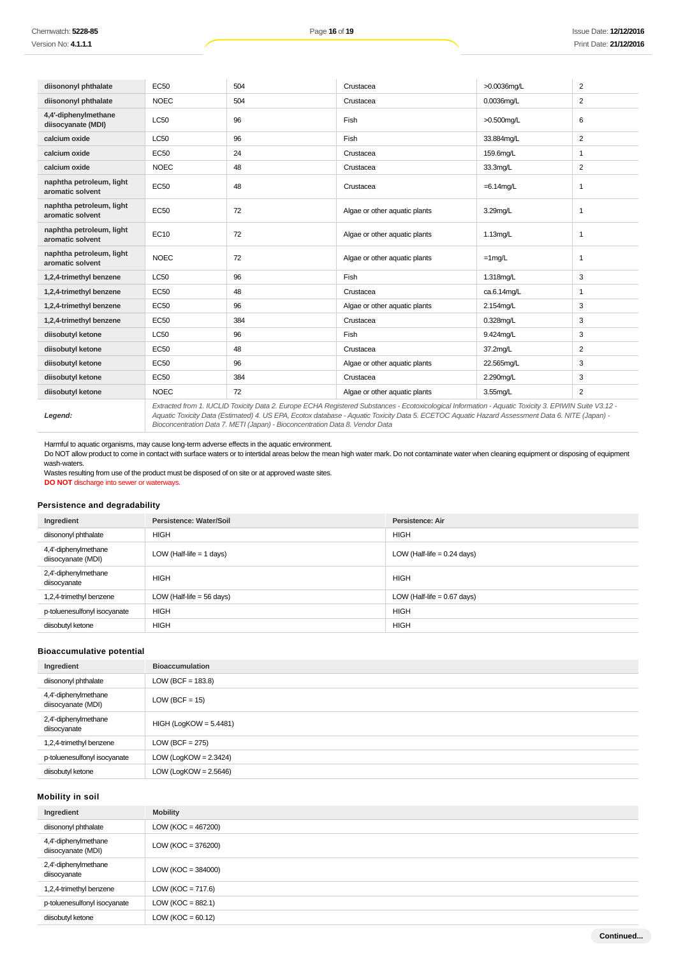| diisononyl phthalate                         | <b>EC50</b> | 504 | Crustacea                                                                                                                                                                                                                                                                                                | >0.0036mq/L   | 2              |
|----------------------------------------------|-------------|-----|----------------------------------------------------------------------------------------------------------------------------------------------------------------------------------------------------------------------------------------------------------------------------------------------------------|---------------|----------------|
| diisononyl phthalate                         | <b>NOEC</b> | 504 | Crustacea                                                                                                                                                                                                                                                                                                | $0.0036$ ma/L | $\overline{2}$ |
| 4,4'-diphenylmethane<br>diisocyanate (MDI)   | <b>LC50</b> | 96  | Fish                                                                                                                                                                                                                                                                                                     | $>0.500$ ma/L | 6              |
| calcium oxide                                | <b>LC50</b> | 96  | Fish                                                                                                                                                                                                                                                                                                     | 33.884mg/L    | 2              |
| calcium oxide                                | <b>EC50</b> | 24  | Crustacea                                                                                                                                                                                                                                                                                                | 159.6mg/L     | 1              |
| calcium oxide                                | <b>NOEC</b> | 48  | Crustacea                                                                                                                                                                                                                                                                                                | 33.3mg/L      | 2              |
| naphtha petroleum, light<br>aromatic solvent | <b>EC50</b> | 48  | Crustacea                                                                                                                                                                                                                                                                                                | $=6.14$ mg/L  | 1              |
| naphtha petroleum, light<br>aromatic solvent | <b>EC50</b> | 72  | Algae or other aquatic plants                                                                                                                                                                                                                                                                            | $3.29$ mg/L   | $\mathbf{1}$   |
| naphtha petroleum, light<br>aromatic solvent | <b>EC10</b> | 72  | Algae or other aquatic plants                                                                                                                                                                                                                                                                            | $1.13$ mg/L   | $\mathbf{1}$   |
| naphtha petroleum, light<br>aromatic solvent | <b>NOEC</b> | 72  | Algae or other aquatic plants                                                                                                                                                                                                                                                                            | $=1$ mg/L     | $\mathbf{1}$   |
| 1,2,4-trimethyl benzene                      | <b>LC50</b> | 96  | Fish                                                                                                                                                                                                                                                                                                     | 1.318mg/L     | 3              |
| 1,2,4-trimethyl benzene                      | <b>EC50</b> | 48  | Crustacea                                                                                                                                                                                                                                                                                                | ca.6.14mg/L   | 1              |
| 1,2,4-trimethyl benzene                      | <b>EC50</b> | 96  | Algae or other aquatic plants                                                                                                                                                                                                                                                                            | 2.154mg/L     | 3              |
| 1,2,4-trimethyl benzene                      | <b>EC50</b> | 384 | Crustacea                                                                                                                                                                                                                                                                                                | 0.328mg/L     | 3              |
| diisobutyl ketone                            | <b>LC50</b> | 96  | Fish                                                                                                                                                                                                                                                                                                     | 9.424mg/L     | 3              |
| diisobutyl ketone                            | <b>EC50</b> | 48  | Crustacea                                                                                                                                                                                                                                                                                                | 37.2mg/L      | 2              |
| diisobutyl ketone                            | <b>EC50</b> | 96  | Algae or other aquatic plants                                                                                                                                                                                                                                                                            | 22.565mg/L    | 3              |
| diisobutyl ketone                            | <b>EC50</b> | 384 | Crustacea                                                                                                                                                                                                                                                                                                | 2.290mg/L     | 3              |
| diisobutyl ketone                            | <b>NOEC</b> | 72  | Algae or other aquatic plants                                                                                                                                                                                                                                                                            | 3.55mg/L      | 2              |
| Legend:                                      |             |     | Extracted from 1. IUCLID Toxicity Data 2. Europe ECHA Registered Substances - Ecotoxicological Information - Aquatic Toxicity 3. EPIWIN Suite V3.12 -<br>Aquatic Toxicity Data (Estimated) 4. US EPA, Ecotox database - Aquatic Toxicity Data 5. ECETOC Aquatic Hazard Assessment Data 6. NITE (Japan) - |               |                |

Bioconcentration Data 7. METI (Japan) - Bioconcentration Data 8. Vendor Data

Harmful to aquatic organisms, may cause long-term adverse effects in the aquatic environment.

Do NOT allow product to come in contact with surface waters or to intertidal areas below the mean high water mark. Do not contaminate water when cleaning equipment or disposing of equipment wash-waters.

Wastes resulting from use of the product must be disposed of on site or at approved waste sites. **DO NOT** discharge into sewer or waterways.

# **Persistence and degradability**

| Ingredient                                 | Persistence: Water/Soil              | Persistence: Air              |
|--------------------------------------------|--------------------------------------|-------------------------------|
| diisononyl phthalate                       | <b>HIGH</b>                          | <b>HIGH</b>                   |
| 4,4'-diphenylmethane<br>diisocyanate (MDI) | LOW (Half-life $= 1$ days)           | LOW (Half-life $= 0.24$ days) |
| 2,4'-diphenylmethane<br>diisocyanate       | <b>HIGH</b>                          | <b>HIGH</b>                   |
| 1,2,4-trimethyl benzene                    | LOW (Half-life = $56 \text{ days}$ ) | LOW (Half-life $= 0.67$ days) |
| p-toluenesulfonyl isocyanate               | <b>HIGH</b>                          | <b>HIGH</b>                   |
| diisobutyl ketone                          | <b>HIGH</b>                          | <b>HIGH</b>                   |

#### **Bioaccumulative potential**

| Ingredient                                 | <b>Bioaccumulation</b>   |
|--------------------------------------------|--------------------------|
| diisononyl phthalate                       | LOW (BCF = $183.8$ )     |
| 4,4'-diphenylmethane<br>diisocyanate (MDI) | $LOW (BCF = 15)$         |
| 2,4'-diphenylmethane<br>diisocyanate       | $HIGH (LogKOW = 5.4481)$ |
| 1,2,4-trimethyl benzene                    | $LOW (BCF = 275)$        |
| p-toluenesulfonyl isocyanate               | LOW (LogKOW = $2.3424$ ) |
| diisobutyl ketone                          | LOW (LogKOW = $2.5646$ ) |

## **Mobility in soil**

| Ingredient                                 | <b>Mobility</b>        |
|--------------------------------------------|------------------------|
| diisononyl phthalate                       | LOW (KOC = $467200$ )  |
| 4,4'-diphenylmethane<br>diisocyanate (MDI) | LOW ( $KOC = 376200$ ) |
| 2,4'-diphenylmethane<br>diisocyanate       | $LOW (KOC = 384000)$   |
| 1,2,4-trimethyl benzene                    | LOW (KOC = $717.6$ )   |
| p-toluenesulfonyl isocyanate               | LOW (KOC = $882.1$ )   |
| diisobutyl ketone                          | LOW ( $KOC = 60.12$ )  |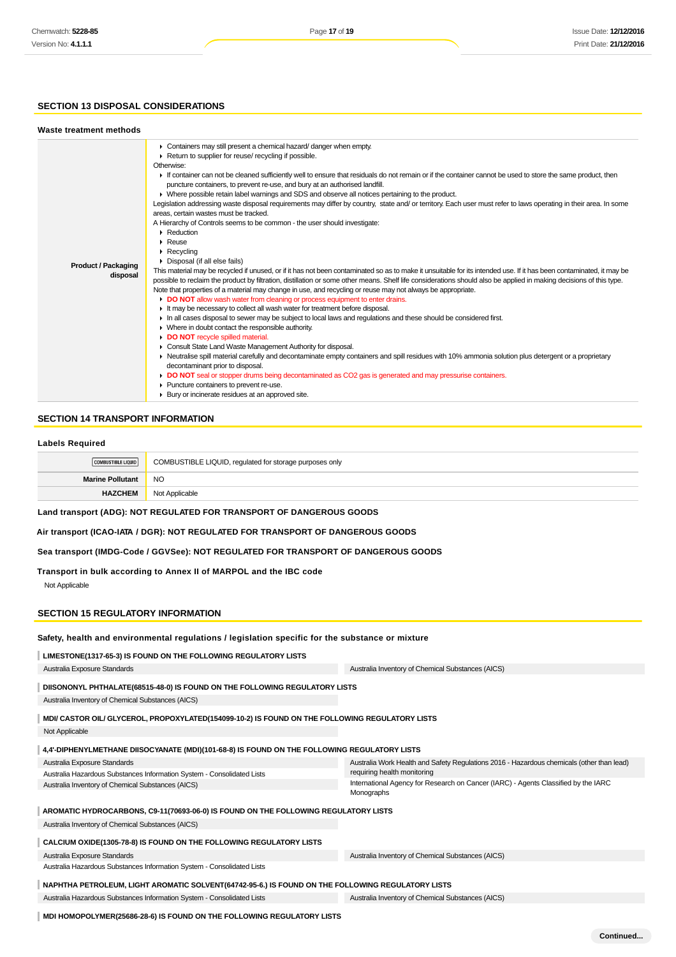## **SECTION 13 DISPOSAL CONSIDERATIONS**

| Waste treatment methods                |                                                                                                                                                                                                                                                                                                                                                                                                                                                                                                                                                                                                                                                                                                                                                                                                                                                                                                                                                                                                                                                                                                                                                                                                                                                                                                                                                                                                                                                                                                                                                                                                                                                                                                                                                                                                                                                                                                                                                                                                                                                                                                                                                                                                                                                |
|----------------------------------------|------------------------------------------------------------------------------------------------------------------------------------------------------------------------------------------------------------------------------------------------------------------------------------------------------------------------------------------------------------------------------------------------------------------------------------------------------------------------------------------------------------------------------------------------------------------------------------------------------------------------------------------------------------------------------------------------------------------------------------------------------------------------------------------------------------------------------------------------------------------------------------------------------------------------------------------------------------------------------------------------------------------------------------------------------------------------------------------------------------------------------------------------------------------------------------------------------------------------------------------------------------------------------------------------------------------------------------------------------------------------------------------------------------------------------------------------------------------------------------------------------------------------------------------------------------------------------------------------------------------------------------------------------------------------------------------------------------------------------------------------------------------------------------------------------------------------------------------------------------------------------------------------------------------------------------------------------------------------------------------------------------------------------------------------------------------------------------------------------------------------------------------------------------------------------------------------------------------------------------------------|
| <b>Product / Packaging</b><br>disposal | • Containers may still present a chemical hazard/danger when empty.<br>Return to supplier for reuse/ recycling if possible.<br>Otherwise:<br>If container can not be cleaned sufficiently well to ensure that residuals do not remain or if the container cannot be used to store the same product, then<br>puncture containers, to prevent re-use, and bury at an authorised landfill.<br>• Where possible retain label warnings and SDS and observe all notices pertaining to the product.<br>Legislation addressing waste disposal requirements may differ by country, state and/ or territory. Each user must refer to laws operating in their area. In some<br>areas, certain wastes must be tracked.<br>A Hierarchy of Controls seems to be common - the user should investigate:<br>$\blacktriangleright$ Reduction<br>$\blacktriangleright$ Reuse<br>$\triangleright$ Recycling<br>Disposal (if all else fails)<br>This material may be recycled if unused, or if it has not been contaminated so as to make it unsuitable for its intended use. If it has been contaminated, it may be<br>possible to reclaim the product by filtration, distillation or some other means. Shelf life considerations should also be applied in making decisions of this type.<br>Note that properties of a material may change in use, and recycling or reuse may not always be appropriate.<br>DO NOT allow wash water from cleaning or process equipment to enter drains.<br>It may be necessary to collect all wash water for treatment before disposal.<br>In all cases disposal to sewer may be subject to local laws and regulations and these should be considered first.<br>• Where in doubt contact the responsible authority.<br>DO NOT recycle spilled material.<br>Consult State Land Waste Management Authority for disposal.<br>▶ Neutralise spill material carefully and decontaminate empty containers and spill residues with 10% ammonia solution plus detergent or a proprietary<br>decontaminant prior to disposal.<br>DO NOT seal or stopper drums being decontaminated as CO2 gas is generated and may pressurise containers.<br>• Puncture containers to prevent re-use.<br>▶ Bury or incinerate residues at an approved site. |

## **SECTION 14 TRANSPORT INFORMATION**

#### **Labels Required**

| COMBUSTIBLE LIQUID      | COMBUSTIBLE LIQUID, regulated for storage purposes only |
|-------------------------|---------------------------------------------------------|
| <b>Marine Pollutant</b> | <b>NO</b>                                               |
| <b>HAZCHEM</b>          | Not Applicable                                          |
|                         |                                                         |

## **Land transport (ADG): NOT REGULATED FOR TRANSPORT OF DANGEROUS GOODS**

#### **Air transport (ICAO-IATA / DGR): NOT REGULATED FOR TRANSPORT OF DANGEROUS GOODS**

#### **Sea transport (IMDG-Code / GGVSee): NOT REGULATED FOR TRANSPORT OF DANGEROUS GOODS**

#### **Transport in bulk according to Annex II of MARPOL and the IBC code**

Not Applicable

#### **SECTION 15 REGULATORY INFORMATION**

#### **Safety, health and environmental regulations / legislation specific for the substance or mixture**

| LIMESTONE(1317-65-3) IS FOUND ON THE FOLLOWING REGULATORY LISTS                                                                  |                                                                                           |  |  |  |  |
|----------------------------------------------------------------------------------------------------------------------------------|-------------------------------------------------------------------------------------------|--|--|--|--|
| Australia Exposure Standards                                                                                                     | Australia Inventory of Chemical Substances (AICS)                                         |  |  |  |  |
| DIISONONYL PHTHALATE(68515-48-0) IS FOUND ON THE FOLLOWING REGULATORY LISTS<br>Australia Inventory of Chemical Substances (AICS) |                                                                                           |  |  |  |  |
| MDI/ CASTOR OIL/ GLYCEROL, PROPOXYLATED(154099-10-2) IS FOUND ON THE FOLLOWING REGULATORY LISTS                                  |                                                                                           |  |  |  |  |
| Not Applicable                                                                                                                   |                                                                                           |  |  |  |  |
| 4,4'-DIPHENYLMETHANE DIISOCYANATE (MDI)(101-68-8) IS FOUND ON THE FOLLOWING REGULATORY LISTS                                     |                                                                                           |  |  |  |  |
| Australia Exposure Standards                                                                                                     | Australia Work Health and Safety Regulations 2016 - Hazardous chemicals (other than lead) |  |  |  |  |
| Australia Hazardous Substances Information System - Consolidated Lists                                                           | requiring health monitoring                                                               |  |  |  |  |
| Australia Inventory of Chemical Substances (AICS)                                                                                | International Agency for Research on Cancer (IARC) - Agents Classified by the IARC        |  |  |  |  |
|                                                                                                                                  | Monographs                                                                                |  |  |  |  |
| AROMATIC HYDROCARBONS, C9-11(70693-06-0) IS FOUND ON THE FOLLOWING REGULATORY LISTS                                              |                                                                                           |  |  |  |  |
| Australia Inventory of Chemical Substances (AICS)                                                                                |                                                                                           |  |  |  |  |
| CALCIUM OXIDE(1305-78-8) IS FOUND ON THE FOLLOWING REGULATORY LISTS                                                              |                                                                                           |  |  |  |  |
| Australia Exposure Standards                                                                                                     | Australia Inventory of Chemical Substances (AICS)                                         |  |  |  |  |
| Australia Hazardous Substances Information System - Consolidated Lists                                                           |                                                                                           |  |  |  |  |
| NAPHTHA PETROLEUM, LIGHT AROMATIC SOLVENT (64742-95-6.) IS FOUND ON THE FOLLOWING REGULATORY LISTS                               |                                                                                           |  |  |  |  |
| Australia Hazardous Substances Information System - Consolidated Lists                                                           | Australia Inventory of Chemical Substances (AICS)                                         |  |  |  |  |
|                                                                                                                                  |                                                                                           |  |  |  |  |

**MDI HOMOPOLYMER(25686-28-6) IS FOUND ON THE FOLLOWING REGULATORY LISTS**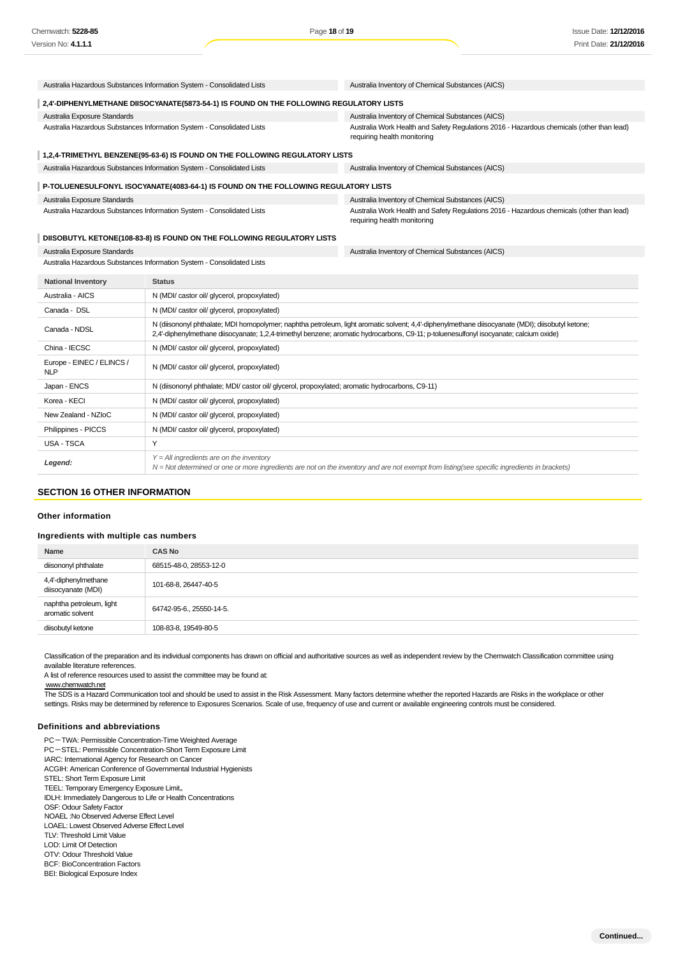| Chemwatch: <b>5228-85</b>                                                                                                                                                                                                                                                                |                                                                                                                                                                                                                                                             | Page 18 of 19                                                                                                                                                                                                                                                                                                                                                                                                                                                                                                                                                   | Issue Date: 12/12/2016 |
|------------------------------------------------------------------------------------------------------------------------------------------------------------------------------------------------------------------------------------------------------------------------------------------|-------------------------------------------------------------------------------------------------------------------------------------------------------------------------------------------------------------------------------------------------------------|-----------------------------------------------------------------------------------------------------------------------------------------------------------------------------------------------------------------------------------------------------------------------------------------------------------------------------------------------------------------------------------------------------------------------------------------------------------------------------------------------------------------------------------------------------------------|------------------------|
| Version No: <b>4.1.1.1</b>                                                                                                                                                                                                                                                               |                                                                                                                                                                                                                                                             |                                                                                                                                                                                                                                                                                                                                                                                                                                                                                                                                                                 | Print Date: 21/12/2016 |
|                                                                                                                                                                                                                                                                                          |                                                                                                                                                                                                                                                             |                                                                                                                                                                                                                                                                                                                                                                                                                                                                                                                                                                 |                        |
|                                                                                                                                                                                                                                                                                          | Australia Hazardous Substances Information System - Consolidated Lists                                                                                                                                                                                      | Australia Inventory of Chemical Substances (AICS)                                                                                                                                                                                                                                                                                                                                                                                                                                                                                                               |                        |
|                                                                                                                                                                                                                                                                                          | 2,4'-DIPHENYLMETHANE DIISOCYANATE(5873-54-1) IS FOUND ON THE FOLLOWING REGULATORY LISTS                                                                                                                                                                     |                                                                                                                                                                                                                                                                                                                                                                                                                                                                                                                                                                 |                        |
| Australia Exposure Standards                                                                                                                                                                                                                                                             |                                                                                                                                                                                                                                                             | Australia Inventory of Chemical Substances (AICS)                                                                                                                                                                                                                                                                                                                                                                                                                                                                                                               |                        |
|                                                                                                                                                                                                                                                                                          | Australia Hazardous Substances Information System - Consolidated Lists                                                                                                                                                                                      | Australia Work Health and Safety Regulations 2016 - Hazardous chemicals (other than lead)<br>requiring health monitoring                                                                                                                                                                                                                                                                                                                                                                                                                                        |                        |
|                                                                                                                                                                                                                                                                                          | 1,2,4-TRIMETHYL BENZENE(95-63-6) IS FOUND ON THE FOLLOWING REGULATORY LISTS                                                                                                                                                                                 |                                                                                                                                                                                                                                                                                                                                                                                                                                                                                                                                                                 |                        |
|                                                                                                                                                                                                                                                                                          | Australia Hazardous Substances Information System - Consolidated Lists                                                                                                                                                                                      | Australia Inventory of Chemical Substances (AICS)                                                                                                                                                                                                                                                                                                                                                                                                                                                                                                               |                        |
|                                                                                                                                                                                                                                                                                          | P-TOLUENESULFONYL ISOCYANATE(4083-64-1) IS FOUND ON THE FOLLOWING REGULATORY LISTS                                                                                                                                                                          |                                                                                                                                                                                                                                                                                                                                                                                                                                                                                                                                                                 |                        |
| Australia Exposure Standards                                                                                                                                                                                                                                                             |                                                                                                                                                                                                                                                             | Australia Inventory of Chemical Substances (AICS)                                                                                                                                                                                                                                                                                                                                                                                                                                                                                                               |                        |
|                                                                                                                                                                                                                                                                                          | Australia Hazardous Substances Information System - Consolidated Lists                                                                                                                                                                                      | Australia Work Health and Safety Regulations 2016 - Hazardous chemicals (other than lead)<br>requiring health monitoring                                                                                                                                                                                                                                                                                                                                                                                                                                        |                        |
|                                                                                                                                                                                                                                                                                          | DIISOBUTYL KETONE(108-83-8) IS FOUND ON THE FOLLOWING REGULATORY LISTS                                                                                                                                                                                      |                                                                                                                                                                                                                                                                                                                                                                                                                                                                                                                                                                 |                        |
| Australia Exposure Standards                                                                                                                                                                                                                                                             |                                                                                                                                                                                                                                                             | Australia Inventory of Chemical Substances (AICS)                                                                                                                                                                                                                                                                                                                                                                                                                                                                                                               |                        |
|                                                                                                                                                                                                                                                                                          | Australia Hazardous Substances Information System - Consolidated Lists                                                                                                                                                                                      |                                                                                                                                                                                                                                                                                                                                                                                                                                                                                                                                                                 |                        |
| <b>National Inventory</b>                                                                                                                                                                                                                                                                | <b>Status</b>                                                                                                                                                                                                                                               |                                                                                                                                                                                                                                                                                                                                                                                                                                                                                                                                                                 |                        |
| Australia - AICS                                                                                                                                                                                                                                                                         | N (MDI/ castor oil/ glycerol, propoxylated)                                                                                                                                                                                                                 |                                                                                                                                                                                                                                                                                                                                                                                                                                                                                                                                                                 |                        |
| Canada - DSL                                                                                                                                                                                                                                                                             | N (MDI/ castor oil/ glycerol, propoxylated)                                                                                                                                                                                                                 |                                                                                                                                                                                                                                                                                                                                                                                                                                                                                                                                                                 |                        |
| Canada - NDSL                                                                                                                                                                                                                                                                            |                                                                                                                                                                                                                                                             | N (diisononyl phthalate; MDI homopolymer; naphtha petroleum, light aromatic solvent; 4,4-diphenylmethane diisocyanate (MDI); diisobutyl ketone;<br>2,4'-diphenylmethane diisocyanate; 1,2,4-trimethyl benzene; aromatic hydrocarbons, C9-11; p-toluenesulfonyl isocyanate; calcium oxide)                                                                                                                                                                                                                                                                       |                        |
| China - IECSC                                                                                                                                                                                                                                                                            | N (MDI/ castor oil/ glycerol, propoxylated)                                                                                                                                                                                                                 |                                                                                                                                                                                                                                                                                                                                                                                                                                                                                                                                                                 |                        |
| Europe - EINEC / ELINCS /<br><b>NLP</b>                                                                                                                                                                                                                                                  | N (MDI/ castor oil/ glycerol, propoxylated)                                                                                                                                                                                                                 |                                                                                                                                                                                                                                                                                                                                                                                                                                                                                                                                                                 |                        |
| Japan - ENCS                                                                                                                                                                                                                                                                             | N (diisononyl phthalate; MDI/ castor oil/ glycerol, propoxylated; aromatic hydrocarbons, C9-11)                                                                                                                                                             |                                                                                                                                                                                                                                                                                                                                                                                                                                                                                                                                                                 |                        |
| Korea - KECI                                                                                                                                                                                                                                                                             | N (MDI/ castor oil/ glycerol, propoxylated)                                                                                                                                                                                                                 |                                                                                                                                                                                                                                                                                                                                                                                                                                                                                                                                                                 |                        |
| New Zealand - NZIoC                                                                                                                                                                                                                                                                      | N (MDI/ castor oil/ glycerol, propoxylated)                                                                                                                                                                                                                 |                                                                                                                                                                                                                                                                                                                                                                                                                                                                                                                                                                 |                        |
| Philippines - PICCS                                                                                                                                                                                                                                                                      | N (MDI/ castor oil/ glycerol, propoxylated)                                                                                                                                                                                                                 |                                                                                                                                                                                                                                                                                                                                                                                                                                                                                                                                                                 |                        |
| USA - TSCA                                                                                                                                                                                                                                                                               | Υ                                                                                                                                                                                                                                                           |                                                                                                                                                                                                                                                                                                                                                                                                                                                                                                                                                                 |                        |
| Legend:                                                                                                                                                                                                                                                                                  | $Y = All$ ingredients are on the inventory                                                                                                                                                                                                                  | N = Not determined or one or more ingredients are not on the inventory and are not exempt from listing(see specific ingredients in brackets)                                                                                                                                                                                                                                                                                                                                                                                                                    |                        |
|                                                                                                                                                                                                                                                                                          |                                                                                                                                                                                                                                                             |                                                                                                                                                                                                                                                                                                                                                                                                                                                                                                                                                                 |                        |
| <b>SECTION 16 OTHER INFORMATION</b>                                                                                                                                                                                                                                                      |                                                                                                                                                                                                                                                             |                                                                                                                                                                                                                                                                                                                                                                                                                                                                                                                                                                 |                        |
| <b>Other information</b>                                                                                                                                                                                                                                                                 |                                                                                                                                                                                                                                                             |                                                                                                                                                                                                                                                                                                                                                                                                                                                                                                                                                                 |                        |
| Ingredients with multiple cas numbers                                                                                                                                                                                                                                                    |                                                                                                                                                                                                                                                             |                                                                                                                                                                                                                                                                                                                                                                                                                                                                                                                                                                 |                        |
| Name                                                                                                                                                                                                                                                                                     | <b>CAS No</b>                                                                                                                                                                                                                                               |                                                                                                                                                                                                                                                                                                                                                                                                                                                                                                                                                                 |                        |
| diisononyl phthalate                                                                                                                                                                                                                                                                     | 68515-48-0, 28553-12-0                                                                                                                                                                                                                                      |                                                                                                                                                                                                                                                                                                                                                                                                                                                                                                                                                                 |                        |
| 4,4'-diphenylmethane<br>diisocyanate (MDI)                                                                                                                                                                                                                                               | 101-68-8, 26447-40-5                                                                                                                                                                                                                                        |                                                                                                                                                                                                                                                                                                                                                                                                                                                                                                                                                                 |                        |
| naphtha petroleum, light<br>aromatic solvent                                                                                                                                                                                                                                             | 64742-95-6., 25550-14-5.                                                                                                                                                                                                                                    |                                                                                                                                                                                                                                                                                                                                                                                                                                                                                                                                                                 |                        |
| diisobutyl ketone                                                                                                                                                                                                                                                                        | 108-83-8, 19549-80-5                                                                                                                                                                                                                                        |                                                                                                                                                                                                                                                                                                                                                                                                                                                                                                                                                                 |                        |
| available literature references.<br>www.chemwatch.net                                                                                                                                                                                                                                    | A list of reference resources used to assist the committee may be found at:                                                                                                                                                                                 | Classification of the preparation and its individual components has drawn on official and authoritative sources as well as independent review by the Chemwatch Classification committee using<br>The SDS is a Hazard Communication tool and should be used to assist in the Risk Assessment. Many factors determine whether the reported Hazards are Risks in the workplace or other<br>settings. Risks may be determined by reference to Exposures Scenarios. Scale of use, frequency of use and current or available engineering controls must be considered. |                        |
| Definitions and abbreviations<br>IARC: International Agency for Research on Cancer<br>STEL: Short Term Exposure Limit<br>TEEL: Temporary Emergency Exposure Limit。<br>OSF: Odour Safety Factor<br>NOAEL: No Observed Adverse Effect Level<br>LOAEL: Lowest Observed Adverse Effect Level | PC-TWA: Permissible Concentration-Time Weighted Average<br>PC-STEL: Permissible Concentration-Short Term Exposure Limit<br>ACGIH: American Conference of Governmental Industrial Hygienists<br>IDLH: Immediately Dangerous to Life or Health Concentrations |                                                                                                                                                                                                                                                                                                                                                                                                                                                                                                                                                                 |                        |
| TLV: Threshold Limit Value<br>LOD: Limit Of Detection<br>OTV: Odour Threshold Value<br><b>BCF: BioConcentration Factors</b><br>BEI: Biological Exposure Index                                                                                                                            |                                                                                                                                                                                                                                                             |                                                                                                                                                                                                                                                                                                                                                                                                                                                                                                                                                                 |                        |

## **SECTION 16 OTHER INFORMATION**

#### **Other information**

#### **Ingredients with multiple cas numbers**

| Name                                         | <b>CAS No</b>            |
|----------------------------------------------|--------------------------|
| diisononyl phthalate                         | 68515-48-0, 28553-12-0   |
| 4,4'-diphenylmethane<br>diisocyanate (MDI)   | 101-68-8, 26447-40-5     |
| naphtha petroleum, light<br>aromatic solvent | 64742-95-6., 25550-14-5. |
| diisobutyl ketone                            | 108-83-8, 19549-80-5     |

#### **Definitions and abbreviations**